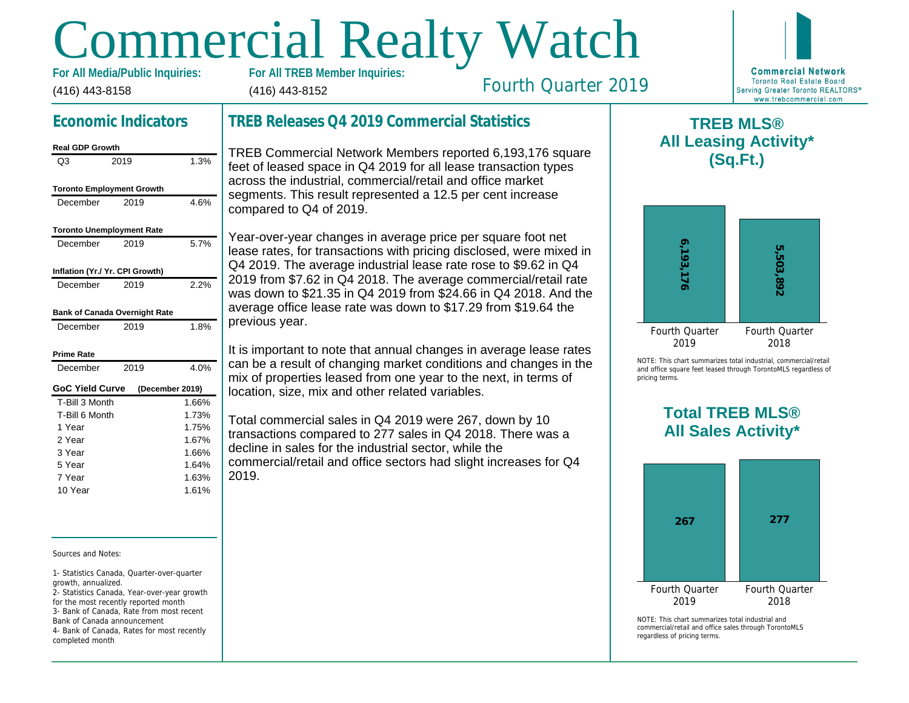# Commercial Realty Watch

(416) 443-8158 For All Media/Public Inquiries: (416) 443-8152

# Fourth Quarter 2019

# Economic Indicators

| <b>Real GDP Growth</b>           |      |                 |
|----------------------------------|------|-----------------|
| Q3                               | 2019 | 1.3%            |
| <b>Toronto Employment Growth</b> |      |                 |
| December                         | 2019 | 4.6%            |
| <b>Toronto Unemployment Rate</b> |      |                 |
| December                         | 2019 | 5.7%            |
| Inflation (Yr./ Yr. CPI Growth)  |      |                 |
| December                         | 2019 | 2.2%            |
| Bank of Canada Overnight Rate    |      |                 |
| December                         | 2019 | 1.8%            |
| Prime Rate                       |      |                 |
| December                         | 2019 | 4.0%            |
| <b>GoC Yield Curve</b>           |      | (December 2019) |
| T-Bill 3 Month                   |      | 1.66%           |
| T-Bill 6 Month                   |      | 1.73%           |
| 1 Year                           |      | 1.75%           |
| 2 Year                           |      | 1.67%           |
| 3 Year                           |      | 1.66%           |
| 5 Year                           |      | 1.64%           |
| 7 Year                           |      | 1.63%           |
| 10 Year                          |      | 1.61%           |

Sources and Notes:

1- Statistics Canada, Quarter-over-quarter growth, annualized.

2- Statistics Canada, Year-over-year growth for the most recently reported month 3- Bank of Canada, Rate from most recent Bank of Canada announcement

4- Bank of Canada, Rates for most recently completed month

# TREB Releases Q4 2019 Commercial Statistics

TREB Commercial Network Members reported 6,193,176 square feet of leased space in Q4 2019 for all lease transaction types across the industrial, commercial/retail and office market segments. This result represented a 12.5 per cent increase compared to Q4 of 2019.

Year-over-year changes in average price per square foot net lease rates, for transactions with pricing disclosed, were mixed in Q4 2019. The average industrial lease rate rose to \$9.62 in Q4 2019 from \$7.62 in Q4 2018. The average commercial/retail rate was down to \$21.35 in Q4 2019 from \$24.66 in Q4 2018. And the average office lease rate was down to \$17.29 from \$19.64 the previous year.

It is important to note that annual changes in average lease rates can be a result of changing market conditions and changes in the mix of properties leased from one year to the next, in terms of location, size, mix and other related variables.

Total commercial sales in Q4 2019 were 267, down by 10 transactions compared to 277 sales in Q4 2018. There was a decline in sales for the industrial sector, while the commercial/retail and office sectors had slight increases for Q4 2019.

 $\mathsf T$ All Lea

NOTE: This chart sur and office square fee pricing terms.

> Total All Sa

 $NOTF: This chart sur$ commercial/retail and regardless of pricing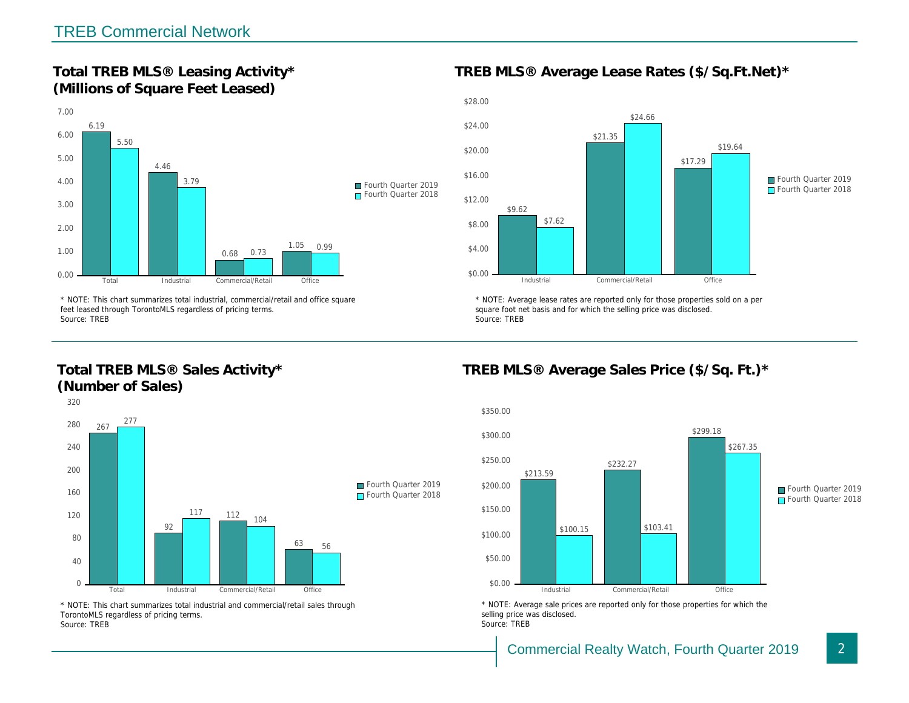Total TREB MLS® Leasing Activity\* (Millions of Square Feet Leased)

TREB MLS® Average Lease Rates (\$/So.

\* NOTE: This chart summarizes total industrial, commercial/retail and office square feet leased through TorontoMLS regardless of pricing terms. Source: TREB

Total TREB MLS® Sales Activity\* (Number of Sales)

\* NOTE: Average lease rates are reported only for those proper square foot net basis and for which the selling price was disclos Source: TREB

TREB MLS® Average Sales Price (\$/So.

\* NOTE: This chart summarizes total industrial and commercial/retail sales through TorontoMLS regardless of pricing terms. Source: TREB

\* NOTE: Average sale prices are reported only for those prope selling price was disclosed. Source: TREB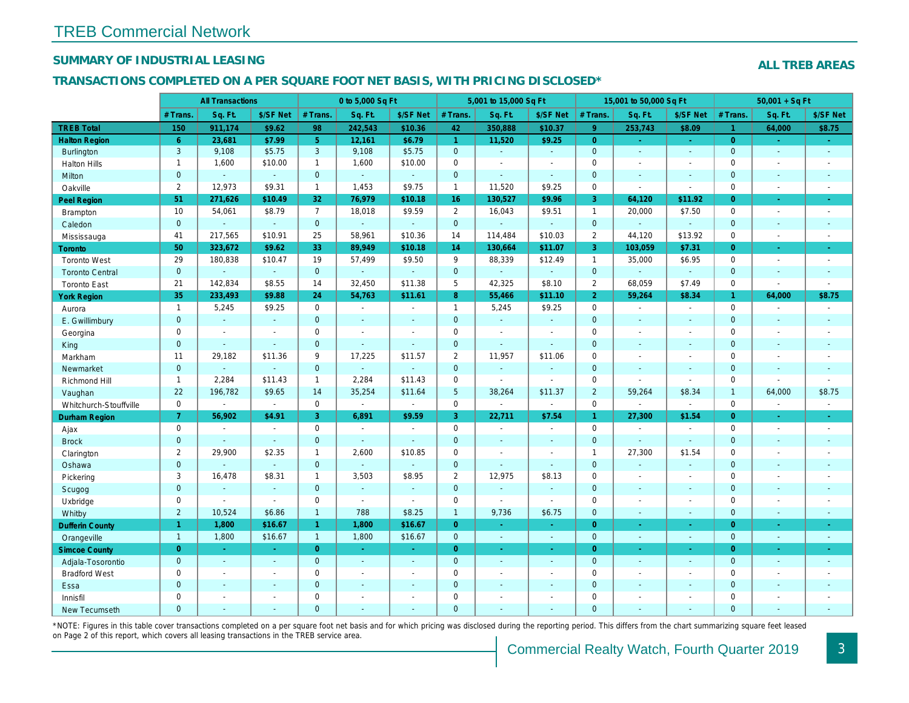## SUMMARY OF INDUSTRIAL LEASING

## TRANSACTIONS COMPLETED ON A PER SQUARE FOOT NET BASIS, WITH PRICING DISCLOSED\*

|                        |                | <b>All Transactions</b>  |                          |                | 0 to 5,000 Sq Ft |                |                 | 5,001 to 15,000 Sq Ft |                |                | 15,001 to 50,000 Sq Ft |                      |
|------------------------|----------------|--------------------------|--------------------------|----------------|------------------|----------------|-----------------|-----------------------|----------------|----------------|------------------------|----------------------|
|                        | # Trans.       | Sq. Ft.                  | \$/SF Net                | # Trans.       | Sq. Ft.          | \$/SF Net      | # Trans.        | Sq. Ft.               | \$/SF Net      | # Trans.       | Sq. Ft.                | \$/SF Ne             |
| <b>TREB Total</b>      | 150            | 911,174                  | \$9.62                   | 98             | 242,543          | \$10.36        | 42              | 350,888               | \$10.37        | $\overline{9}$ | 253,743                | \$8.09               |
| <b>Halton Region</b>   | 6 <sup>°</sup> | 23,681                   | \$7.99                   | 5 <sup>1</sup> | 12,161           | \$6.79         | $\overline{1}$  | 11,520                | \$9.25         | $\overline{0}$ | $\blacksquare$         | $\omega_{\rm c}$     |
| <b>Burlington</b>      | 3              | 9,108                    | \$5.75                   | 3              | 9,108            | \$5.75         | $\mathbf{0}$    | $\omega$              | $\omega$       | $\mathbf 0$    | $\omega$               | $\bullet$            |
| <b>Halton Hills</b>    | $\mathbf{1}$   | 1,600                    | \$10.00                  | $\mathbf{1}$   | 1,600            | \$10.00        | $\mathbf 0$     | $\sim$                | $\sim$         | $\mathbf 0$    | $\blacksquare$         | $\blacksquare$       |
| Milton                 | $\mathbf{0}$   | $\omega$                 | $\omega$                 | $\overline{0}$ | $\omega$         | $\omega$       | $\mathbf{0}$    | $\blacksquare$        | $\omega$       | $\mathbf{0}$   | $\omega$               | $\sim$               |
| Oakville               | $\overline{2}$ | 12,973                   | \$9.31                   | $\mathbf{1}$   | 1,453            | \$9.75         | $\mathbf{1}$    | 11,520                | \$9.25         | $\mathbf 0$    | $\blacksquare$         | $\blacksquare$       |
| <b>Peel Region</b>     | 51             | 271,626                  | \$10.49                  | 32             | 76,979           | \$10.18        | 16              | 130,527               | \$9.96         | 3              | 64,120                 | \$11.92              |
| Brampton               | 10             | 54,061                   | \$8.79                   | $\overline{7}$ | 18,018           | \$9.59         | $\overline{2}$  | 16,043                | \$9.51         | $\overline{1}$ | 20,000                 | \$7.50               |
| Caledon                | $\mathbf{0}$   | $\sim$                   | $\omega$                 | $\mathbf{0}$   | $\omega$         | $\omega$       | $\mathbf 0$     | $\blacksquare$        | $\omega$       | $\mathbf{0}$   | $\omega$               | $\sim$               |
| Mississauga            | 41             | 217,565                  | \$10.91                  | 25             | 58,961           | \$10.36        | 14              | 114,484               | \$10.03        | $\overline{2}$ | 44,120                 | \$13.92              |
| <b>Toronto</b>         | 50             | 323,672                  | \$9.62                   | 33             | 89,949           | \$10.18        | 14              | 130,664               | \$11.07        | 3              | 103,059                | \$7.31               |
| <b>Toronto West</b>    | 29             | 180,838                  | \$10.47                  | 19             | 57,499           | \$9.50         | 9               | 88,339                | \$12.49        | $\overline{1}$ | 35,000                 | \$6.95               |
| <b>Toronto Central</b> | $\mathbf{0}$   |                          | $\sim$                   | $\overline{0}$ | $\omega$         | $\omega$       | $\mathbf{0}$    | $\blacksquare$        | $\omega$       | $\overline{0}$ | $\Delta$               | $\blacksquare$       |
| <b>Toronto East</b>    | 21             | 142,834                  | \$8.55                   | 14             | 32,450           | \$11.38        | 5               | 42,325                | \$8.10         | $\overline{2}$ | 68,059                 | \$7.49               |
| <b>York Region</b>     | 35             | 233,493                  | \$9.88                   | 24             | 54,763           | \$11.61        | 8 <sup>°</sup>  | 55,466                | \$11.10        | $\overline{2}$ | 59,264                 | \$8.34               |
| Aurora                 | $\mathbf{1}$   | 5,245                    | \$9.25                   | $\mathbf 0$    | $\sim$           | $\blacksquare$ | $\mathbf{1}$    | 5,245                 | \$9.25         | $\mathbf 0$    | $\mathbf{r}$           | $\blacksquare$       |
| E. Gwillimbury         | $\mathbf{0}$   | $\omega$                 | $\sim$                   | $\mathbf{0}$   | $\sim$           | $\blacksquare$ | $\mathbf{0}$    | $\omega$              | ◆              | $\mathbf{0}$   | $\omega$               | $\sim$               |
| Georgina               | $\mathbf 0$    | $\sim$                   | $\sim$                   | $\mathbf 0$    | $\sim$           | $\blacksquare$ | $\mathbf 0$     | $\blacksquare$        | $\blacksquare$ | $\mathbf 0$    | $\blacksquare$         | $\blacksquare$       |
| King                   | $\mathbf{0}$   | $\sim$                   | $\omega$                 | $\mathbf{0}$   | $\sim$           | $\blacksquare$ | $\mathbf 0$     | $\omega$              | $\omega$       | $\mathbf{0}$   | $\omega$               | $\sim$               |
| Markham                | 11             | 29,182                   | \$11.36                  | 9              | 17,225           | \$11.57        | $\overline{2}$  | 11,957                | \$11.06        | $\mathbf 0$    | $\blacksquare$         | $\sim$               |
| Newmarket              | $\mathbf 0$    | $\mathbf{u}$             | $\omega$                 | $\mathbf 0$    | ä,               | $\blacksquare$ | $\mathbf 0$     | $\blacksquare$        | $\omega$       | $\mathbf{0}$   | $\blacksquare$         | $\blacksquare$       |
| Richmond Hill          | $\mathbf{1}$   | 2,284                    | \$11.43                  | $\mathbf{1}$   | 2,284            | \$11.43        | $\mathbf 0$     | $\blacksquare$        | $\blacksquare$ | $\mathbf 0$    | $\blacksquare$         | $\blacksquare$       |
| Vaughan                | 22             | 196,782                  | \$9.65                   | 14             | 35,254           | \$11.64        | $5\phantom{.0}$ | 38,264                | \$11.37        | $\overline{2}$ | 59,264                 | \$8.34               |
| Whitchurch-Stouffville | $\mathbf 0$    | $\blacksquare$           | $\sim$                   | $\mathbf 0$    | $\blacksquare$   | $\blacksquare$ | $\mathsf 0$     | $\blacksquare$        | $\blacksquare$ | $\mathbf 0$    | $\blacksquare$         | $\blacksquare$       |
| Durham Region          | 7 <sup>1</sup> | 56,902                   | \$4.91                   | 3              | 6,891            | \$9.59         | 3               | 22,711                | \$7.54         | 1 <sup>1</sup> | 27,300                 | \$1.54               |
| Ajax                   | $\mathbf 0$    | $\sim$                   | $\sim$                   | $\mathbf 0$    | $\sim$           | $\sim$         | $\mathbf 0$     | $\sim$                | $\sim$         | $\mathbf 0$    | $\sim$                 | $\sim$               |
| <b>Brock</b>           | $\mathbf{0}$   | $\sim$                   | $\sim$                   | $\mathbf{0}$   | $\omega$         | $\omega$       | $\mathbf{0}$    | $\sim$                | $\sim$         | $\mathbf{0}$   | $\omega$               | $\sim$               |
| Clarington             | $\overline{2}$ | 29,900                   | \$2.35                   | $\mathbf{1}$   | 2,600            | \$10.85        | $\mathbf 0$     | $\blacksquare$        | $\blacksquare$ | $\overline{1}$ | 27,300                 | \$1.54               |
| Oshawa                 | $\mathbf{0}$   |                          | $\omega$                 | $\mathbf{0}$   | $\omega$         | $\blacksquare$ | $\mathbf 0$     | $\blacksquare$        | $\sim$         | $\mathbf{0}$   | $\blacksquare$         | $\blacksquare$       |
| Pickering              | 3              | 16,478                   | \$8.31                   | $\mathbf{1}$   | 3,503            | \$8.95         | $\overline{2}$  | 12,975                | \$8.13         | $\mathbf 0$    | $\blacksquare$         | $\blacksquare$       |
| Scugog                 | $\mathbf 0$    | $\sim$                   | $\omega$                 | $\mathbf{0}$   | $\omega$         | $\Delta$       | $\mathbf{0}$    | $\Delta$              | $\Delta$       | $\mathbf{0}$   | $\Delta$               | $\sim$               |
| Uxbridge               | 0              | $\sim$                   | $\sim$                   | $\mathbf 0$    | $\sim$           | $\blacksquare$ | $\mathbf 0$     | $\blacksquare$        | $\omega$       | $\mathbf 0$    | $\omega$               | $\sim$               |
| Whitby                 | $\overline{2}$ | 10,524                   | \$6.86                   | $\mathbf{1}$   | 788              | \$8.25         | $\mathbf{1}$    | 9,736                 | \$6.75         | $\mathbf{0}$   | $\omega$               | $\blacksquare$       |
| <b>Dufferin County</b> | $\mathbf{1}$   | 1,800                    | \$16.67                  | $\mathbf{1}$   | 1,800            | \$16.67        | $\mathbf{0}$    | $\omega$              | $\omega$       | $\overline{0}$ | $\blacksquare$         | $\sigma_{\rm c}$     |
| Orangeville            | $\mathbf{1}$   | 1,800                    | \$16.67                  | $\mathbf{1}$   | 1,800            | \$16.67        | $\mathbf 0$     | $\sim$                | $\sim$         | $\overline{0}$ | $\blacksquare$         | $\sim$               |
| <b>Simcoe County</b>   | $\overline{0}$ | $\omega$                 | $\sim$                   | $\overline{0}$ | $\omega_{\rm c}$ | $\sim$         | $\overline{0}$  | $\omega$              | ÷.             | $\overline{0}$ | $\omega$               | $\frac{1}{\sqrt{2}}$ |
| Adjala-Tosorontio      | $\mathbf{0}$   | $\sim$                   | $\sim$                   | $\mathbf{0}$   | $\sim$           | $\blacksquare$ | $\mathbf{0}$    | $\sim$                | $\sim$         | $\overline{0}$ | $\sim$                 | $\sim$               |
| <b>Bradford West</b>   | 0              | $\blacksquare$           | $\overline{\phantom{a}}$ | $\mathbf 0$    | $\blacksquare$   | $\blacksquare$ | $\mathbf 0$     | $\blacksquare$        | $\sim$         | $\mathbf 0$    | $\blacksquare$         | $\sim$               |
| Essa                   | $\mathbf 0$    | $\sim$                   | $\sim$                   | $\overline{0}$ | $\mathbf{r}$     | $\blacksquare$ | $\mathbf 0$     | $\sim$                | $\sim$         | $\mathbf{0}$   | $\omega$               | $\blacksquare$       |
| Innisfil               | 0              | $\overline{\phantom{a}}$ | $\overline{\phantom{a}}$ | $\mathbf 0$    | $\sim$           | $\blacksquare$ | $\mathbf 0$     | $\sim$                | $\sim$         | $\mathbf 0$    | $\blacksquare$         | $\blacksquare$       |
| <b>New Tecumseth</b>   | $\Omega$       | $\sim$                   |                          | $\Omega$       | ä,               | $\omega$       | $\mathbf{0}$    | ä,                    | ä,             | $\Omega$       | $\omega$               | $\sim$               |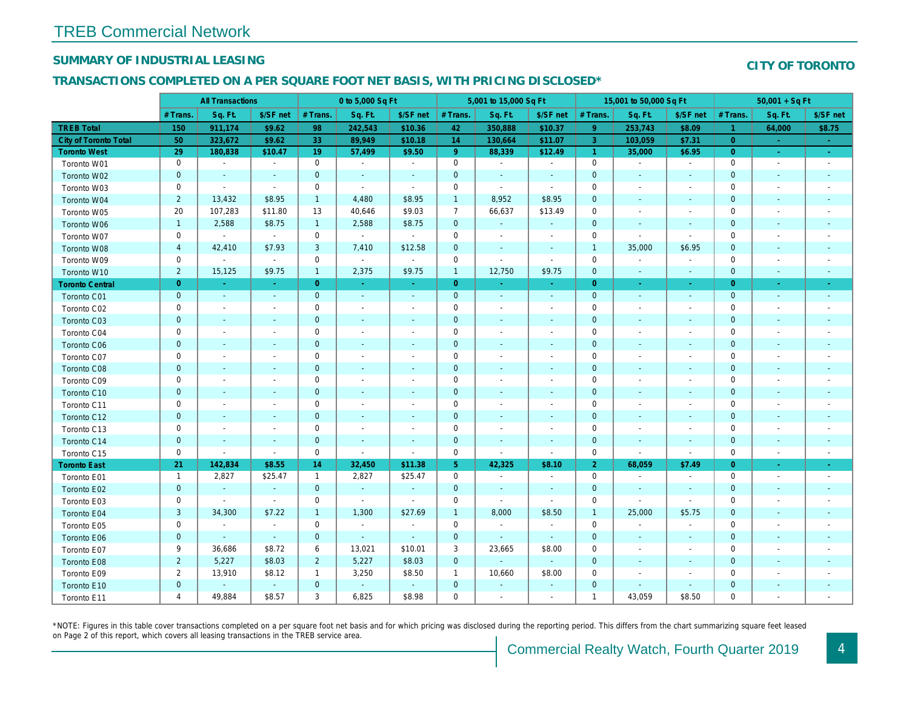## SUMMARY OF INDUSTRIAL LEASING

#### TRANSACTIONS COMPLETED ON A PER SQUARE FOOT NET BASIS, WITH PRICING DISCLOSED\*

|                              |                | <b>All Transactions</b>  |                          |                | 0 to 5,000 Sq Ft         |                          |                     | 5,001 to 15,000 Sq Ft    |                |                | 15,001 to 50,000 Sq Ft   |                          |
|------------------------------|----------------|--------------------------|--------------------------|----------------|--------------------------|--------------------------|---------------------|--------------------------|----------------|----------------|--------------------------|--------------------------|
|                              | # Trans.       | Sq. Ft.                  | \$/SF net                | # Trans.       | Sq. Ft.                  | \$/SF net                | # Trans.            | Sq. Ft.                  | \$/SF net      | # Trans.       | Sq. Ft.                  | \$/SF ne                 |
| <b>TREB Total</b>            | 150            | 911,174                  | \$9.62                   | 98             | 242,543                  | \$10.36                  | 42                  | 350,888                  | \$10.37        | 9              | 253,743                  | \$8.09                   |
| <b>City of Toronto Total</b> | 50             | 323,672                  | \$9.62                   | 33             | 89,949                   | \$10.18                  | 14                  | 130,664                  | \$11.07        | $\overline{3}$ | 103,059                  | \$7.31                   |
| <b>Toronto West</b>          | 29             | 180,838                  | \$10.47                  | 19             | 57,499                   | \$9.50                   | 9                   | 88,339                   | \$12.49        | $\overline{1}$ | 35,000                   | \$6.95                   |
| Toronto W01                  | 0              | $\sim$                   | $\sim$                   | $\mathbf 0$    | $\bullet$                | $\sim$                   | $\mathbf 0$         | $\blacksquare$           | $\blacksquare$ | 0              | $\sim$                   | $\bullet$                |
| Toronto W02                  | $\mathbf 0$    | $\sim$                   | $\sim$                   | $\mathbf 0$    | $\blacksquare$           | $\blacksquare$           | $\mathbf 0$         | $\blacksquare$           | $\blacksquare$ | $\mathbf{0}$   | $\sim$                   | $\sim$                   |
| Toronto W03                  | 0              | $\blacksquare$           | $\blacksquare$           | $\mathbf 0$    | $\blacksquare$           | $\overline{\phantom{a}}$ | $\mathbf 0$         | $\blacksquare$           | $\blacksquare$ | 0              | $\overline{\phantom{a}}$ | $\overline{\phantom{a}}$ |
| Toronto W04                  | $\overline{2}$ | 13,432                   | \$8.95                   | $\mathbf{1}$   | 4,480                    | \$8.95                   | $\overline{1}$      | 8,952                    | \$8.95         | $\mathbf 0$    | $\overline{\phantom{a}}$ | $\blacksquare$           |
| Toronto W05                  | 20             | 107,283                  | \$11.80                  | 13             | 40,646                   | \$9.03                   | $\overline{7}$      | 66,637                   | \$13.49        | 0              | $\overline{\phantom{a}}$ | $\overline{\phantom{a}}$ |
| Toronto W06                  | $\mathbf{1}$   | 2,588                    | \$8.75                   | $\mathbf{1}$   | 2,588                    | \$8.75                   | $\mathbf 0$         | $\sim$                   | $\blacksquare$ | $\overline{0}$ | $\sim$                   | $\overline{\phantom{a}}$ |
| Toronto W07                  | $\mathbf 0$    | $\mathbf{r}$             | $\sim$                   | $\mathbf 0$    | $\sim$                   | $\blacksquare$           | $\mathbf 0$         | $\blacksquare$           | $\overline{a}$ | $\mathbf 0$    | $\sim$                   | $\blacksquare$           |
| Toronto W08                  | $\overline{4}$ | 42,410                   | \$7.93                   | 3              | 7,410                    | \$12.58                  | $\mathbf 0$         | $\blacksquare$           | $\blacksquare$ | $\overline{1}$ | 35,000                   | \$6.95                   |
| Toronto W09                  | 0              | $\blacksquare$           | $\sim$                   | $\mathbf 0$    | $\blacksquare$           | $\blacksquare$           | $\mathsf{O}\xspace$ | $\overline{a}$           | $\omega$       | 0              | $\blacksquare$           | $\blacksquare$           |
| Toronto W10                  | $\overline{2}$ | 15,125                   | \$9.75                   | $\mathbf{1}$   | 2,375                    | \$9.75                   | $\mathbf{1}$        | 12,750                   | \$9.75         | $\mathbf{0}$   | $\blacksquare$           | $\blacksquare$           |
| <b>Toronto Central</b>       | $\overline{0}$ | a.                       | $\sim$                   | $\overline{0}$ | $\omega$                 | $\bullet$                | $\overline{0}$      | $\sim$                   | $\sim$         | $\overline{0}$ | $\sim$                   | $\blacksquare$           |
| Toronto C01                  | $\mathbf 0$    | $\sim$                   | $\sim$                   | $\mathbf 0$    | $\omega$                 | $\sim$                   | $\mathbf{0}$        | $\blacksquare$           | $\sim$         | $\mathbf{0}$   | $\blacksquare$           | $\blacksquare$           |
| Toronto C02                  | 0              | $\sim$                   | $\overline{\phantom{a}}$ | $\mathbf 0$    | $\blacksquare$           | $\overline{\phantom{a}}$ | $\mathbf 0$         | $\blacksquare$           | $\blacksquare$ | 0              |                          | $\overline{\phantom{a}}$ |
| Toronto C03                  | $\mathbf 0$    | $\blacksquare$           | $\sim$                   | $\mathbf 0$    | $\blacksquare$           | $\blacksquare$           | $\mathbf 0$         | $\blacksquare$           | $\blacksquare$ | $\mathbf 0$    | $\overline{\phantom{a}}$ | $\blacksquare$           |
| Toronto C04                  | 0              | $\overline{\phantom{a}}$ |                          | $\mathbf 0$    | $\overline{\phantom{a}}$ | $\overline{\phantom{a}}$ | $\mathbf 0$         | $\overline{\phantom{a}}$ |                | 0              | $\overline{\phantom{a}}$ | $\overline{\phantom{a}}$ |
| <b>Toronto C06</b>           | $\mathbf 0$    | $\sim$                   | $\sim$                   | $\mathbf 0$    | $\blacksquare$           | $\blacksquare$           | $\mathbf 0$         | $\blacksquare$           | $\blacksquare$ | $\pmb{0}$      | $\blacksquare$           | $\blacksquare$           |
| Toronto C07                  | $\mathbf 0$    | ÷.                       | $\sim$                   | $\mathbf 0$    | $\blacksquare$           | $\blacksquare$           | $\mathbf 0$         | $\blacksquare$           | ÷.             | 0              |                          | $\overline{\phantom{a}}$ |
| Toronto C08                  | $\mathbf{0}$   | $\sim$                   | $\sim$                   | $\overline{0}$ | $\blacksquare$           | $\blacksquare$           | $\mathbf{0}$        | $\blacksquare$           | $\blacksquare$ | $\mathbf 0$    | $\blacksquare$           | $\blacksquare$           |
| Toronto C09                  | 0              | $\overline{\phantom{a}}$ |                          | $\mathbf 0$    | $\blacksquare$           | $\overline{\phantom{a}}$ | $\mathbf 0$         | $\overline{a}$           |                | $\mathbf 0$    |                          |                          |
| Toronto C10                  | $\pmb{0}$      | $\sim$                   | $\sim$                   | $\overline{0}$ | $\blacksquare$           | $\blacksquare$           | $\mathbf 0$         | $\blacksquare$           | $\blacksquare$ | $\mathbf 0$    | $\blacksquare$           | $\blacksquare$           |
| Toronto C11                  | 0              | $\sim$                   |                          | $\mathbf 0$    | $\blacksquare$           | $\blacksquare$           | $\mathbf 0$         | $\blacksquare$           | $\blacksquare$ | $\mathbf 0$    | $\overline{\phantom{a}}$ | $\overline{\phantom{a}}$ |
| Toronto C12                  | $\mathbf 0$    | $\blacksquare$           | $\sim$                   | $\mathbf{0}$   | $\blacksquare$           | $\blacksquare$           | $\mathbf 0$         | $\blacksquare$           | $\blacksquare$ | $\mathbf 0$    | $\blacksquare$           |                          |
| Toronto C13                  | 0              | $\overline{\phantom{a}}$ |                          | $\mathbf 0$    | $\blacksquare$           | $\overline{\phantom{a}}$ | $\mathbf 0$         | ÷,                       | $\blacksquare$ | $\mathbf 0$    | $\overline{\phantom{a}}$ | $\blacksquare$           |
| Toronto C14                  | $\mathbf 0$    | $\overline{\phantom{a}}$ | $\sim$                   | $\mathbf 0$    | $\blacksquare$           | $\blacksquare$           | $\mathbf 0$         | $\blacksquare$           | $\blacksquare$ | $\pmb{0}$      | $\blacksquare$           | $\blacksquare$           |
| Toronto C15                  | 0              | $\blacksquare$           | $\blacksquare$           | $\mathbf 0$    | $\sim$                   | $\blacksquare$           | $\mathbf 0$         | $\blacksquare$           | $\blacksquare$ | 0              | $\blacksquare$           | $\blacksquare$           |
| <b>Toronto East</b>          | 21             | 142,834                  | \$8.55                   | 14             | 32,450                   | \$11.38                  | 5 <sub>5</sub>      | 42,325                   | \$8.10         | $\overline{2}$ | 68,059                   | \$7.49                   |
| Toronto E01                  | $\mathbf{1}$   | 2,827                    | \$25.47                  | $\mathbf{1}$   | 2,827                    | \$25.47                  | $\mathbf 0$         | $\blacksquare$           | $\blacksquare$ | $\mathbf 0$    | $\overline{\phantom{a}}$ | $\blacksquare$           |
| Toronto E02                  | $\mathbf{0}$   | $\blacksquare$           | $\sim$                   | $\mathbf{0}$   | $\mathbf{u}$             | $\sim$                   | $\mathbf 0$         | $\omega$                 | $\sim$         | $\mathbf 0$    | $\sim$                   | $\sim$                   |
| Toronto E03                  | $\mathbf 0$    | $\sim$                   | $\sim$                   | $\mathbf 0$    | $\blacksquare$           | $\sim$                   | $\mathsf{O}\xspace$ | $\blacksquare$           | $\blacksquare$ | $\mathbf 0$    | $\sim$                   | $\blacksquare$           |
| Toronto E04                  | $\mathbf{3}$   | 34,300                   | \$7.22                   | $\mathbf{1}$   | 1,300                    | \$27.69                  | $\overline{1}$      | 8,000                    | \$8.50         | $\overline{1}$ | 25,000                   | \$5.75                   |
| Toronto E05                  | 0              | $\blacksquare$           | $\blacksquare$           | $\mathbf 0$    | $\sim$                   | $\blacksquare$           | $\mathbf 0$         | $\blacksquare$           | $\blacksquare$ | $\mathbf 0$    | $\blacksquare$           | $\blacksquare$           |
| Toronto E06                  | $\mathbf{0}$   | $\blacksquare$           | $\omega$                 | $\mathbf 0$    | $\omega$                 | $\blacksquare$           | $\mathbf 0$         | $\omega$                 | $\blacksquare$ | $\mathbf 0$    | $\blacksquare$           | $\sim$                   |
| Toronto E07                  | 9              | 36,686                   | \$8.72                   | 6              | 13,021                   | \$10.01                  | 3                   | 23,665                   | \$8.00         | $\mathbf 0$    | $\blacksquare$           | $\blacksquare$           |
| Toronto E08                  | $\overline{2}$ | 5,227                    | \$8.03                   | $\overline{2}$ | 5,227                    | \$8.03                   | $\mathbf{0}$        | $\blacksquare$           | $\omega$       | $\mathbf 0$    | $\overline{\phantom{a}}$ | $\blacksquare$           |
| Toronto E09                  | $\overline{2}$ | 13,910                   | \$8.12                   | $\mathbf{1}$   | 3,250                    | \$8.50                   | $\mathbf{1}$        | 10,660                   | \$8.00         | 0              | $\overline{\phantom{a}}$ | $\overline{\phantom{a}}$ |
| Toronto E10                  | $\pmb{0}$      | $\blacksquare$           | $\sim$                   | $\mathbf 0$    | $\omega$                 | $\bullet$                | $\mathbf 0$         | $\blacksquare$           | $\blacksquare$ | $\mathbf 0$    | $\blacksquare$           | $\overline{\phantom{a}}$ |
| Toronto E11                  | 4              | 49,884                   | \$8.57                   | 3              | 6,825                    | \$8.98                   | 0                   | $\blacksquare$           | $\blacksquare$ | $\overline{1}$ | 43,059                   | \$8.50                   |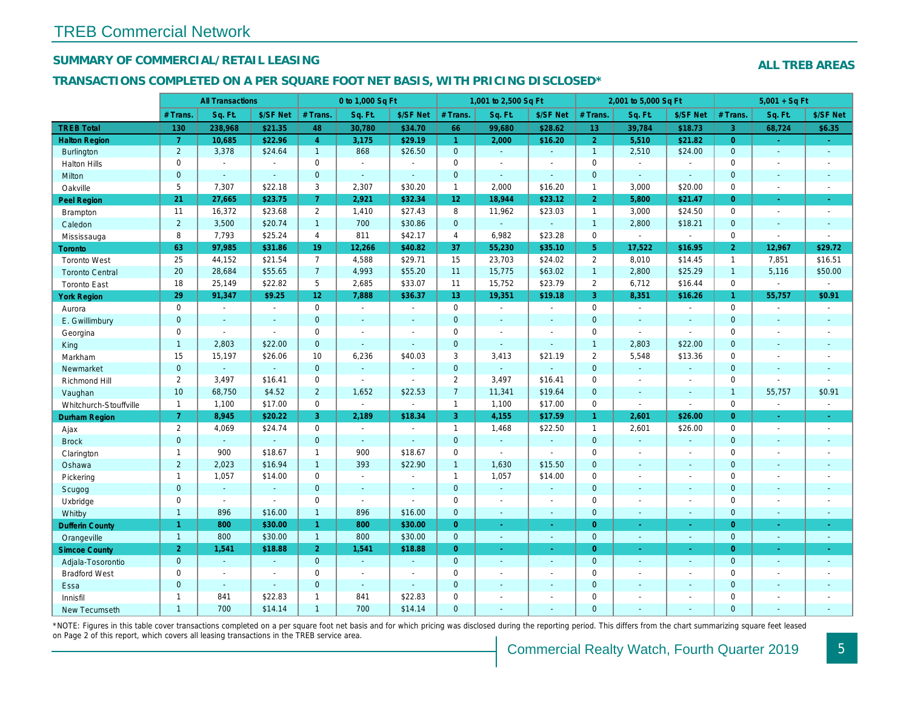## SUMMARY OF COMMERCIAL/RETAIL LEASING

#### TRANSACTIONS COMPLETED ON A PER SQUARE FOOT NET BASIS, WITH PRICING DISCLOSED\*

|                        |                 | <b>All Transactions</b> |                |                 | 0 to 1,000 Sq Ft |                |                 | 1,001 to 2,500 Sq Ft     |                |                 | 2,001 to 5,000 Sq Ft |                     |
|------------------------|-----------------|-------------------------|----------------|-----------------|------------------|----------------|-----------------|--------------------------|----------------|-----------------|----------------------|---------------------|
|                        | # Trans.        | Sq. Ft.                 | \$/SF Net      | # Trans.        | Sq. Ft.          | \$/SF Net      | # Trans.        | Sq. Ft.                  | \$/SF Net      | # Trans.        | Sq. Ft.              | \$/SF Ne            |
| <b>TREB Total</b>      | 130             | 238,968                 | \$21.35        | 48              | 30,780           | \$34.70        | 66              | 99,680                   | \$28.62        | 13 <sup>°</sup> | 39,784               | \$18.73             |
| <b>Halton Region</b>   | $\overline{7}$  | 10,685                  | \$22.96        | $\overline{4}$  | 3,175            | \$29.19        | $\mathbf{1}$    | 2,000                    | \$16.20        | 2 <sup>1</sup>  | 5,510                | \$21.82             |
| <b>Burlington</b>      | $\overline{2}$  | 3,378                   | \$24.64        | $\mathbf{1}$    | 868              | \$26.50        | $\mathbf{0}$    | $\sim$                   | $\mathbf{r}$   | $\mathbf{1}$    | 2,510                | \$24.00             |
| <b>Halton Hills</b>    | $\mathbf 0$     | $\sim$                  | $\blacksquare$ | $\mathbf 0$     | $\mathbf{r}$     | ÷.             | $\mathbf 0$     | $\blacksquare$           | $\blacksquare$ | $\mathbf 0$     | $\blacksquare$       | $\sim$              |
| <b>Milton</b>          | $\mathbf{0}$    | $\Delta$                | $\omega$       | $\mathbf{0}$    | $\Delta$         | $\Delta$       | $\mathbf 0$     | $\omega$                 | $\mathbf{r}$   | $\mathbf{0}$    | $\omega$             | $\sim$              |
| Oakville               | 5               | 7,307                   | \$22.18        | 3               | 2,307            | \$30.20        | $\mathbf{1}$    | 2,000                    | \$16.20        | $\mathbf{1}$    | 3,000                | \$20.00             |
| Peel Region            | 21              | 27,665                  | \$23.75        | $\overline{7}$  | 2,921            | \$32.34        | 12 <sub>2</sub> | 18,944                   | \$23.12        | $\overline{2}$  | 5,800                | \$21.47             |
| <b>Brampton</b>        | 11              | 16,372                  | \$23.68        | $\overline{2}$  | 1,410            | \$27.43        | 8               | 11,962                   | \$23.03        | $\mathbf{1}$    | 3,000                | \$24.50             |
| Caledon                | $\overline{2}$  | 3,500                   | \$20.74        | $\mathbf{1}$    | 700              | \$30.86        | $\mathbf{0}$    | $\mathbf{r}$             | $\blacksquare$ | $\overline{1}$  | 2,800                | \$18.21             |
| Mississauga            | 8               | 7,793                   | \$25.24        | $\overline{4}$  | 811              | \$42.17        | $\overline{4}$  | 6,982                    | \$23.28        | $\mathbf 0$     | $\blacksquare$       | $\blacksquare$      |
| Toronto                | 63              | 97,985                  | \$31.86        | 19              | 12,266           | \$40.82        | 37              | 55,230                   | \$35.10        | 5 <sup>5</sup>  | 17,522               | \$16.95             |
| <b>Toronto West</b>    | 25              | 44,152                  | \$21.54        | $\overline{7}$  | 4,588            | \$29.71        | 15              | 23,703                   | \$24.02        | 2               | 8,010                | \$14.45             |
| <b>Toronto Central</b> | 20              | 28,684                  | \$55.65        | 7 <sup>1</sup>  | 4,993            | \$55.20        | 11              | 15,775                   | \$63.02        | $\overline{1}$  | 2,800                | \$25.29             |
| <b>Toronto East</b>    | 18              | 25,149                  | \$22.82        | 5               | 2,685            | \$33.07        | 11              | 15,752                   | \$23.79        | 2               | 6,712                | \$16.44             |
| <b>York Region</b>     | 29              | 91,347                  | \$9.25         | 12 <sub>2</sub> | 7,888            | \$36.37        | 13              | 19,351                   | \$19.18        | $\mathbf{3}$    | 8,351                | \$16.26             |
| Aurora                 | $\mathbf 0$     | $\sim$                  | $\blacksquare$ | $\mathbf 0$     | $\sim$           | $\omega$       | 0               | $\blacksquare$           | $\blacksquare$ | $\mathbf 0$     | $\omega$             | $\sim$              |
| E. Gwillimbury         | $\overline{0}$  | $\sim$                  | $\sim$         | $\overline{0}$  | $\mathbf{r}$     | $\sim$         | $\mathbf 0$     | ä,                       | $\blacksquare$ | $\mathbf{0}$    | ÷.                   | $\sim$              |
| Georgina               | $\mathbf 0$     | $\sim$                  | $\blacksquare$ | $\mathbf 0$     | $\mathbf{r}$     | $\sim$         | $\pmb{0}$       | $\blacksquare$           | $\sim$         | $\mathbf 0$     | ä,                   | $\blacksquare$      |
| King                   | $\mathbf{1}$    | 2,803                   | \$22.00        | $\overline{0}$  | $\omega$         | $\Delta$       | $\mathbf 0$     | ä,                       | $\mathbf{r}$   | $\overline{1}$  | 2,803                | \$22.00             |
| Markham                | 15              | 15,197                  | \$26.06        | 10              | 6,236            | \$40.03        | 3               | 3,413                    | \$21.19        | 2               | 5,548                | \$13.36             |
| Newmarket              | $\overline{0}$  | $\omega$                | $\omega$       | $\Omega$        | $\omega$         | $\sim$         | $\mathbf 0$     | $\omega$                 | ä,             | $\mathbf{0}$    | $\omega$             | $\blacksquare$      |
| Richmond Hill          | $\overline{2}$  | 3,497                   | \$16.41        | $\mathbf 0$     | $\mathbf{r}$     | $\sim$         | $\overline{2}$  | 3,497                    | \$16.41        | $\mathbf 0$     | $\blacksquare$       | $\blacksquare$      |
| Vaughan                | 10 <sup>1</sup> | 68,750                  | \$4.52         | $\overline{2}$  | 1,652            | \$22.53        | $\overline{7}$  | 11,341                   | \$19.64        | $\mathbf{0}$    | $\omega$             | $\blacksquare$      |
| Whitchurch-Stouffville | $\mathbf{1}$    | 1,100                   | \$17.00        | $\mathbf 0$     | $\blacksquare$   | $\sim$         | $\mathbf{1}$    | 1,100                    | \$17.00        | $\mathbf 0$     | $\sim$               | $\blacksquare$      |
| Durham Region          | $\overline{7}$  | 8,945                   | \$20.22        | 3 <sup>1</sup>  | 2,189            | \$18.34        | 3 <sup>1</sup>  | 4,155                    | \$17.59        | $\mathbf{1}$    | 2,601                | \$26.00             |
| Ajax                   | $\overline{2}$  | 4,069                   | \$24.74        | $\mathbf 0$     | $\blacksquare$   |                | $\mathbf{1}$    | 1,468                    | \$22.50        | $\mathbf{1}$    | 2,601                | \$26.00             |
| <b>Brock</b>           | $\overline{0}$  | $\omega$                | $\omega$       | $\mathbf{0}$    | $\omega$         | $\sim$         | $\mathbf{0}$    | $\omega$                 | $\omega$       | $\mathbf{0}$    | ä,                   | $\sim$              |
| Clarington             | $\mathbf{1}$    | 900                     | \$18.67        | $\mathbf{1}$    | 900              | \$18.67        | 0               | $\overline{\phantom{a}}$ | $\sim$         | $\mathbf 0$     | $\blacksquare$       | $\blacksquare$      |
| Oshawa                 | $\overline{2}$  | 2,023                   | \$16.94        | 1               | 393              | \$22.90        | $\mathbf{1}$    | 1,630                    | \$15.50        | $\mathbf{0}$    | $\blacksquare$       | $\sim$              |
| Pickering              | $\mathbf{1}$    | 1,057                   | \$14.00        | $\mathbf 0$     | $\sim$           |                | $\mathbf{1}$    | 1,057                    | \$14.00        | $\mathbf 0$     | $\blacksquare$       | $\blacksquare$      |
| Scugog                 | $\mathbf{0}$    | $\blacksquare$          | $\blacksquare$ | $\mathbf{0}$    | $\sim$           | $\sim$         | $\mathbf{0}$    | $\blacksquare$           | $\blacksquare$ | $\mathbf{0}$    | $\blacksquare$       | $\blacksquare$      |
| Uxbridge               | $\mathbf 0$     | $\blacksquare$          | $\blacksquare$ | $\mathbf 0$     | $\mathbf{r}$     | $\sim$         | 0               | $\overline{a}$           | $\blacksquare$ | $\mathbf 0$     | $\overline{a}$       | $\blacksquare$      |
| Whitby                 | $\mathbf{1}$    | 896                     | \$16.00        | $\overline{1}$  | 896              | \$16.00        | $\mathbf{0}$    | $\blacksquare$           | $\mathbf{r}$   | $\mathbf{0}$    | $\blacksquare$       | $\sim$              |
| <b>Dufferin County</b> | $\mathbf{1}$    | 800                     | \$30.00        | $\mathbf{1}$    | 800              | \$30.00        | $\overline{0}$  | $\blacksquare$           | $\blacksquare$ | $\overline{0}$  | $\blacksquare$       | $\sim$              |
| Orangeville            | $\overline{1}$  | 800                     | \$30.00        | $\mathbf{1}$    | 800              | \$30.00        | $\overline{0}$  | $\omega$                 | ÷.             | $\mathbf{0}$    | $\omega$             | $\omega_{\rm{eff}}$ |
| <b>Simcoe County</b>   | $\overline{2}$  | 1,541                   | \$18.88        | $\overline{2}$  | 1,541            | \$18.88        | $\overline{0}$  | ÷.                       | ÷.             | $\overline{0}$  | $\blacksquare$       | $\omega_{\rm c}$    |
| Adjala-Tosorontio      | $\overline{0}$  | $\Delta$                | $\sim$         | $\mathbf{0}$    | $\Delta$         |                | $\mathbf{0}$    | $\Delta$                 | $\overline{a}$ | $\mathbf{0}$    | $\blacksquare$       | $\sim$              |
| <b>Bradford West</b>   | $\mathbf 0$     | $\blacksquare$          | $\blacksquare$ | $\mathbf 0$     | $\sim$           | $\blacksquare$ | $\mathbf 0$     | $\blacksquare$           | $\blacksquare$ | $\mathbf 0$     | $\blacksquare$       | $\blacksquare$      |
| Essa                   | $\mathbf{0}$    | $\sim$                  | $\blacksquare$ | $\overline{0}$  | $\sim$           | $\sim$         | $\mathbf 0$     | $\sim$                   | $\blacksquare$ | $\mathbf 0$     | $\blacksquare$       |                     |
| Innisfil               | $\mathbf{1}$    | 841                     | \$22.83        | $\mathbf{1}$    | 841              | \$22.83        | $\mathbf 0$     | $\blacksquare$           | $\blacksquare$ | $\mathbf 0$     | $\blacksquare$       | $\blacksquare$      |
| <b>New Tecumseth</b>   | $\overline{1}$  | 700                     | \$14.14        | $\mathbf{1}$    | 700              | \$14.14        | $\Omega$        |                          |                | $\Omega$        |                      |                     |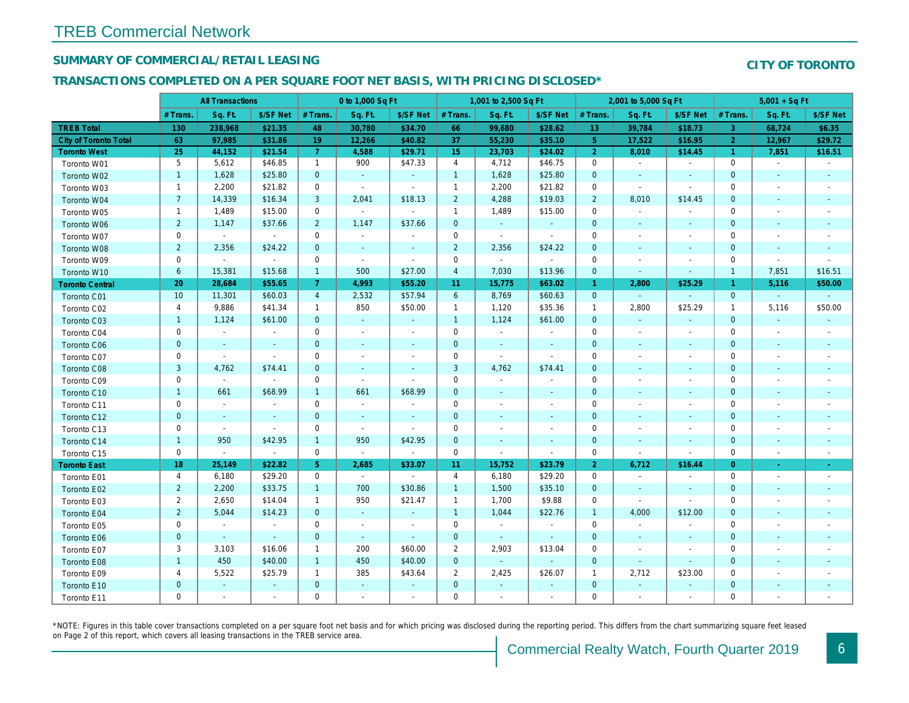## SUMMARY OF COMMERCIAL/RETAIL LEASING

## TRANSACTIONS COMPLETED ON A PER SQUARE FOOT NET BASIS, WITH PRICING DISCLOSED\*

|                        |                | <b>All Transactions</b> |                |                | 0 to 1,000 Sq Ft |                          |                     | 1,001 to 2,500 Sq Ft |                |                 | 2,001 to 5,000 Sq Ft     |                          |
|------------------------|----------------|-------------------------|----------------|----------------|------------------|--------------------------|---------------------|----------------------|----------------|-----------------|--------------------------|--------------------------|
|                        | # Trans.       | Sq. Ft.                 | \$/SF Net      | # Trans.       | Sq. Ft.          | \$/SF Net                | # Trans.            | Sq. Ft.              | \$/SF Net      | # Trans.        | Sq. Ft.                  | \$/SF Ne                 |
| <b>TREB Total</b>      | 130            | 238,968                 | \$21.35        | 48             | 30,780           | \$34.70                  | 66                  | 99,680               | \$28.62        | 13 <sup>°</sup> | 39,784                   | \$18.73                  |
| City of Toronto Total  | 63             | 97,985                  | \$31.86        | 19             | 12,266           | \$40.82                  | 37                  | 55,230               | \$35.10        | 5 <sup>5</sup>  | 17,522                   | \$16.95                  |
| <b>Toronto West</b>    | 25             | 44,152                  | \$21.54        | $\mathbf{7}$   | 4,588            | \$29.71                  | 15                  | 23,703               | \$24.02        | $\overline{2}$  | 8,010                    | \$14.45                  |
| Toronto W01            | 5              | 5,612                   | \$46.85        | $\mathbf{1}$   | 900              | \$47.33                  | $\overline{4}$      | 4,712                | \$46.75        | 0               | $\blacksquare$           | $\blacksquare$           |
| Toronto W02            | $\mathbf{1}$   | 1,628                   | \$25.80        | $\mathbf{0}$   | $\sim$           | $\blacksquare$           | $\overline{1}$      | 1,628                | \$25.80        | $\mathbf{0}$    | $\blacksquare$           | $\sim$                   |
| Toronto W03            | $\mathbf{1}$   | 2,200                   | \$21.82        | $\mathbf 0$    | $\bullet$        | $\blacksquare$           | $\mathbf{1}$        | 2,200                | \$21.82        | $\mathbf 0$     | $\omega$                 | $\blacksquare$           |
| Toronto W04            | $\overline{7}$ | 14,339                  | \$16.34        | 3              | 2,041            | \$18.13                  | $\overline{2}$      | 4,288                | \$19.03        | $\overline{2}$  | 8,010                    | \$14.45                  |
| Toronto W05            | $\mathbf{1}$   | 1,489                   | \$15.00        | $\mathbf 0$    | $\blacksquare$   | $\sim$                   | $\mathbf{1}$        | 1,489                | \$15.00        | $\mathbf 0$     | $\blacksquare$           |                          |
| Toronto W06            | $\overline{2}$ | 1,147                   | \$37.66        | $2^{\circ}$    | 1,147            | \$37.66                  | $\mathbf 0$         | $\sim$               | $\blacksquare$ | $\mathbf{0}$    | $\blacksquare$           | $\blacksquare$           |
| Toronto W07            | $\mathbf 0$    | $\sim$                  | $\sim$         | $\mathbf 0$    | $\blacksquare$   | $\blacksquare$           | $\mathbf 0$         | $\blacksquare$       | $\blacksquare$ | 0               | $\blacksquare$           | $\blacksquare$           |
| Toronto W08            | $\mathbf 2$    | 2,356                   | \$24.22        | $\mathbf 0$    | $\blacksquare$   | $\blacksquare$           | $\overline{2}$      | 2,356                | \$24.22        | $\mathbf{0}$    | $\blacksquare$           |                          |
| Toronto W09            | 0              | $\blacksquare$          | $\blacksquare$ | $\mathbf 0$    | $\blacksquare$   | $\blacksquare$           | $\mathbf 0$         | $\blacksquare$       | $\blacksquare$ | 0               | $\blacksquare$           | $\overline{\phantom{a}}$ |
| Toronto W10            | $6\phantom{a}$ | 15,381                  | \$15.68        | $\mathbf{1}$   | 500              | \$27.00                  | $\overline{a}$      | 7,030                | \$13.96        | $\mathbf{0}$    | $\sim$                   | $\blacksquare$           |
| <b>Toronto Central</b> | 20             | 28,684                  | \$55.65        | $\mathbf{7}$   | 4,993            | \$55.20                  | 11                  | 15,775               | \$63.02        | $\mathbf{1}$    | 2,800                    | \$25.29                  |
| Toronto C01            | 10             | 11,301                  | \$60.03        | $\overline{4}$ | 2,532            | \$57.94                  | $6\phantom{1}$      | 8,769                | \$60.63        | $\mathbf{0}$    | $\omega$                 | $\blacksquare$           |
| Toronto C02            | 4              | 9,886                   | \$41.34        | $\mathbf{1}$   | 850              | \$50.00                  | $\mathbf{1}$        | 1,120                | \$35.36        | $\overline{1}$  | 2,800                    | \$25.29                  |
| Toronto C03            | $\mathbf{1}$   | 1,124                   | \$61.00        | $\mathbf 0$    | $\blacksquare$   | $\blacksquare$           | $\overline{1}$      | 1,124                | \$61.00        | $\mathbf 0$     | $\blacksquare$           | $\blacksquare$           |
| Toronto C04            | 0              | $\sim$                  | $\blacksquare$ | $\mathbf 0$    | $\blacksquare$   | $\blacksquare$           | $\mathbf 0$         | $\blacksquare$       | $\blacksquare$ | 0               | $\blacksquare$           | $\overline{\phantom{a}}$ |
| Toronto C06            | $\pmb{0}$      | $\blacksquare$          | $\sim$         | $\mathbf 0$    | $\blacksquare$   | $\blacksquare$           | $\mathbf 0$         | $\blacksquare$       | $\blacksquare$ | $\mathbf 0$     | $\blacksquare$           | $\blacksquare$           |
| Toronto C07            | 0              | $\blacksquare$          | $\overline{a}$ | $\mathbf 0$    | $\blacksquare$   | $\blacksquare$           | $\mathbf 0$         | $\blacksquare$       | $\blacksquare$ | $\mathbf 0$     | $\blacksquare$           | $\blacksquare$           |
| Toronto C08            | $\mathsf 3$    | 4,762                   | \$74.41        | $\mathbf 0$    | $\blacksquare$   | $\blacksquare$           | $\mathbf{3}$        | 4,762                | \$74.41        | $\mathbf 0$     | $\sim$                   | $\blacksquare$           |
| Toronto C09            | 0              | $\blacksquare$          | $\sim$         | $\mathbf 0$    | $\blacksquare$   | $\overline{a}$           | $\mathbf 0$         | $\blacksquare$       | $\blacksquare$ | 0               | $\sim$                   | $\blacksquare$           |
| Toronto C10            | $\mathbf{1}$   | 661                     | \$68.99        | $\mathbf{1}$   | 661              | \$68.99                  | $\mathbf 0$         | $\blacksquare$       | $\sim$         | $\mathbf{0}$    | $\blacksquare$           | $\blacksquare$           |
| Toronto C11            | 0              | $\sim$                  | $\sim$         | $\mathbf 0$    | $\sim$           | $\tilde{\phantom{a}}$    | $\mathbf 0$         | $\sim$               | $\blacksquare$ | 0               | $\sim$                   | $\blacksquare$           |
| Toronto C12            | $\pmb{0}$      | $\sim$                  | $\sim$         | $\mathbf 0$    | $\sim$           | $\blacksquare$           | $\mathbf 0$         | $\blacksquare$       | $\blacksquare$ | $\mathbf 0$     | $\overline{\phantom{a}}$ | $\blacksquare$           |
| Toronto C13            | 0              | $\sim$                  | $\sim$         | $\mathbf 0$    | $\blacksquare$   | $\blacksquare$           | 0                   | $\blacksquare$       | $\blacksquare$ | 0               | $\blacksquare$           | $\overline{\phantom{a}}$ |
| Toronto C14            | $\mathbf{1}$   | 950                     | \$42.95        | $\mathbf{1}$   | 950              | \$42.95                  | $\mathbf 0$         | $\blacksquare$       | $\sim$         | $\mathbf{0}$    | $\blacksquare$           | $\blacksquare$           |
| Toronto C15            | 0              | $\omega$                | $\bullet$      | $\mathbf 0$    | $\sim$           | $\blacksquare$           | $\mathsf{O}\xspace$ | $\blacksquare$       | $\blacksquare$ | $\mathbf 0$     | $\blacksquare$           | $\blacksquare$           |
| <b>Toronto East</b>    | 18             | 25,149                  | \$22.82        | 5 <sup>5</sup> | 2,685            | \$33.07                  | 11                  | 15,752               | \$23.79        | $\overline{2}$  | 6,712                    | \$16.44                  |
| Toronto E01            | 4              | 6,180                   | \$29.20        | $\mathbf 0$    | $\sim$           | $\blacksquare$           | $\overline{4}$      | 6,180                | \$29.20        | $\mathbf{0}$    | $\sim$                   | $\sim$                   |
| Toronto E02            | $\overline{a}$ | 2,200                   | \$33.75        | $\mathbf{1}$   | 700              | \$30.86                  | $\overline{1}$      | 1,500                | \$35.10        | $\mathbf 0$     | $\sim$                   | $\sim$                   |
| Toronto E03            | 2              | 2,650                   | \$14.04        | $\mathbf{1}$   | 950              | \$21.47                  | $\mathbf{1}$        | 1,700                | \$9.88         | $\mathbf 0$     | $\blacksquare$           | $\blacksquare$           |
| Toronto E04            | $\overline{c}$ | 5,044                   | \$14.23        | $\mathbf{0}$   | $\sim$           | $\blacksquare$           | $\mathbf{1}$        | 1,044                | \$22.76        | $\mathbf{1}$    | 4,000                    | \$12.00                  |
| Toronto E05            | $\mathsf 0$    | $\blacksquare$          | $\sim$         | $\mathbf 0$    | $\blacksquare$   | $\overline{\phantom{a}}$ | $\mathsf 0$         | $\blacksquare$       | $\blacksquare$ | $\mathbf{0}$    | $\blacksquare$           | $\blacksquare$           |
| Toronto E06            | $\mathbf 0$    | $\omega$                | $\omega$       | $\mathbf{0}$   | $\omega$         | $\sim$                   | $\mathbf 0$         | $\blacksquare$       | $\blacksquare$ | $\mathbf{0}$    | $\blacksquare$           | $\blacksquare$           |
| Toronto E07            | 3              | 3,103                   | \$16.06        | $\mathbf{1}$   | 200              | \$60.00                  | $\overline{2}$      | 2,903                | \$13.04        | $\mathbf 0$     | $\blacksquare$           | $\blacksquare$           |
| Toronto E08            | $\mathbf{1}$   | 450                     | \$40.00        | $\mathbf{1}$   | 450              | \$40.00                  | $\mathbf{0}$        | $\blacksquare$       | $\omega$       | $\mathbf{0}$    | $\blacksquare$           | $\blacksquare$           |
| Toronto E09            | 4              | 5,522                   | \$25.79        | $\mathbf{1}$   | 385              | \$43.64                  | $\overline{2}$      | 2,425                | \$26.07        | $\mathbf{1}$    | 2,712                    | \$23.00                  |
| Toronto E10            | $\pmb{0}$      | $\blacksquare$          | $\blacksquare$ | $\mathbf 0$    | $\blacksquare$   | $\overline{\phantom{a}}$ | $\mathbf{0}$        | $\blacksquare$       | $\blacksquare$ | $\mathbf{0}$    | $\blacksquare$           | $\blacksquare$           |
| Toronto E11            | 0              | $\blacksquare$          | $\blacksquare$ | 0              | $\overline{a}$   | $\blacksquare$           | 0                   | $\overline{a}$       | $\blacksquare$ | $\mathbf 0$     | $\blacksquare$           |                          |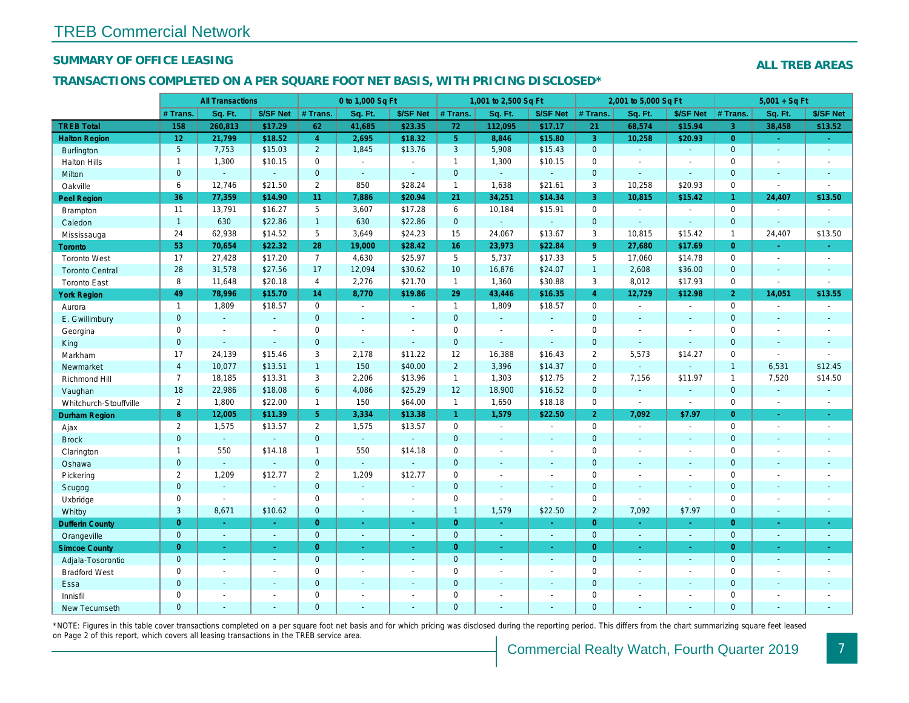## SUMMARY OF OFFICE LEASING

#### TRANSACTIONS COMPLETED ON A PER SQUARE FOOT NET BASIS, WITH PRICING DISCLOSED\*

|                        |                 | <b>All Transactions</b> |               |                | 0 to 1,000 Sq Ft      |                |                 | 1,001 to 2,500 Sq Ft |                          |                | 2,001 to 5,000 Sq Ft     |                          |
|------------------------|-----------------|-------------------------|---------------|----------------|-----------------------|----------------|-----------------|----------------------|--------------------------|----------------|--------------------------|--------------------------|
|                        | # Trans.        | Sq. Ft.                 | \$/SF Net     | # Trans.       | Sq. Ft.               | \$/SF Net      | $#$ Trans.      | Sq. Ft.              | \$/SF Net                | # Trans.       | Sq. Ft.                  | \$/SF Ne                 |
| <b>TREB Total</b>      | 158             | 260,813                 | \$17.29       | 62             | 41,685                | \$23.35        | 72              | 112,095              | \$17.17                  | 21             | 68,574                   | \$15.94                  |
| <b>Halton Region</b>   | 12 <sub>2</sub> | 21,799                  | \$18.52       | $\overline{4}$ | 2,695                 | \$18.32        | 5 <sup>1</sup>  | 8,846                | \$15.80                  | $\overline{3}$ | 10,258                   | \$20.93                  |
| <b>Burlington</b>      | $5\phantom{.0}$ | 7,753                   | \$15.03       | $2^{\circ}$    | 1,845                 | \$13.76        | $\mathbf{3}$    | 5,908                | \$15.43                  | $\overline{0}$ | $\omega$                 | $\blacksquare$           |
| <b>Halton Hills</b>    | $\mathbf{1}$    | 1,300                   | \$10.15       | $\mathbf 0$    | $\sim$                | $\blacksquare$ | $\mathbf{1}$    | 1,300                | \$10.15                  | $\mathbf 0$    | $\blacksquare$           | $\blacksquare$           |
| Milton                 | $\mathbf{0}$    | $\sim$                  | $\omega$      | $\mathbf{0}$   | $\sim$                | $\blacksquare$ | $\mathbf{0}$    | $\omega$             | $\blacksquare$           | $\mathbf{0}$   | $\sim$                   | $\blacksquare$           |
| Oakville               | 6               | 12,746                  | \$21.50       | $\overline{2}$ | 850                   | \$28.24        | $\mathbf{1}$    | 1,638                | \$21.61                  | 3              | 10,258                   | \$20.93                  |
| <b>Peel Region</b>     | 36              | 77,359                  | \$14.90       | 11             | 7,886                 | \$20.94        | 21              | 34,251               | \$14.34                  | 3              | 10,815                   | \$15.42                  |
| Brampton               | 11              | 13,791                  | \$16.27       | 5              | 3,607                 | \$17.28        | 6               | 10,184               | \$15.91                  | $\mathbf 0$    | $\omega$                 |                          |
| Caledon                | $\mathbf{1}$    | 630                     | \$22.86       | $\mathbf{1}$   | 630                   | \$22.86        | $\mathbf 0$     | $\blacksquare$       | $\omega$                 | $\mathbf{0}$   | $\blacksquare$           | $\blacksquare$           |
| Mississauga            | 24              | 62,938                  | \$14.52       | 5              | 3,649                 | \$24.23        | 15              | 24,067               | \$13.67                  | 3              | 10,815                   | \$15.42                  |
| <b>Toronto</b>         | 53              | 70,654                  | \$22.32       | 28             | 19,000                | \$28.42        | 16              | 23,973               | \$22.84                  | 9 <sup>°</sup> | 27,680                   | \$17.69                  |
| <b>Toronto West</b>    | 17              | 27,428                  | \$17.20       | $\overline{7}$ | 4,630                 | \$25.97        | 5               | 5,737                | \$17.33                  | 5              | 17,060                   | \$14.78                  |
| <b>Toronto Central</b> | 28              | 31,578                  | \$27.56       | 17             | 12,094                | \$30.62        | 10 <sup>°</sup> | 16,876               | \$24.07                  | $\mathbf{1}$   | 2,608                    | \$36.00                  |
| <b>Toronto East</b>    | 8               | 11,648                  | \$20.18       | $\overline{4}$ | 2,276                 | \$21.70        | $\mathbf{1}$    | 1,360                | \$30.88                  | 3              | 8,012                    | \$17.93                  |
| <b>York Region</b>     | 49              | 78,996                  | \$15.70       | 14             | 8,770                 | \$19.86        | 29              | 43,446               | \$16.35                  | $\overline{4}$ | 12,729                   | \$12.98                  |
| Aurora                 | $\mathbf{1}$    | 1,809                   | \$18.57       | $\mathbf 0$    | $\sim$                | $\blacksquare$ | $\mathbf{1}$    | 1,809                | \$18.57                  | $\mathbf 0$    | $\omega$                 | $\blacksquare$           |
| E. Gwillimbury         | $\mathbf{0}$    | $\omega$                | $\omega$      | $\Omega$       | ä,                    | $\blacksquare$ | $\mathbf{0}$    | ÷.                   | $\Delta$                 | $\mathbf{0}$   | $\omega$                 | $\blacksquare$           |
| Georgina               | 0               | $\sim$                  | $\sim$        | $\mathbf 0$    | $\blacksquare$        | $\blacksquare$ | $\mathbf 0$     | $\blacksquare$       | $\sim$                   | $\mathbf 0$    | $\blacksquare$           | $\blacksquare$           |
| King                   | $\mathbf{0}$    | $\omega$                | $\omega$      | $\overline{0}$ | $\omega$              | $\blacksquare$ | $\mathbf{0}$    | ä,                   | $\omega$                 | $\mathbf{0}$   | $\blacksquare$           | $\blacksquare$           |
| Markham                | 17              | 24,139                  | \$15.46       | 3              | 2,178                 | \$11.22        | 12              | 16,388               | \$16.43                  | $\overline{2}$ | 5,573                    | \$14.27                  |
| Newmarket              | $\overline{4}$  | 10,077                  | \$13.51       | $\mathbf{1}$   | 150                   | \$40.00        | $\overline{2}$  | 3,396                | \$14.37                  | $\mathbf{0}$   | $\omega$                 |                          |
| Richmond Hill          | $\overline{7}$  | 18,185                  | \$13.31       | 3              | 2,206                 | \$13.96        | $\mathbf{1}$    | 1,303                | \$12.75                  | $\overline{2}$ | 7,156                    | \$11.97                  |
| Vaughan                | 18              | 22,986                  | \$18.08       | 6              | 4,086                 | \$25.29        | 12              | 18,900               | \$16.52                  | $\overline{0}$ | $\blacksquare$           | $\blacksquare$           |
| Whitchurch-Stouffville | $\mathbf{2}$    | 1,800                   | \$22.00       | $\mathbf{1}$   | 150                   | \$64.00        | $\mathbf{1}$    | 1,650                | \$18.18                  | $\mathbf 0$    | $\blacksquare$           | $\blacksquare$           |
| Durham Region          | 8               | 12,005                  | \$11.39       | 5 <sup>5</sup> | 3,334                 | \$13.38        | $\mathbf{1}$    | 1,579                | \$22.50                  | $\overline{2}$ | 7,092                    | \$7.97                   |
| Ajax                   | $\overline{2}$  | 1,575                   | \$13.57       | $\overline{2}$ | 1,575                 | \$13.57        | $\mathbf{0}$    | $\sim$               | $\blacksquare$           | $\Omega$       | $\blacksquare$           | $\blacksquare$           |
| <b>Brock</b>           | $\mathbf 0$     | $\omega$                | $\omega$      | $\mathbf{0}$   | $\omega$              | $\omega$       | $\mathbf{0}$    | $\blacksquare$       | $\blacksquare$           | $\mathbf{0}$   | $\omega$                 | $\blacksquare$           |
| Clarington             | $\mathbf{1}$    | 550                     | \$14.18       | $\mathbf{1}$   | 550                   | \$14.18        | $\mathbf 0$     | $\sim$               | $\overline{\phantom{a}}$ | $\mathbf{0}$   | $\sim$                   | $\blacksquare$           |
| Oshawa                 | $\mathbf{0}$    |                         | $\sim$        | $\mathbf{0}$   | $\omega$              | $\blacksquare$ | $\mathbf{0}$    | ٠                    | $\blacksquare$           | $\mathbf{0}$   | $\sim$                   | $\blacksquare$           |
| Pickering              | $\overline{2}$  | 1,209                   | \$12.77       | $\overline{2}$ | 1,209                 | \$12.77        | $\mathbf 0$     | ÷.                   | $\blacksquare$           | $\mathbf 0$    | $\sim$                   | $\overline{\phantom{a}}$ |
| Scugog                 | $\mathbf 0$     | $\sim$                  | $\sim$        | $\mathbf{0}$   | $\omega$              | $\blacksquare$ | $\mathbf{0}$    | $\omega$             | $\sim$                   | $\mathbf{0}$   | $\omega$                 | $\blacksquare$           |
| Uxbridge               | $\mathbf 0$     | $\sim$                  | $\omega$      | $\mathbf 0$    | $\tilde{\phantom{a}}$ | $\blacksquare$ | $\mathsf 0$     | $\overline{a}$       | $\overline{\phantom{a}}$ | $\mathbf 0$    | $\overline{\phantom{a}}$ | $\blacksquare$           |
| Whitby                 | 3               | 8,671                   | \$10.62       | $\mathbf{0}$   | $\omega$              | $\sim$         | $\mathbf{1}$    | 1,579                | \$22.50                  | $\overline{2}$ | 7,092                    | \$7.97                   |
| <b>Dufferin County</b> | $\overline{0}$  | $\omega$                | $\sim$        | $\overline{0}$ | $\omega$              | $\omega$       | $\overline{0}$  | ÷.                   | $\omega$                 | $\overline{0}$ | ÷.                       | $\sim$                   |
| Orangeville            | $\mathbf{0}$    | $\omega$                | $\omega$      | $\overline{0}$ | $\omega$              | $\blacksquare$ | $\mathbf{0}$    | $\omega$             | $\omega$                 | $\overline{0}$ | $\omega$                 | $\bullet$ .              |
| <b>Simcoe County</b>   | $\overline{0}$  | $\omega$                | $\Delta \tau$ | $\overline{0}$ | $\omega$              | ÷.             | $\overline{0}$  | $\omega$             | $\omega$                 | $\overline{0}$ | $\omega$                 | $\omega_{\rm c}$         |
| Adjala-Tosorontio      | $\mathbf{0}$    | $\sim$                  | $\sim$        | $\mathbf{0}$   | $\blacksquare$        | $\blacksquare$ | $\mathbf 0$     | $\blacksquare$       | $\omega$                 | $\mathbf{0}$   | $\blacksquare$           | $\sim$                   |
| <b>Bradford West</b>   | 0               | $\sim$                  | $\sim$        | $\mathbf 0$    | $\blacksquare$        | $\blacksquare$ | $\mathbf 0$     | $\blacksquare$       | $\sim$                   | $\mathbf 0$    | $\blacksquare$           | $\blacksquare$           |
| Essa                   | $\mathbf{0}$    |                         |               | $\overline{0}$ | $\sim$                | $\blacksquare$ | $\mathbf{0}$    |                      | $\omega$                 | $\mathbf{0}$   | $\sim$                   |                          |
| Innisfil               | $\mathbf 0$     | $\blacksquare$          | $\sim$        | $\mathbf 0$    | $\tilde{\phantom{a}}$ | $\blacksquare$ | $\mathbf 0$     |                      | $\blacksquare$           | $\mathbf 0$    | $\sim$                   | $\blacksquare$           |
| <b>New Tecumseth</b>   | $\Omega$        |                         |               | $\Omega$       |                       |                | $\mathbf{0}$    |                      |                          | $\Omega$       |                          |                          |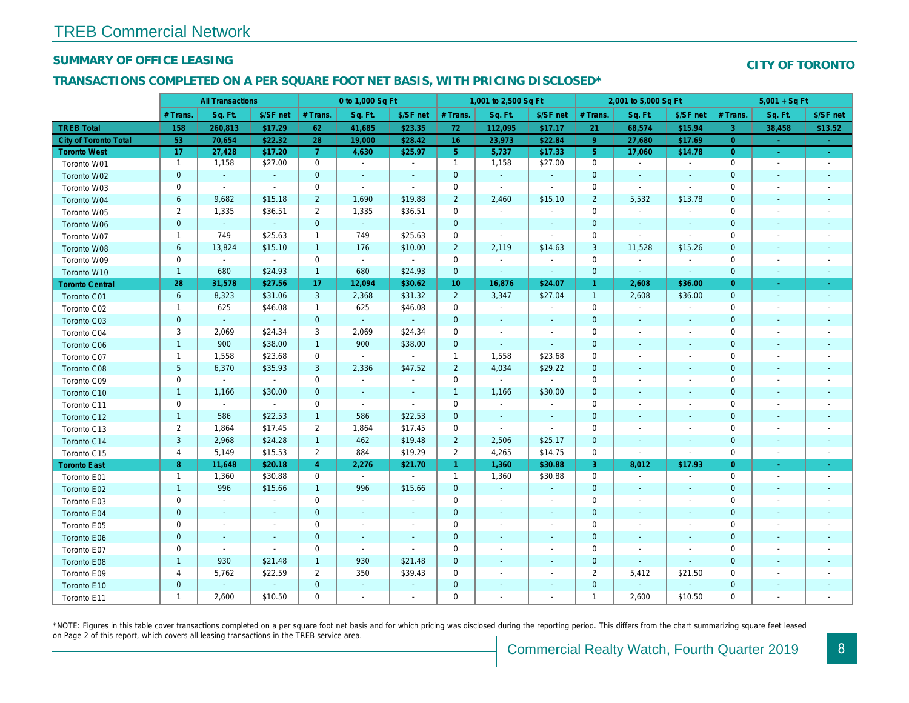## SUMMARY OF OFFICE LEASING

## TRANSACTIONS COMPLETED ON A PER SQUARE FOOT NET BASIS, WITH PRICING DISCLOSED\*

|                        | <b>All Transactions</b> |                | 0 to 1,000 Sq Ft |                |                |                          | 1,001 to 2,500 Sq Ft |                          |                          | 2,001 to 5,000 Sq Ft |                          |                          |
|------------------------|-------------------------|----------------|------------------|----------------|----------------|--------------------------|----------------------|--------------------------|--------------------------|----------------------|--------------------------|--------------------------|
|                        | # Trans.                | Sq. Ft.        | \$/SF net        | # Trans.       | Sq. Ft.        | \$/SF net                | # Trans.             | Sq. Ft.                  | \$/SF net                | # Trans.             | Sq. Ft.                  | \$/SF ne                 |
| <b>TREB Total</b>      | 158                     | 260,813        | \$17.29          | 62             | 41,685         | \$23.35                  | 72                   | 112,095                  | \$17.17                  | 21                   | 68,574                   | \$15.94                  |
| City of Toronto Total  | 53                      | 70,654         | \$22.32          | 28             | 19,000         | \$28.42                  | 16 <sup>°</sup>      | 23,973                   | \$22.84                  | 9                    | 27,680                   | \$17.69                  |
| <b>Toronto West</b>    | 17                      | 27,428         | \$17.20          | $\mathbf{7}$   | 4,630          | \$25.97                  | 5 <sub>5</sub>       | 5,737                    | \$17.33                  | $5\phantom{.0}$      | 17,060                   | \$14.78                  |
| Toronto W01            | $\mathbf{1}$            | 1,158          | \$27.00          | $\mathbf 0$    | $\sim$         | $\sim$                   | $\mathbf{1}$         | 1,158                    | \$27.00                  | $\mathbf 0$          | $\blacksquare$           | $\sim$                   |
| Toronto W02            | $\mathbf 0$             | $\sim$         | $\blacksquare$   | $\mathbf 0$    | $\blacksquare$ | $\blacksquare$           | $\mathbf 0$          | $\sim$                   | $\overline{\phantom{a}}$ | 0                    | $\sim$                   | $\sim$                   |
| Toronto W03            | 0                       | $\sim$         | $\sim$           | $\mathbf 0$    | $\blacksquare$ | $\blacksquare$           | $\mathbf 0$          | $\blacksquare$           | $\blacksquare$           | 0                    | $\sim$                   | $\sim$                   |
| Toronto W04            | 6                       | 9,682          | \$15.18          | $\overline{2}$ | 1,690          | \$19.88                  | $\overline{2}$       | 2,460                    | \$15.10                  | $\overline{2}$       | 5,532                    | \$13.78                  |
| Toronto W05            | $\overline{c}$          | 1,335          | \$36.51          | $\overline{2}$ | 1,335          | \$36.51                  | $\mathbf 0$          | $\blacksquare$           | $\blacksquare$           | 0                    | $\blacksquare$           |                          |
| Toronto W06            | $\pmb{0}$               | $\omega$       | $\omega$         | $\mathbf 0$    | $\omega$       |                          | $\mathbf 0$          | $\blacksquare$           | $\overline{\phantom{a}}$ | $\mathbf 0$          | $\overline{\phantom{a}}$ | $\sim$                   |
| Toronto W07            | $\mathbf{1}$            | 749            | \$25.63          | $\mathbf{1}$   | 749            | \$25.63                  | 0                    | $\blacksquare$           | $\blacksquare$           | 0                    | $\blacksquare$           | $\overline{\phantom{a}}$ |
| Toronto W08            | 6                       | 13,824         | \$15.10          | $\mathbf{1}$   | 176            | \$10.00                  | $\overline{2}$       | 2,119                    | \$14.63                  | 3                    | 11,528                   | \$15.26                  |
| Toronto W09            | 0                       | $\blacksquare$ | $\sim$           | $\mathbf 0$    | $\sim$         | $\blacksquare$           | $\mathbf 0$          | $\blacksquare$           | $\blacksquare$           | 0                    | $\overline{\phantom{a}}$ | $\sim$                   |
| Toronto W10            | $\mathbf{1}$            | 680            | \$24.93          | $\mathbf{1}$   | 680            | \$24.93                  | $\mathbf 0$          | $\sim$                   | $\blacksquare$           | $\mathbf 0$          | $\sim$                   | $\sim$                   |
| <b>Toronto Central</b> | 28                      | 31,578         | \$27.56          | 17             | 12,094         | \$30.62                  | 10 <sup>°</sup>      | 16,876                   | \$24.07                  | $\overline{1}$       | 2,608                    | \$36.00                  |
| Toronto C01            | 6                       | 8,323          | \$31.06          | 3              | 2,368          | \$31.32                  | $\overline{2}$       | 3,347                    | \$27.04                  | $\overline{1}$       | 2,608                    | \$36.00                  |
| Toronto C02            | $\mathbf{1}$            | 625            | \$46.08          | $\mathbf{1}$   | 625            | \$46.08                  | $\mathbf 0$          | $\blacksquare$           | $\blacksquare$           | 0                    | $\blacksquare$           | $\overline{\phantom{a}}$ |
| Toronto C03            | $\pmb{0}$               | $\blacksquare$ | $\blacksquare$   | $\mathbf 0$    | $\blacksquare$ |                          | 0                    | $\blacksquare$           | $\blacksquare$           | $\mathbf 0$          | $\overline{\phantom{a}}$ | $\sim$                   |
| Toronto C04            | 3                       | 2,069          | \$24.34          | 3              | 2,069          | \$24.34                  | 0                    | $\overline{\phantom{a}}$ |                          | 0                    |                          | $\overline{\phantom{a}}$ |
| <b>Toronto C06</b>     | $\mathbf{1}$            | 900            | \$38.00          | $\mathbf{1}$   | 900            | \$38.00                  | $\mathbf 0$          | $\blacksquare$           | $\blacksquare$           | $\pmb{0}$            | $\blacksquare$           | $\sim$                   |
| Toronto C07            | $\mathbf{1}$            | 1,558          | \$23.68          | $\mathbf 0$    | $\sim$         | $\sim$                   | $\mathbf{1}$         | 1,558                    | \$23.68                  | 0                    |                          | $\overline{\phantom{a}}$ |
| Toronto C08            | 5                       | 6,370          | \$35.93          | 3              | 2,336          | \$47.52                  | $\overline{2}$       | 4,034                    | \$29.22                  | $\mathbf 0$          |                          | $\blacksquare$           |
| Toronto C09            | 0                       | $\blacksquare$ | $\sim$           | $\mathbf 0$    | $\blacksquare$ | $\frac{1}{2}$            | $\mathsf{O}\xspace$  | $\blacksquare$           | $\blacksquare$           | $\mathbf 0$          |                          |                          |
| Toronto C10            | $\mathbf{1}$            | 1,166          | \$30.00          | $\mathbf{0}$   | $\sim$         | $\blacksquare$           | $\mathbf{1}$         | 1,166                    | \$30.00                  | $\mathbf 0$          | $\blacksquare$           | $\blacksquare$           |
| Toronto C11            | $\mathbf 0$             | $\blacksquare$ | $\blacksquare$   | $\mathbf 0$    | $\sim$         | $\blacksquare$           | $\mathbf 0$          | $\blacksquare$           | $\overline{\phantom{a}}$ | $\mathbf 0$          |                          |                          |
| Toronto C12            | $\mathbf{1}$            | 586            | \$22.53          | $\mathbf{1}$   | 586            | \$22.53                  | $\pmb{0}$            | $\blacksquare$           | $\blacksquare$           | $\pmb{0}$            |                          |                          |
| Toronto C13            | $\overline{2}$          | 1,864          | \$17.45          | $\overline{2}$ | 1,864          | \$17.45                  | 0                    | $\blacksquare$           | $\blacksquare$           | $\mathbf 0$          |                          |                          |
| Toronto C14            | 3                       | 2,968          | \$24.28          | $\mathbf{1}$   | 462            | \$19.48                  | $\overline{2}$       | 2,506                    | \$25.17                  | $\mathbf 0$          | $\blacksquare$           | $\blacksquare$           |
| Toronto C15            | $\overline{\mathbf{4}}$ | 5,149          | \$15.53          | $\overline{2}$ | 884            | \$19.29                  | $\overline{2}$       | 4,265                    | \$14.75                  | 0                    | $\sim$                   | $\blacksquare$           |
| <b>Toronto East</b>    | 8                       | 11,648         | \$20.18          | $\overline{4}$ | 2,276          | \$21.70                  | $\mathbf{1}$         | 1,360                    | \$30.88                  | 3                    | 8,012                    | \$17.93                  |
| Toronto E01            | 1                       | 1,360          | \$30.88          | $\mathbf 0$    | $\sim$         | $\blacksquare$           | $\mathbf{1}$         | 1,360                    | \$30.88                  | 0                    | $\blacksquare$           | $\sim$                   |
| Toronto E02            | $\mathbf{1}$            | 996            | \$15.66          | $\mathbf{1}$   | 996            | \$15.66                  | $\mathbf 0$          | $\omega$                 | $\blacksquare$           | $\mathbf 0$          | $\blacksquare$           | $\sim$                   |
| Toronto E03            | 0                       | $\blacksquare$ | $\blacksquare$   | $\mathbf 0$    | $\sim$         | $\overline{\phantom{a}}$ | $\mathbf 0$          | $\blacksquare$           | $\overline{\phantom{a}}$ | 0                    | $\overline{\phantom{a}}$ | $\overline{\phantom{a}}$ |
| Toronto E04            | $\pmb{0}$               | $\blacksquare$ | $\blacksquare$   | $\mathbf 0$    | $\blacksquare$ | ٠                        | 0                    | $\blacksquare$           | $\blacksquare$           | $\mathbf 0$          | ٠                        | $\sim$                   |
| Toronto E05            | 0                       | $\blacksquare$ | $\blacksquare$   | $\mathbf 0$    | $\sim$         | $\blacksquare$           | $\mathbf 0$          | $\blacksquare$           | $\blacksquare$           | $\mathbf 0$          | $\overline{\phantom{a}}$ | $\overline{\phantom{a}}$ |
| Toronto E06            | $\mathbf 0$             | $\sim$         | $\sim$           | $\mathbf 0$    | $\blacksquare$ | $\blacksquare$           | $\mathbf 0$          | $\sim$                   | $\blacksquare$           | $\mathbf 0$          | $\sim$                   | $\sim$                   |
| Toronto E07            | 0                       | $\blacksquare$ | $\blacksquare$   | $\mathbf 0$    | $\mathbf{r}$   | $\blacksquare$           | $\mathbf 0$          | $\blacksquare$           | $\blacksquare$           | 0                    | $\overline{\phantom{a}}$ | $\overline{\phantom{a}}$ |
| Toronto E08            | $\mathbf{1}$            | 930            | \$21.48          | $\mathbf{1}$   | 930            | \$21.48                  | $\mathbf 0$          | $\blacksquare$           | $\blacksquare$           | $\mathbf 0$          | $\sim$                   | $\overline{\phantom{a}}$ |
| Toronto E09            | 4                       | 5,762          | \$22.59          | 2              | 350            | \$39.43                  | 0                    | $\blacksquare$           | $\blacksquare$           | $\overline{2}$       | 5,412                    | \$21.50                  |
| Toronto E10            | $\pmb{0}$               | $\blacksquare$ | $\sim$           | $\mathbf 0$    | $\blacksquare$ | $\blacksquare$           | $\mathbf 0$          | $\blacksquare$           | $\blacksquare$           | $\mathbf 0$          | $\blacksquare$           | $\overline{\phantom{a}}$ |
| Toronto E11            | $\mathbf{1}$            | 2,600          | \$10.50          | $\mathbf 0$    | $\blacksquare$ | $\overline{\phantom{a}}$ | 0                    | $\blacksquare$           | $\blacksquare$           | $\mathbf{1}$         | 2,600                    | \$10.50                  |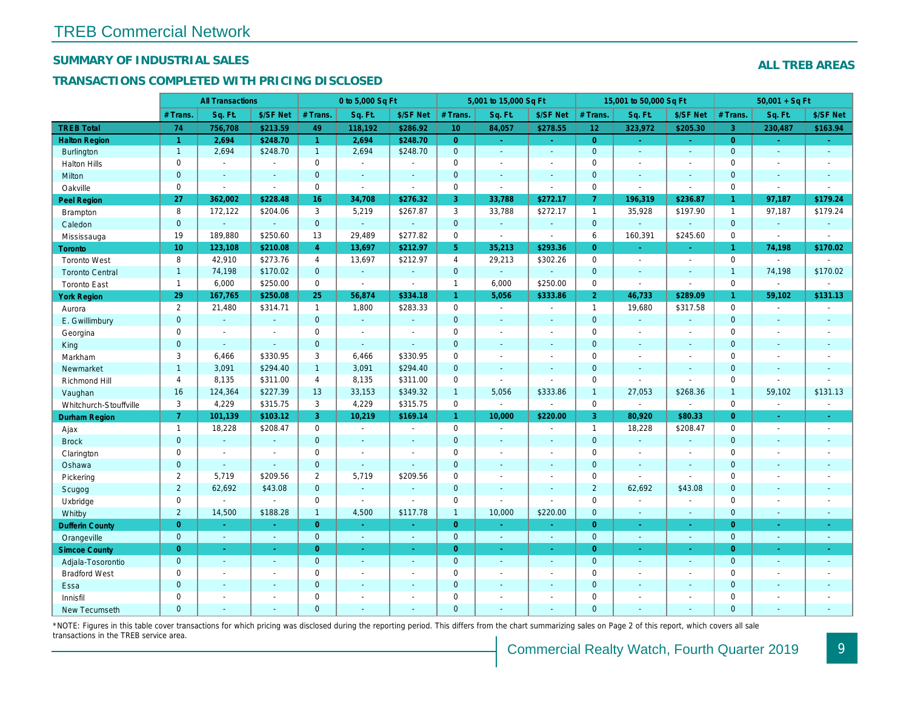## SUMMARY OF INDUSTRIAL SALES

## TRANSACTIONS COMPLETED WITH PRICING DISCLOSED

|                        |                 | <b>All Transactions</b> |                |                | 0 to 5,000 Sq Ft |                |                 | 5,001 to 15,000 Sq Ft    |                          |                 | 15,001 to 50,000 Sq Ft   |                  |
|------------------------|-----------------|-------------------------|----------------|----------------|------------------|----------------|-----------------|--------------------------|--------------------------|-----------------|--------------------------|------------------|
|                        | # Trans.        | Sq. Ft.                 | \$/SF Net      | # Trans.       | Sq. Ft.          | \$/SF Net      | # Trans.        | Sq. Ft.                  | \$/SF Net                | # Trans.        | Sq. Ft.                  | \$/SF Ne         |
| <b>TREB Total</b>      | 74              | 756,708                 | \$213.59       | 49             | 118,192          | \$286.92       | 10 <sup>°</sup> | 84,057                   | \$278.55                 | 12 <sub>2</sub> | 323,972                  | \$205.30         |
| <b>Halton Region</b>   | $\overline{1}$  | 2,694                   | \$248.70       | $\mathbf{1}$   | 2,694            | \$248.70       | $\overline{0}$  | $\omega_{\rm c}$         | $\omega_{\rm c}$         | $\overline{0}$  | $\blacksquare$           | $\omega_{\rm c}$ |
| <b>Burlington</b>      | $\mathbf{1}$    | 2,694                   | \$248.70       | $\mathbf{1}$   | 2,694            | \$248.70       | $\mathbf{0}$    | $\omega$                 | $\omega$                 | $\mathbf{0}$    | $\omega$                 | $\sim$           |
| <b>Halton Hills</b>    | $\mathbf 0$     | $\sim$                  | $\blacksquare$ | $\Omega$       | $\sim$           |                | $\mathbf 0$     | $\blacksquare$           | $\blacksquare$           | $\Omega$        | ÷,                       | $\sim$           |
| Milton                 | $\mathbf{0}$    | $\blacksquare$          | $\blacksquare$ | $\mathbf{0}$   | $\blacksquare$   | $\blacksquare$ | $\mathbf 0$     | $\blacksquare$           | $\blacksquare$           | $\mathbf 0$     | $\blacksquare$           | $\blacksquare$   |
| Oakville               | $\mathbf 0$     | $\blacksquare$          | $\blacksquare$ | $\mathbf 0$    | $\blacksquare$   | $\sim$         | 0               | $\blacksquare$           | $\sim$                   | $\mathbf 0$     | $\blacksquare$           | $\blacksquare$   |
| <b>Peel Region</b>     | 27              | 362,002                 | \$228.48       | 16             | 34,708           | \$276.32       | 3               | 33,788                   | \$272.17                 | $\mathbf{7}$    | 196,319                  | \$236.87         |
| Brampton               | 8               | 172,122                 | \$204.06       | 3              | 5,219            | \$267.87       | 3               | 33,788                   | \$272.17                 | $\overline{1}$  | 35,928                   | \$197.90         |
| Caledon                | $\mathbf{0}$    | $\blacksquare$          | $\omega$       | $\mathbf{0}$   | $\omega$         | $\sim$         | $\mathbf{0}$    | $\omega$                 | $\omega$                 | $\mathbf{0}$    | $\omega$                 | $\omega$         |
| Mississauga            | 19              | 189,880                 | \$250.60       | 13             | 29.489           | \$277.82       | $\mathbf 0$     | $\overline{\phantom{a}}$ | $\blacksquare$           | 6               | 160,391                  | \$245.60         |
| Toronto                | 10 <sup>°</sup> | 123,108                 | \$210.08       | $\overline{4}$ | 13,697           | \$212.97       | 5 <sup>5</sup>  | 35,213                   | \$293.36                 | $\overline{0}$  | ÷.                       | $\bullet$ .      |
| <b>Toronto West</b>    | 8               | 42,910                  | \$273.76       | $\overline{4}$ | 13,697           | \$212.97       | $\overline{4}$  | 29,213                   | \$302.26                 | $\mathbf 0$     | $\blacksquare$           | $\sim$           |
| <b>Toronto Central</b> | $\overline{1}$  | 74,198                  | \$170.02       | $\mathbf{0}$   | $\omega$         | $\Delta$       | $\mathbf{0}$    | ä,                       | ä,                       | $\mathbf{0}$    | $\blacksquare$           | $\omega$         |
| <b>Toronto East</b>    | $\mathbf{1}$    | 6,000                   | \$250.00       | $\mathbf 0$    | $\blacksquare$   | $\blacksquare$ | $\mathbf{1}$    | 6,000                    | \$250.00                 | $\mathbf 0$     | $\blacksquare$           | $\blacksquare$   |
| <b>York Region</b>     | 29              | 167,765                 | \$250.08       | 25             | 56,874           | \$334.18       | $\mathbf{1}$    | 5,056                    | \$333.86                 | $\overline{2}$  | 46,733                   | \$289.09         |
| Aurora                 | $\overline{2}$  | 21,480                  | \$314.71       | $\mathbf{1}$   | 1,800            | \$283.33       | $\mathbf 0$     | $\sim$                   | $\blacksquare$           | $\overline{1}$  | 19,680                   | \$317.58         |
| E. Gwillimbury         | $\mathbf{0}$    | $\blacksquare$          | $\sim$         | $\mathbf{0}$   | $\omega$         |                | $\pmb{0}$       | $\blacksquare$           | $\blacksquare$           | $\mathbf 0$     | ä,                       | $\blacksquare$   |
| Georgina               | $\mathbf 0$     | $\blacksquare$          | $\blacksquare$ | $\mathbf 0$    | $\sim$           | $\sim$         | $\mathbf 0$     | $\blacksquare$           | $\blacksquare$           | $\mathbf 0$     | $\blacksquare$           | $\blacksquare$   |
| King                   | $\overline{0}$  | $\sim$                  | $\sim$         | $\mathbf{0}$   | $\sim$           | $\sim$         | $\mathbf 0$     | $\blacksquare$           | $\blacksquare$           | $\mathbf{0}$    | $\blacksquare$           | $\sim$           |
| Markham                | 3               | 6,466                   | \$330.95       | 3              | 6,466            | \$330.95       | $\pmb{0}$       | $\blacksquare$           | $\overline{\phantom{a}}$ | $\mathbf 0$     | $\blacksquare$           | $\blacksquare$   |
| Newmarket              | $\mathbf{1}$    | 3,091                   | \$294.40       | $\mathbf{1}$   | 3,091            | \$294.40       | $\mathbf 0$     | $\blacksquare$           | $\blacksquare$           | $\mathbf{0}$    | $\blacksquare$           | $\blacksquare$   |
| Richmond Hill          | $\overline{4}$  | 8,135                   | \$311.00       | $\overline{4}$ | 8,135            | \$311.00       | $\mathbf 0$     | $\blacksquare$           | $\blacksquare$           | $\mathbf 0$     | $\blacksquare$           | $\blacksquare$   |
| Vaughan                | 16              | 124,364                 | \$227.39       | 13             | 33,153           | \$349.32       | $\mathbf{1}$    | 5,056                    | \$333.86                 | $\overline{1}$  | 27,053                   | \$268.36         |
| Whitchurch-Stouffville | 3               | 4,229                   | \$315.75       | 3              | 4,229            | \$315.75       | 0               | $\overline{\phantom{a}}$ | $\sim$                   | $\mathbf 0$     | $\overline{\phantom{a}}$ | $\blacksquare$   |
| <b>Durham Region</b>   | $\mathbf{7}$    | 101,139                 | \$103.12       | 3              | 10,219           | \$169.14       | $\mathbf{1}$    | 10,000                   | \$220.00                 | $\overline{3}$  | 80,920                   | \$80.33          |
| Ajax                   | $\mathbf{1}$    | 18,228                  | \$208.47       | 0              | $\blacksquare$   | $\blacksquare$ | $\pmb{0}$       | $\blacksquare$           | $\sim$                   | $\mathbf{1}$    | 18,228                   | \$208.47         |
| <b>Brock</b>           | $\mathbf{0}$    | $\sim$                  | $\sim$         | $\mathbf{0}$   | $\Delta$         | $\sim$         | $\mathbf 0$     | $\blacksquare$           | $\blacksquare$           | $\mathbf 0$     | $\omega$                 | $\sim$           |
| Clarington             | $\mathbf 0$     | $\blacksquare$          | $\blacksquare$ | $\mathbf 0$    | $\blacksquare$   |                | $\pmb{0}$       | $\blacksquare$           | $\blacksquare$           | $\mathbf 0$     | $\blacksquare$           | $\blacksquare$   |
| Oshawa                 | $\overline{0}$  | $\blacksquare$          | $\omega$       | $\overline{0}$ | $\blacksquare$   | $\blacksquare$ | $\mathbf 0$     | $\blacksquare$           | $\blacksquare$           | $\mathbf{0}$    | $\blacksquare$           | $\blacksquare$   |
| Pickering              | $\overline{2}$  | 5,719                   | \$209.56       | 2              | 5,719            | \$209.56       | $\mathbf 0$     | $\blacksquare$           | $\blacksquare$           | $\mathbf 0$     | $\blacksquare$           | $\blacksquare$   |
| Scugog                 | $\overline{2}$  | 62,692                  | \$43.08        | $\mathbf{0}$   | $\omega$         |                | $\mathbf 0$     | $\blacksquare$           | $\blacksquare$           | 2               | 62,692                   | \$43.08          |
| Uxbridge               | $\mathbf 0$     | $\blacksquare$          | $\blacksquare$ | $\mathbf 0$    | $\blacksquare$   |                | 0               | $\overline{a}$           | $\blacksquare$           | $\mathbf 0$     | $\overline{a}$           | $\blacksquare$   |
| Whitby                 | $\overline{c}$  | 14,500                  | \$188.28       | $\mathbf{1}$   | 4,500            | \$117.78       | $\mathbf{1}$    | 10,000                   | \$220.00                 | $\mathbf{0}$    | $\blacksquare$           | $\sim$           |
| <b>Dufferin County</b> | $\overline{0}$  | $\sim$                  | $\sim$         | $\overline{0}$ | a.               | $\sim$         | $\overline{0}$  | ٠                        | ٠                        | $\overline{0}$  | ×.                       | $\sim$           |
| Orangeville            | $\mathbf{0}$    | $\omega$                | $\omega$       | $\mathbf 0$    | $\omega$         | $\omega$       | $\mathbf{0}$    | $\omega$                 | ÷.                       | $\mathbf{0}$    | $\omega$                 | $\sim$           |
| <b>Simcoe County</b>   | $\overline{0}$  | $\sim$                  | $\omega$       | $\overline{0}$ | $\omega$         | $\omega$       | $\overline{0}$  | $\omega$                 | $\omega$                 | $\overline{0}$  | $\blacksquare$           | $\sim$           |
| Adjala-Tosorontio      | $\mathbf{0}$    | $\sim$                  | $\sim$         | $\mathbf{0}$   | $\sim$           | $\sim$         | $\mathbf 0$     | $\omega$                 | $\blacksquare$           | $\mathbf 0$     | $\blacksquare$           | $\sim$           |
| <b>Bradford West</b>   | $\mathbf 0$     | $\sim$                  | $\blacksquare$ | $\mathbf 0$    | $\sim$           | $\sim$         | $\pmb{0}$       | $\blacksquare$           | $\blacksquare$           | $\mathbf 0$     | $\blacksquare$           | $\blacksquare$   |
| Essa                   | $\mathbf{0}$    | $\sim$                  | $\sim$         | $\mathbf{0}$   |                  |                | $\pmb{0}$       | $\blacksquare$           | $\blacksquare$           | $\mathbf 0$     | $\blacksquare$           |                  |
| Innisfil               | $\mathbf 0$     | $\blacksquare$          | $\blacksquare$ | $\mathbf 0$    | $\sim$           | $\blacksquare$ | $\mathbf 0$     | $\blacksquare$           | $\blacksquare$           | $\mathbf 0$     | $\blacksquare$           | $\blacksquare$   |
| <b>New Tecumseth</b>   | $\Omega$        |                         |                | $\Omega$       |                  |                | $\Omega$        |                          |                          | $\Omega$        |                          |                  |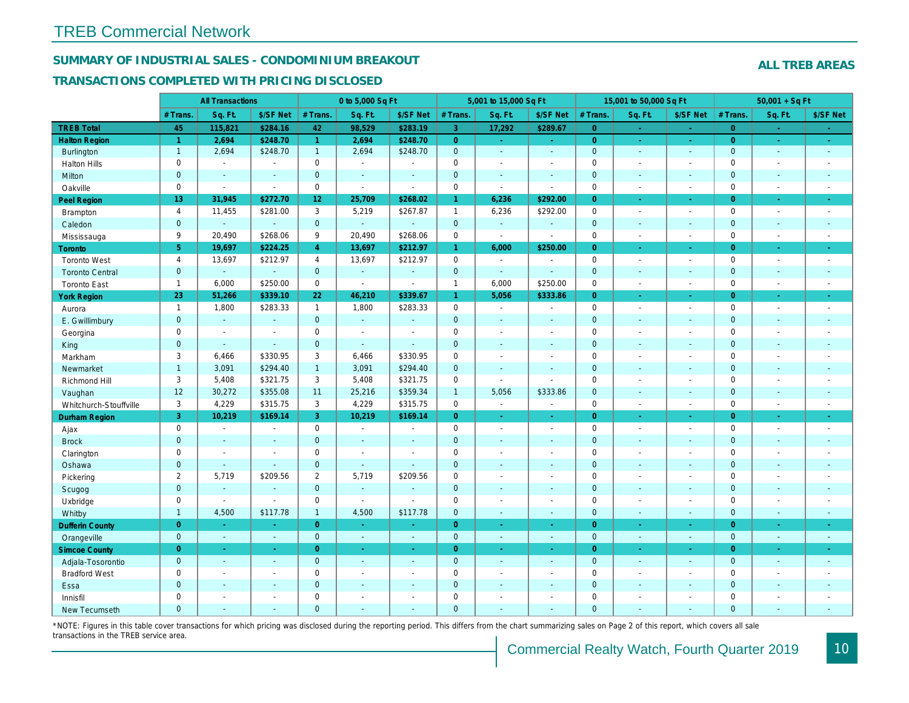## SUMMARY OF INDUSTRIAL SALES - CONDOMINIUM BREAKOUT

#### TRANSACTIONS COMPLETED WITH PRICING DISCLOSED

|                        |                     | <b>All Transactions</b> |                       |                 | 0 to 5,000 Sq Ft |                |                | 5,001 to 15,000 Sq Ft    |                          |                | 15,001 to 50,000 Sq Ft |                  |
|------------------------|---------------------|-------------------------|-----------------------|-----------------|------------------|----------------|----------------|--------------------------|--------------------------|----------------|------------------------|------------------|
|                        | # Trans.            | Sq. Ft.                 | \$/SF Net             | # Trans.        | Sq. Ft.          | \$/SF Net      | # Trans.       | Sq. Ft.                  | \$/SF Net                | # Trans.       | Sq. Ft.                | \$/SF Ne         |
| <b>TREB Total</b>      | 45                  | 115,821                 | \$284.16              | 42              | 98,529           | \$283.19       | $\overline{3}$ | 17,292                   | \$289.67                 | $\overline{0}$ | a.                     | $\sim$           |
| <b>Halton Region</b>   | $\overline{1}$      | 2,694                   | \$248.70              | $\mathbf{1}$    | 2,694            | \$248.70       | $\overline{0}$ | $\omega_{\rm c}$         | $\omega_{\rm{eff}}$      | $\overline{0}$ | $\bullet$              | $\sim$           |
| <b>Burlington</b>      | $\mathbf{1}$        | 2,694                   | \$248.70              | $\mathbf{1}$    | 2,694            | \$248.70       | $\mathbf{0}$   | $\blacksquare$           | $\blacksquare$           | $\mathbf 0$    | $\blacksquare$         | $\sim$           |
| <b>Halton Hills</b>    | $\mathbf 0$         | $\sim$                  | $\blacksquare$        | $\mathbf 0$     | $\sim$           |                | $\mathbf 0$    | $\blacksquare$           | $\blacksquare$           | $\mathbf 0$    | L.                     | $\blacksquare$   |
| Milton                 | $\mathbf{0}$        | $\blacksquare$          | $\blacksquare$        | $\mathbf{0}$    | $\sim$           | $\blacksquare$ | $\pmb{0}$      | $\blacksquare$           | $\blacksquare$           | $\mathbf{0}$   | $\blacksquare$         | $\sim$           |
| Oakville               | $\mathbf 0$         | $\blacksquare$          | $\blacksquare$        | $\mathbf{0}$    | $\sim$           | $\sim$         | 0              | $\tilde{\phantom{a}}$    | $\sim$                   | $\mathbf 0$    | $\sim$                 | $\sim$           |
| <b>Peel Region</b>     | 13                  | 31,945                  | \$272.70              | 12 <sub>2</sub> | 25,709           | \$268.02       | $\mathbf{1}$   | 6,236                    | \$292.00                 | $\overline{0}$ | ×.                     | $\sim$           |
| Brampton               | $\overline{4}$      | 11,455                  | \$281.00              | 3               | 5,219            | \$267.87       | $\mathbf{1}$   | 6,236                    | \$292.00                 | $\mathbf 0$    | $\blacksquare$         | $\sim$           |
| Caledon                | $\mathbf{0}$        | $\blacksquare$          | $\omega$              | $\mathbf{0}$    | $\omega$         | $\sim$         | $\mathbf 0$    | $\blacksquare$           | $\blacksquare$           | $\mathbf 0$    | $\blacksquare$         | $\sim$           |
| Mississauga            | 9                   | 20,490                  | \$268.06              | 9               | 20,490           | \$268.06       | 0              | $\blacksquare$           | $\sim$                   | $\mathbf 0$    | $\sim$                 | $\sim$           |
| <b>Toronto</b>         | 5 <sup>5</sup>      | 19,697                  | \$224.25              | $\overline{4}$  | 13,697           | \$212.97       | $\mathbf{1}$   | 6,000                    | \$250.00                 | $\Omega$       | ÷.                     | $\omega_{\rm c}$ |
| <b>Toronto West</b>    | $\overline{4}$      | 13,697                  | \$212.97              | 4               | 13,697           | \$212.97       | 0              | $\blacksquare$           | $\sim$                   | $\mathbf 0$    | $\blacksquare$         | $\sim$           |
| <b>Toronto Central</b> | $\mathbf{0}$        | $\omega$                | $\omega$              | $\mathbf{0}$    | ÷.               | $\sim$         | $\mathbf 0$    | $\omega$                 | $\sim$                   | $\mathbf 0$    | $\blacksquare$         | $\blacksquare$   |
| <b>Toronto East</b>    | $\mathbf{1}$        | 6,000                   | \$250.00              | $\mathbf 0$     | $\blacksquare$   | $\blacksquare$ | $\mathbf{1}$   | 6,000                    | \$250.00                 | $\mathbf 0$    | $\sim$                 | $\sim$           |
| <b>York Region</b>     | 23                  | 51,266                  | \$339.10              | 22              | 46,210           | \$339.67       | $\mathbf{1}$   | 5,056                    | \$333.86                 | $\overline{0}$ | $\blacksquare$         | $\bullet$ .      |
| Aurora                 | $\mathbf{1}$        | 1,800                   | \$283.33              | $\mathbf{1}$    | 1,800            | \$283.33       | 0              | $\sim$                   | $\blacksquare$           | $\mathbf 0$    | $\blacksquare$         | $\sim$           |
| E. Gwillimbury         | $\mathbf{0}$        | $\omega$                | $\omega$              | $\mathbf{0}$    | $\omega$         | $\sim$         | $\mathbf 0$    | $\blacksquare$           | $\blacksquare$           | $\mathbf{0}$   | $\blacksquare$         | $\blacksquare$   |
| Georgina               | $\mathbf 0$         | $\blacksquare$          | $\blacksquare$        | $\mathbf 0$     | $\blacksquare$   | $\sim$         | $\pmb{0}$      | $\overline{\phantom{a}}$ | $\blacksquare$           | $\mathbf 0$    | $\blacksquare$         | $\blacksquare$   |
| King                   | $\overline{0}$      | $\blacksquare$          | $\blacksquare$        | $\mathbf{0}$    | $\sim$           | $\sim$         | $\mathbf 0$    | $\sim$                   | $\blacksquare$           | $\mathbf 0$    | $\blacksquare$         | $\sim$           |
| Markham                | 3                   | 6,466                   | \$330.95              | 3               | 6,466            | \$330.95       | $\mathbf 0$    | $\blacksquare$           | $\overline{\phantom{a}}$ | $\mathbf 0$    | $\blacksquare$         | $\blacksquare$   |
| Newmarket              | $\mathbf{1}$        | 3,091                   | \$294.40              | $\mathbf{1}$    | 3,091            | \$294.40       | $\mathbf{0}$   | $\blacksquare$           | $\blacksquare$           | $\mathbf{0}$   | ÷.                     | $\sim$           |
| Richmond Hill          | 3                   | 5,408                   | \$321.75              | 3               | 5,408            | \$321.75       | $\mathbf 0$    | $\blacksquare$           | $\blacksquare$           | $\mathbf 0$    | $\sim$                 | $\blacksquare$   |
| Vaughan                | 12                  | 30,272                  | \$355.08              | 11              | 25,216           | \$359.34       | $\mathbf{1}$   | 5,056                    | \$333.86                 | $\mathbf{0}$   | ä,                     | $\sim$           |
| Whitchurch-Stouffville | 3                   | 4,229                   | \$315.75              | 3               | 4,229            | \$315.75       | $\mathbf 0$    | $\blacksquare$           | L.                       | $\mathbf 0$    | ÷,                     | $\sim$           |
| Durham Region          | 3                   | 10,219                  | \$169.14              | 3               | 10,219           | \$169.14       | $\overline{0}$ | $\frac{1}{\sqrt{2}}$     | $\blacksquare$           | $\overline{0}$ | $\blacksquare$         | $\bullet$        |
| Ajax                   | $\mathbf 0$         | $\blacksquare$          | $\blacksquare$        | $\mathbf 0$     | $\sim$           | $\blacksquare$ | $\pmb{0}$      | $\blacksquare$           | $\blacksquare$           | $\mathbf 0$    | $\blacksquare$         | $\sim$           |
| <b>Brock</b>           | $\mathbf{0}$        | $\blacksquare$          | $\sim$                | $\mathbf{0}$    | $\Delta$         | $\sim$         | $\mathbf 0$    | $\omega$                 | $\blacksquare$           | $\mathbf 0$    | $\blacksquare$         | $\blacksquare$   |
| Clarington             | $\mathsf{O}\xspace$ | $\tilde{\phantom{a}}$   | $\tilde{\phantom{a}}$ | $\mathbf 0$     | $\sim$           |                | $\pmb{0}$      | $\overline{a}$           | $\blacksquare$           | $\mathbf 0$    | ÷,                     | $\blacksquare$   |
| Oshawa                 | $\mathbf{0}$        | $\blacksquare$          | $\blacksquare$        | $\mathbf{0}$    | $\sim$           | $\sim$         | $\mathbf 0$    | $\blacksquare$           | $\blacksquare$           | $\mathbf{0}$   | $\blacksquare$         | $\blacksquare$   |
| Pickering              | $\overline{2}$      | 5,719                   | \$209.56              | $\overline{2}$  | 5,719            | \$209.56       | $\pmb{0}$      | $\blacksquare$           | $\blacksquare$           | $\mathbf 0$    | L.                     | $\blacksquare$   |
| Scugog                 | $\overline{0}$      | $\blacksquare$          | $\blacksquare$        | $\mathbf{0}$    | $\omega$         |                | $\mathbf 0$    | $\omega$                 | $\blacksquare$           | $\mathbf{0}$   | $\omega$               | $\blacksquare$   |
| Uxbridge               | $\mathbf 0$         | $\blacksquare$          | $\omega$              | $\mathbf 0$     | $\blacksquare$   |                | $\mathbf 0$    | $\blacksquare$           | $\overline{\phantom{a}}$ | $\mathbf 0$    | L.                     | $\blacksquare$   |
| Whitby                 | $\mathbf{1}$        | 4,500                   | \$117.78              | $\mathbf{1}$    | 4,500            | \$117.78       | $\mathbf{0}$   | $\blacksquare$           | $\blacksquare$           | $\mathbf{0}$   | $\blacksquare$         | $\sim$           |
| <b>Dufferin County</b> | $\overline{0}$      | $\sim$                  | $\sim$                | $\overline{0}$  | i.               | $\sim$         | $\overline{0}$ | $\blacksquare$           | ×.                       | $\overline{0}$ | ×.                     | $\sim$           |
| Orangeville            | $\mathbf{0}$        | $\omega$                | $\omega$              | $\mathbf 0$     | $\omega$         | $\omega$       | $\mathbf{0}$   | $\omega$                 | $\omega$                 | $\mathbf 0$    | $\omega$               | $\omega_{\rm c}$ |
| <b>Simcoe County</b>   | $\overline{0}$      | $\omega$                | $\omega$              | $\overline{0}$  | $\omega$         | $\omega$       | $\overline{0}$ | ä,                       | $\omega$                 | $\overline{0}$ | $\blacksquare$         | $\sigma_{\rm c}$ |
| Adjala-Tosorontio      | $\mathbf{0}$        | $\sim$                  | $\sim$                | $\mathbf{0}$    | $\sim$           | $\sim$         | $\mathbf 0$    | $\mathbf{r}$             | $\blacksquare$           | $\mathbf 0$    | $\blacksquare$         | $\sim$           |
| <b>Bradford West</b>   | $\mathbf 0$         | $\blacksquare$          | $\omega$              | $\mathbf 0$     | $\sim$           | $\sim$         | $\pmb{0}$      | $\blacksquare$           | $\blacksquare$           | $\mathbf 0$    | $\overline{a}$         | $\blacksquare$   |
| Essa                   | $\mathbf{0}$        | $\sim$                  | $\sim$                | $\mathbf{0}$    |                  | $\sim$         | $\pmb{0}$      | $\blacksquare$           | $\blacksquare$           | $\mathbf 0$    | $\blacksquare$         |                  |
| Innisfil               | $\mathbf 0$         | $\blacksquare$          | $\blacksquare$        | $\mathbf 0$     | $\blacksquare$   | $\blacksquare$ | $\pmb{0}$      | $\blacksquare$           | $\blacksquare$           | $\mathbf 0$    | $\blacksquare$         | $\blacksquare$   |
| <b>New Tecumseth</b>   | $\Omega$            |                         |                       | $\Omega$        |                  |                | $\Omega$       |                          |                          | $\Omega$       |                        |                  |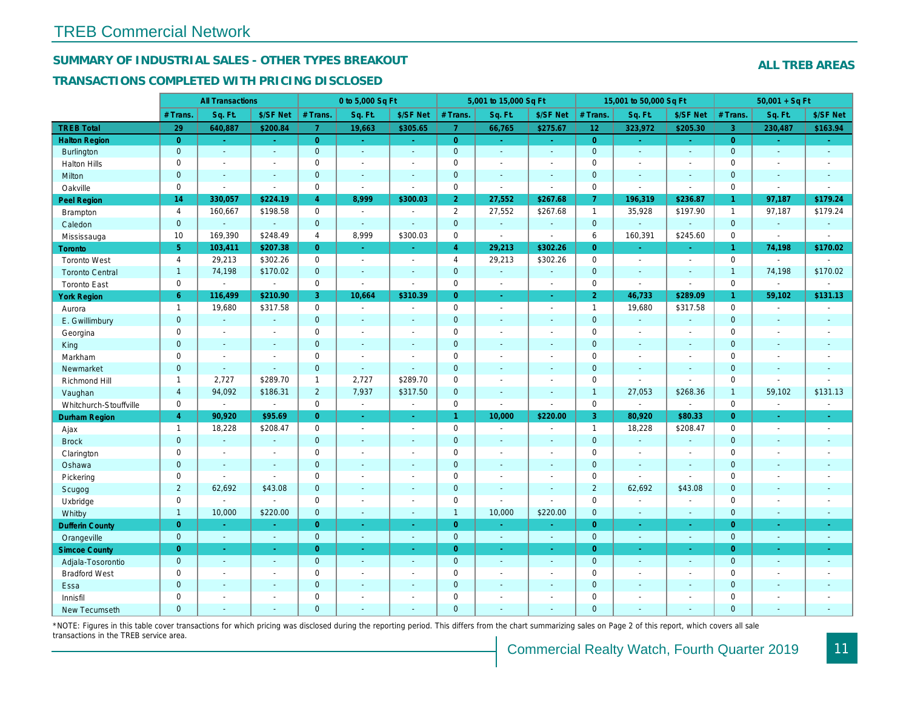## SUMMARY OF INDUSTRIAL SALES - OTHER TYPES BREAKOUT

#### TRANSACTIONS COMPLETED WITH PRICING DISCLOSED

|                        |                | <b>All Transactions</b> |                          |                | 0 to 5,000 Sq Ft         |                          |                | 5,001 to 15,000 Sq Ft    |                          |                 | 15,001 to 50,000 Sq Ft   |                  |
|------------------------|----------------|-------------------------|--------------------------|----------------|--------------------------|--------------------------|----------------|--------------------------|--------------------------|-----------------|--------------------------|------------------|
|                        | # Trans.       | Sq. Ft.                 | \$/SF Net                | # Trans.       | Sq. Ft.                  | \$/SF Net                | # Trans.       | Sq. Ft.                  | \$/SF Net                | # Trans.        | Sq. Ft.                  | \$/SF Ne         |
| <b>TREB Total</b>      | 29             | 640,887                 | \$200.84                 | $\overline{7}$ | 19,663                   | \$305.65                 | $\mathbf{7}$   | 66,765                   | \$275.67                 | 12 <sub>2</sub> | 323,972                  | \$205.30         |
| <b>Halton Region</b>   | $\overline{0}$ | $\sim$                  | $\omega_{\rm c}$         | $\overline{0}$ | $\omega$                 | $\sim$                   | $\overline{0}$ | $\omega$                 | $\omega_{\rm c}$         | $\overline{0}$  | $\sim$                   | $\omega_{\rm c}$ |
| <b>Burlington</b>      | $\mathbf{0}$   | $\omega$                | $\omega$                 | $\overline{0}$ | $\omega$                 | $\omega$                 | $\mathbf{0}$   | $\blacksquare$           | $\mathbf{u}$             | $\mathbf{0}$    | ä,                       | $\sim$           |
| <b>Halton Hills</b>    | $\mathbf 0$    | $\blacksquare$          | $\blacksquare$           | $\mathbf 0$    | $\blacksquare$           |                          | $\mathbf 0$    | $\sim$                   | $\blacksquare$           | $\mathbf 0$     | ÷,                       | $\blacksquare$   |
| Milton                 | $\mathbf{0}$   | $\blacksquare$          | $\blacksquare$           | $\mathbf 0$    | $\blacksquare$           | $\blacksquare$           | $\mathbf{0}$   | $\blacksquare$           | $\blacksquare$           | $\mathbf{0}$    | $\blacksquare$           | $\blacksquare$   |
| Oakville               | $\mathbf 0$    | $\blacksquare$          | $\blacksquare$           | $\mathbf 0$    | $\blacksquare$           | $\blacksquare$           | $\mathbf 0$    | $\tilde{\phantom{a}}$    | $\sim$                   | $\mathbf 0$     | L.                       | $\blacksquare$   |
| Peel Region            | 14             | 330,057                 | \$224.19                 | $\overline{4}$ | 8,999                    | \$300.03                 | 2 <sub>1</sub> | 27,552                   | \$267.68                 | $\overline{7}$  | 196,319                  | \$236.87         |
| <b>Brampton</b>        | $\overline{4}$ | 160,667                 | \$198.58                 | $\mathbf 0$    | $\sim$                   | $\overline{\phantom{a}}$ | $\overline{2}$ | 27,552                   | \$267.68                 | $\mathbf{1}$    | 35,928                   | \$197.90         |
| Caledon                | $\mathbf{0}$   | $\blacksquare$          | $\omega$                 | $\overline{0}$ | $\omega$                 | $\sim$                   | $\mathbf{0}$   | $\omega$                 | $\omega$                 | $\mathbf{0}$    | $\omega$                 | $\sim$           |
| Mississauga            | 10             | 169,390                 | \$248.49                 | $\overline{4}$ | 8,999                    | \$300.03                 | $\mathbf 0$    | $\overline{a}$           | $\blacksquare$           | 6               | 160,391                  | \$245.60         |
| <b>Toronto</b>         | 5 <sup>5</sup> | 103,411                 | \$207.38                 | $\overline{0}$ | $\sim$                   | $\sim$                   | $\overline{4}$ | 29,213                   | \$302.26                 | $\overline{0}$  | $\blacksquare$           | $\bullet$ .      |
| <b>Toronto West</b>    | $\overline{4}$ | 29,213                  | \$302.26                 | $\mathbf 0$    | $\sim$                   | $\sim$                   | $\overline{4}$ | 29,213                   | \$302.26                 | $\mathbf 0$     | $\blacksquare$           | $\sim$           |
| <b>Toronto Central</b> | $\overline{1}$ | 74,198                  | \$170.02                 | $\overline{0}$ | $\sim$                   | $\sim$                   | $\mathbf{0}$   | $\omega$                 | $\mathbf{r}$             | $\mathbf{0}$    | $\mathbf{r}$             | $\omega$         |
| <b>Toronto East</b>    | $\mathbf 0$    | $\blacksquare$          | $\blacksquare$           | $\mathbf 0$    | $\blacksquare$           | $\blacksquare$           | $\mathbf 0$    | $\blacksquare$           | $\sim$                   | $\mathbf 0$     | $\overline{a}$           | $\blacksquare$   |
| <b>York Region</b>     | 6 <sup>°</sup> | 116,499                 | \$210.90                 | 3              | 10,664                   | \$310.39                 | $\overline{0}$ | $\omega$                 | $\omega$                 | $\overline{2}$  | 46,733                   | \$289.09         |
| Aurora                 | $\overline{1}$ | 19,680                  | \$317.58                 | $\mathbf 0$    | $\omega$                 | $\sim$                   | $\mathbf 0$    | $\blacksquare$           | $\blacksquare$           | $\mathbf{1}$    | 19,680                   | \$317.58         |
| E. Gwillimbury         | $\mathbf{0}$   | $\blacksquare$          | $\blacksquare$           | $\mathbf 0$    |                          |                          | $\pmb{0}$      | $\sim$                   | $\blacksquare$           | $\mathbf 0$     | ä,                       | $\blacksquare$   |
| Georgina               | 0              | $\blacksquare$          | $\blacksquare$           | $\mathbf 0$    | $\blacksquare$           | $\blacksquare$           | $\mathbf 0$    | $\blacksquare$           | $\blacksquare$           | $\mathbf 0$     | $\sim$                   | $\blacksquare$   |
| King                   | $\overline{0}$ | $\sim$                  | $\blacksquare$           | $\overline{0}$ | $\sim$                   | $\sim$                   | $\mathbf{0}$   | $\sim$                   | $\sim$                   | $\overline{0}$  | $\blacksquare$           | $\blacksquare$   |
| Markham                | 0              | $\sim$                  | $\overline{\phantom{a}}$ | 0              | $\overline{\phantom{a}}$ | $\overline{\phantom{a}}$ | $\mathbf 0$    | $\overline{\phantom{a}}$ | $\overline{\phantom{a}}$ | $\mathbf 0$     | $\blacksquare$           | $\blacksquare$   |
| Newmarket              | $\mathbf{0}$   | $\blacksquare$          | $\blacksquare$           | $\mathbf 0$    | $\blacksquare$           | $\blacksquare$           | $\mathbf 0$    | $\sim$                   | $\blacksquare$           | $\mathbf{0}$    | $\blacksquare$           | $\blacksquare$   |
| Richmond Hill          | $\mathbf{1}$   | 2,727                   | \$289.70                 | $\mathbf{1}$   | 2,727                    | \$289.70                 | $\mathbf 0$    | $\blacksquare$           | $\blacksquare$           | $\mathbf 0$     | $\sim$                   | $\overline{a}$   |
| Vaughan                | $\overline{4}$ | 94,092                  | \$186.31                 | $\overline{2}$ | 7,937                    | \$317.50                 | $\pmb{0}$      | $\sim$                   | $\sim$                   | $\overline{1}$  | 27,053                   | \$268.36         |
| Whitchurch-Stouffville | $\mathbf 0$    | $\blacksquare$          | $\blacksquare$           | 0              | $\blacksquare$           | $\sim$                   | $\mathbf 0$    | $\sim$                   | $\sim$                   | $\mathbf 0$     | $\overline{\phantom{a}}$ | $\blacksquare$   |
| <b>Durham Region</b>   | $\overline{4}$ | 90,920                  | \$95.69                  | $\Omega$       | $\omega$                 | $\sim$                   | $\mathbf{1}$   | 10,000                   | \$220.00                 | $\overline{3}$  | 80,920                   | \$80.33          |
| Ajax                   | $\mathbf{1}$   | 18,228                  | \$208.47                 | 0              | $\sim$                   | $\blacksquare$           | $\pmb{0}$      | $\blacksquare$           | $\sim$                   | $\mathbf{1}$    | 18,228                   | \$208.47         |
| <b>Brock</b>           | $\mathbf{0}$   | $\blacksquare$          | $\blacksquare$           | $\overline{0}$ | $\sim$                   | $\sim$                   | $\mathbf 0$    | $\sim$                   | $\blacksquare$           | $\mathbf{0}$    | $\omega$                 | $\sim$           |
| Clarington             | $\mathbf 0$    | $\blacksquare$          | $\blacksquare$           | $\mathbf 0$    |                          |                          | $\mathbf 0$    | $\sim$                   | $\sim$                   | $\mathbf 0$     | ÷,                       | $\blacksquare$   |
| Oshawa                 | $\mathbf{0}$   | $\blacksquare$          | $\blacksquare$           | $\overline{0}$ |                          | $\blacksquare$           | $\mathbf 0$    | $\blacksquare$           | $\blacksquare$           | $\mathbf 0$     | $\blacksquare$           | $\blacksquare$   |
| Pickering              | 0              | $\sim$                  | $\sim$                   | $\mathbf 0$    | $\sim$                   | $\overline{\phantom{a}}$ | $\mathbf 0$    | $\blacksquare$           | $\sim$                   | $\mathbf 0$     | $\sim$                   | $\sim$           |
| Scugog                 | $\overline{2}$ | 62,692                  | \$43.08                  | $\overline{0}$ | $\sim$                   | $\sim$                   | $\mathbf 0$    | $\blacksquare$           | $\blacksquare$           | $\overline{2}$  | 62,692                   | \$43.08          |
| Uxbridge               | $\mathbf 0$    | $\blacksquare$          | $\blacksquare$           | 0              | $\blacksquare$           |                          | $\mathbf 0$    | $\overline{a}$           | $\overline{\phantom{a}}$ | $\mathsf 0$     | ÷,                       | $\blacksquare$   |
| Whitby                 | $\mathbf{1}$   | 10,000                  | \$220.00                 | $\mathbf{0}$   | $\sim$                   | $\sim$                   | $\mathbf{1}$   | 10,000                   | \$220.00                 | $\mathbf{0}$    | $\blacksquare$           | $\sim$           |
| <b>Dufferin County</b> | $\overline{0}$ | $\sim$                  | $\sim$                   | $\overline{0}$ | $\sim$                   | $\sim$                   | $\overline{0}$ | ×.                       | ٠                        | $\overline{0}$  | $\sim$                   | $\sim$           |
| Orangeville            | $\mathbf{0}$   | $\omega$                | $\omega$                 | $\mathbf 0$    | $\omega$                 | $\omega$                 | $\mathbf{0}$   | ◆                        | $\omega$                 | $\mathbf{0}$    | $\omega$                 | $\sim$           |
| <b>Simcoe County</b>   | $\overline{0}$ | $\sim$                  | $\omega$                 | $\overline{0}$ | $\sim$                   | $\sim$                   | $\overline{0}$ | $\omega$                 | $\omega$                 | $\overline{0}$  | $\blacksquare$           | $\bullet$        |
| Adjala-Tosorontio      | $\mathbf{0}$   | $\omega$                | $\blacksquare$           | $\mathbf 0$    | $\sim$                   | $\sim$                   | $\mathbf{0}$   | $\sim$                   | ä,                       | $\mathbf{0}$    | $\mathbf{r}$             | $\sim$           |
| <b>Bradford West</b>   | $\mathbf 0$    | $\sim$                  | $\blacksquare$           | $\mathbf 0$    | $\sim$                   | $\sim$                   | $\mathbf 0$    | $\sim$                   | $\blacksquare$           | $\mathbf 0$     | $\blacksquare$           | $\sim$           |
| Essa                   | $\mathbf{0}$   | $\blacksquare$          | $\blacksquare$           | $\mathbf 0$    |                          |                          | $\pmb{0}$      | $\sim$                   | $\sim$                   | $\mathbf 0$     | ä,                       |                  |
| Innisfil               | $\mathbf 0$    | $\blacksquare$          | $\blacksquare$           | $\mathbf 0$    | $\sim$                   | $\sim$                   | $\mathbf 0$    | $\blacksquare$           | $\blacksquare$           | $\mathbf 0$     | L.                       | $\blacksquare$   |
| <b>New Tecumseth</b>   | $\Omega$       |                         |                          | $\Omega$       |                          |                          | $\Omega$       |                          |                          | $\overline{0}$  |                          |                  |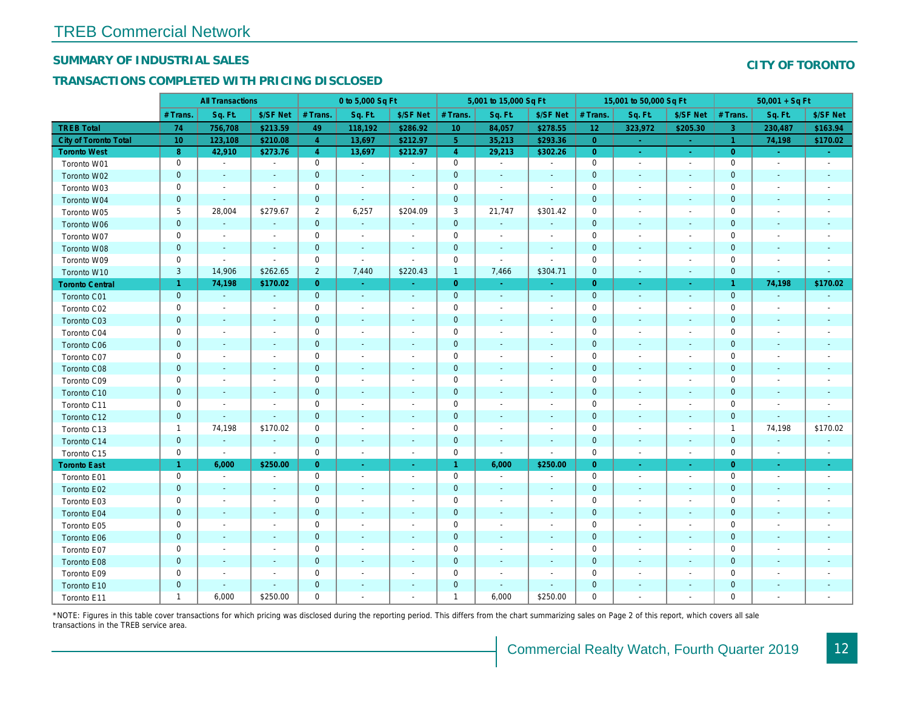## SUMMARY OF INDUSTRIAL SALES

## TRANSACTIONS COMPLETED WITH PRICING DISCLOSED

|                              |                 | <b>All Transactions</b>  |                          |                | 0 to 5,000 Sq Ft         |                          |                 | 5,001 to 15,000 Sq Ft    |                          |                 | 15,001 to 50,000 Sq Ft   |                          |
|------------------------------|-----------------|--------------------------|--------------------------|----------------|--------------------------|--------------------------|-----------------|--------------------------|--------------------------|-----------------|--------------------------|--------------------------|
|                              | # Trans.        | Sq. Ft.                  | \$/SF Net                | # Trans.       | Sq. Ft.                  | \$/SF Net                | # Trans.        | Sq. Ft.                  | \$/SF Net                | # Trans.        | Sq. Ft.                  | \$/SF Ne                 |
| <b>TREB Total</b>            | 74              | 756,708                  | \$213.59                 | 49             | 118,192                  | \$286.92                 | 10 <sup>°</sup> | 84,057                   | \$278.55                 | 12 <sub>2</sub> | 323,972                  | \$205.30                 |
| <b>City of Toronto Total</b> | 10 <sup>°</sup> | 123,108                  | \$210.08                 | $\overline{4}$ | 13,697                   | \$212.97                 | 5 <sup>5</sup>  | 35,213                   | \$293.36                 | $\overline{0}$  | $\sim$                   | $\sim$                   |
| <b>Toronto West</b>          | 8               | 42,910                   | \$273.76                 | $\overline{4}$ | 13,697                   | \$212.97                 | $\overline{4}$  | 29,213                   | \$302.26                 | $\overline{0}$  | $\omega$                 | $\sim$ .                 |
| Toronto W01                  | 0               | $\blacksquare$           | $\blacksquare$           | $\mathbf 0$    | $\sim$                   | $\blacksquare$           | $\mathbf 0$     | $\blacksquare$           | $\blacksquare$           | $\mathbf 0$     | $\blacksquare$           | $\sim$                   |
| Toronto W02                  | $\mathbf 0$     | $\blacksquare$           | $\sim$                   | $\mathbf 0$    | $\sim$                   | ٠                        | $\mathbf 0$     | $\blacksquare$           | $\sim$                   | $\mathbf{0}$    | $\blacksquare$           | $\blacksquare$           |
| Toronto W03                  | 0               | $\blacksquare$           | $\overline{\phantom{a}}$ | $\mathbf 0$    | $\overline{\phantom{a}}$ | $\overline{\phantom{a}}$ | $\pmb{0}$       | $\blacksquare$           | $\overline{\phantom{a}}$ | 0               | $\overline{\phantom{a}}$ | $\blacksquare$           |
| Toronto W04                  | $\mathbf{0}$    | $\sim$                   | $\omega$                 | $\mathbf 0$    | $\sim$                   | $\blacksquare$           | $\mathbf 0$     | $\omega$                 | $\omega$                 | $\mathbf{0}$    | $\sim$                   | $\blacksquare$           |
| Toronto W05                  | 5               | 28,004                   | \$279.67                 | $\overline{2}$ | 6,257                    | \$204.09                 | 3               | 21,747                   | \$301.42                 | $\mathbf 0$     | $\blacksquare$           | $\blacksquare$           |
| Toronto W06                  | $\mathbf 0$     | $\sim$                   | $\sim$                   | $\mathbf 0$    | $\sim$                   | $\blacksquare$           | $\mathbf 0$     | $\blacksquare$           | ÷,                       | $\mathbf 0$     | ۰                        | $\overline{\phantom{a}}$ |
| Toronto W07                  | 0               | $\blacksquare$           | $\overline{\phantom{a}}$ | $\mathbf 0$    | $\blacksquare$           | $\blacksquare$           | $\mathbf 0$     | $\blacksquare$           | $\blacksquare$           | 0               | $\blacksquare$           | $\blacksquare$           |
| Toronto W08                  | $\mathbf{0}$    | $\sim$                   | $\sim$                   | $\mathbf 0$    | $\sim$                   | $\sim$                   | $\mathbf 0$     | $\sim$                   | $\sim$                   | $\mathbf 0$     | $\sim$                   | $\overline{\phantom{a}}$ |
| Toronto W09                  | 0               | $\sim$                   | $\sim$                   | $\mathbf 0$    | $\sim$                   | $\sim$                   | $\mathbf 0$     | $\blacksquare$           | $\blacksquare$           | $\mathbf 0$     | $\sim$                   | $\blacksquare$           |
| Toronto W10                  | $\mathbf{3}$    | 14,906                   | \$262.65                 | $\overline{2}$ | 7,440                    | \$220.43                 | $\mathbf{1}$    | 7,466                    | \$304.71                 | $\mathbf 0$     | $\blacksquare$           | $\sim$                   |
| <b>Toronto Central</b>       | $\mathbf{1}$    | 74,198                   | \$170.02                 | $\overline{0}$ | $\sim$                   | $\blacksquare$           | $\overline{0}$  | $\omega$                 | $\omega$                 | $\overline{0}$  | $\sim$                   | $\sim$                   |
| Toronto C01                  | $\mathbf{0}$    | $\sim$                   | $\sim$                   | $\mathbf{0}$   | ◆                        | $\blacksquare$           | $\overline{0}$  | $\omega$                 | $\sim$                   | $\mathbf 0$     | $\sim$                   | $\sim$                   |
| Toronto C02                  | 0               | $\overline{\phantom{a}}$ | $\sim$                   | $\mathbf 0$    | $\sim$                   | $\blacksquare$           | $\mathbf 0$     | $\blacksquare$           | $\overline{\phantom{a}}$ | $\mathbf 0$     | ٠                        | $\blacksquare$           |
| Toronto C03                  | $\mathbf 0$     | $\sim$                   | $\sim$                   | $\mathbf{0}$   | $\frac{1}{2}$            | $\blacksquare$           | $\mathbf 0$     | ٠                        | ٠                        | $\mathbf 0$     | $\blacksquare$           | $\blacksquare$           |
| Toronto C04                  | 0               | $\overline{\phantom{a}}$ |                          | $\mathbf 0$    | $\blacksquare$           | $\blacksquare$           | $\mathbf 0$     | $\blacksquare$           | $\blacksquare$           | $\mathbf 0$     | ٠                        | $\overline{\phantom{a}}$ |
| Toronto C06                  | $\mathbf 0$     | $\sim$                   | $\sim$                   | $\mathbf 0$    | $\overline{\phantom{a}}$ | $\blacksquare$           | $\mathbf 0$     | $\blacksquare$           | $\blacksquare$           | $\mathbf 0$     | $\blacksquare$           | $\blacksquare$           |
| Toronto C07                  | $\mathbf 0$     | $\blacksquare$           |                          | $\mathbf 0$    | $\overline{a}$           | $\blacksquare$           | $\mathsf 0$     | ä,                       | ä,                       | $\mathbf 0$     | ٠                        | $\blacksquare$           |
| Toronto C08                  | $\mathbf 0$     | $\blacksquare$           | $\sim$                   | $\mathbf{0}$   | ä,                       | $\blacksquare$           | $\mathbf 0$     | ÷,                       | $\blacksquare$           | $\mathbf{0}$    | $\blacksquare$           | $\blacksquare$           |
| Toronto C09                  | 0               | $\overline{\phantom{a}}$ | $\overline{\phantom{a}}$ | $\mathbf 0$    | $\blacksquare$           | $\blacksquare$           | $\mathbf 0$     | $\blacksquare$           | $\sim$                   | $\mathbf 0$     | ٠                        | $\blacksquare$           |
| Toronto C10                  | $\mathbf 0$     | $\sim$                   |                          | $\mathbf 0$    | $\blacksquare$           | $\blacksquare$           | $\mathbf 0$     | $\blacksquare$           | $\blacksquare$           | $\mathbf 0$     | $\blacksquare$           | $\blacksquare$           |
| Toronto C11                  | $\mathbf 0$     | $\sim$                   |                          | $\mathbf 0$    | $\sim$                   | $\blacksquare$           | $\mathbf 0$     |                          | ä,                       | $\mathbf 0$     | J.                       |                          |
| Toronto C12                  | $\mathbf{0}$    | $\blacksquare$           | $\sim$                   | $\overline{0}$ | $\frac{1}{2}$            | $\blacksquare$           | $\mathbf 0$     | ÷,                       | $\blacksquare$           | $\mathbf{0}$    | $\blacksquare$           | ٠                        |
| Toronto C13                  | $\mathbf{1}$    | 74,198                   | \$170.02                 | $\mathbf 0$    | $\blacksquare$           | $\blacksquare$           | $\mathbf 0$     | $\overline{\phantom{a}}$ | $\overline{\phantom{a}}$ | $\mathbf 0$     | $\overline{\phantom{a}}$ | $\overline{\phantom{a}}$ |
| Toronto C14                  | $\pmb{0}$       | $\sim$                   | $\sim$                   | $\mathbf 0$    | $\blacksquare$           | $\blacksquare$           | $\mathbf 0$     | $\blacksquare$           | $\blacksquare$           | $\mathbf 0$     | $\blacksquare$           | $\sim$                   |
| Toronto C15                  | 0               | $\sim$                   | $\sim$                   | $\mathbf 0$    | $\sim$                   | $\blacksquare$           | $\mathbf 0$     | $\sim$                   | $\blacksquare$           | 0               | $\blacksquare$           | $\sim$                   |
| <b>Toronto East</b>          | $\mathbf{1}$    | 6,000                    | \$250.00                 | $\overline{0}$ | $\omega$                 | $\omega_{\rm c}$         | $\mathbf{1}$    | 6,000                    | \$250.00                 | $\overline{0}$  | $\bullet$                | $\omega$                 |
| Toronto E01                  | 0               | $\blacksquare$           | $\sim$                   | $\mathbf 0$    | $\sim$                   | $\blacksquare$           | $\mathbf 0$     | $\blacksquare$           | $\blacksquare$           | $\mathbf 0$     | $\blacksquare$           | $\sim$                   |
| Toronto E02                  | $\pmb{0}$       | $\sim$                   | $\sim$                   | $\mathbf{0}$   | $\overline{\phantom{a}}$ | $\overline{\phantom{a}}$ | $\mathbf 0$     | $\blacksquare$           | $\sim$                   | $\mathbf 0$     | $\blacksquare$           | $\sim$                   |
| Toronto E03                  | 0               | $\overline{\phantom{a}}$ | $\overline{\phantom{a}}$ | $\mathbf 0$    | $\blacksquare$           | $\overline{\phantom{a}}$ | 0               | $\overline{\phantom{a}}$ | $\overline{\phantom{a}}$ | $\mathbf 0$     | $\overline{\phantom{a}}$ | $\blacksquare$           |
| Toronto E04                  | $\mathbf{0}$    | $\sim$                   | $\sim$                   | $\overline{0}$ | $\sim$                   | $\blacksquare$           | $\mathbf 0$     | $\sim$                   | $\sim$                   | $\mathbf{0}$    | $\sim$                   | $\sim$                   |
| Toronto E05                  | 0               | $\overline{\phantom{a}}$ | $\sim$                   | $\mathbf 0$    | $\blacksquare$           | $\overline{\phantom{a}}$ | $\mathbf 0$     | $\blacksquare$           | $\blacksquare$           | 0               | $\blacksquare$           | $\blacksquare$           |
| Toronto E06                  | $\mathbf 0$     | $\overline{\phantom{a}}$ | $\sim$                   | $\mathbf 0$    | $\sim$                   | $\blacksquare$           | $\mathbf 0$     | $\sim$                   | $\sim$                   | $\mathbf 0$     | $\sim$                   | $\sim$                   |
| Toronto E07                  | 0               | $\overline{\phantom{a}}$ | $\overline{\phantom{a}}$ | $\mathbf 0$    | $\overline{\phantom{a}}$ | $\overline{\phantom{a}}$ | $\mathbf 0$     | $\overline{\phantom{a}}$ | $\blacksquare$           | 0               | $\overline{\phantom{a}}$ | $\overline{\phantom{a}}$ |
| Toronto E08                  | $\mathbf{0}$    | $\sim$                   | $\sim$                   | $\mathbf 0$    | $\sim$                   | $\blacksquare$           | $\mathbf 0$     | $\omega$                 | $\blacksquare$           | $\mathbf{0}$    | $\sim$                   | $\blacksquare$           |
| Toronto E09                  | 0               | $\blacksquare$           | $\overline{\phantom{a}}$ | $\mathbf 0$    | $\blacksquare$           | $\blacksquare$           | $\mathbf 0$     | $\blacksquare$           | $\blacksquare$           | $\mathbf 0$     | $\overline{\phantom{a}}$ | $\blacksquare$           |
| Toronto E10                  | $\mathbf 0$     |                          | $\blacksquare$           | $\mathbf 0$    | ÷,                       | $\blacksquare$           | $\mathbf 0$     | ÷,                       | $\blacksquare$           | $\mathbf 0$     |                          |                          |
| Toronto E11                  | $\mathbf{1}$    | 6,000                    | \$250.00                 | $\mathbf 0$    | $\blacksquare$           | $\blacksquare$           | $\mathbf{1}$    | 6,000                    | \$250.00                 | $\mathbf 0$     | $\blacksquare$           | $\blacksquare$           |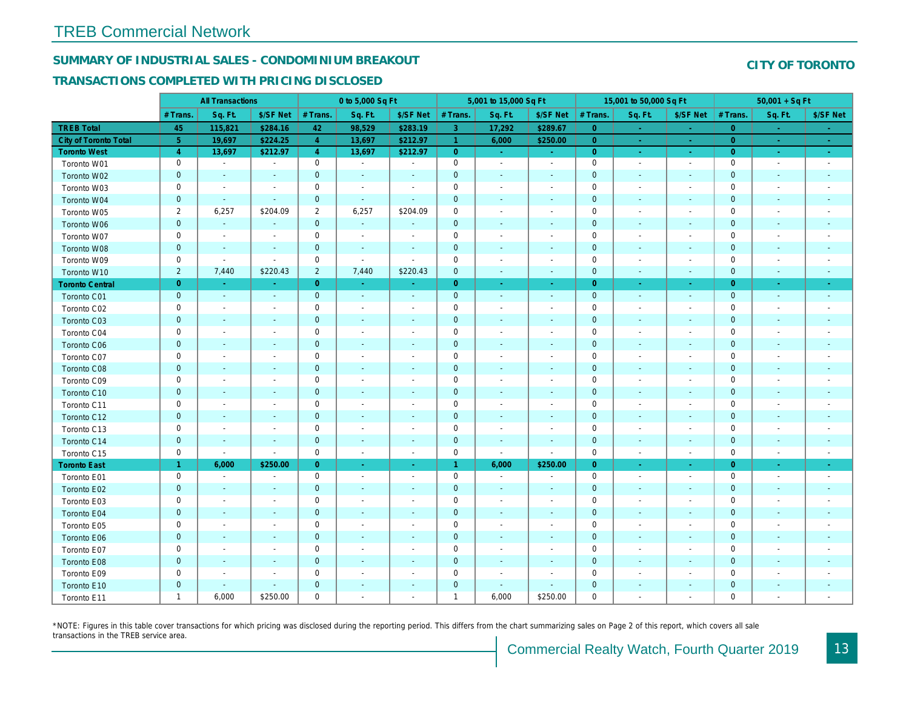## SUMMARY OF INDUSTRIAL SALES - CONDOMINIUM BREAKOUT

## TRANSACTIONS COMPLETED WITH PRICING DISCLOSED

|                        |                | <b>All Transactions</b>  |                          |                | 0 to 5,000 Sq Ft         |                          |                     | 5,001 to 15,000 Sq Ft    |                          |                | 15,001 to 50,000 Sq Ft   |                          |
|------------------------|----------------|--------------------------|--------------------------|----------------|--------------------------|--------------------------|---------------------|--------------------------|--------------------------|----------------|--------------------------|--------------------------|
|                        | # Trans.       | Sq. Ft.                  | \$/SF Net                | # Trans.       | Sq. Ft.                  | \$/SF Net                | # Trans.            | Sq. Ft.                  | \$/SF Net                | # Trans.       | Sq. Ft.                  | \$/SF Ne                 |
| <b>TREB Total</b>      | 45             | 115,821                  | \$284.16                 | 42             | 98,529                   | \$283.19                 | 3 <sup>°</sup>      | 17,292                   | \$289.67                 | $\overline{0}$ | $\sim$                   | $\sim$                   |
| City of Toronto Total  | 5 <sub>5</sub> | 19,697                   | \$224.25                 | $\overline{4}$ | 13,697                   | \$212.97                 | $\mathbf{1}$        | 6,000                    | \$250.00                 | $\overline{0}$ | $\sim$                   | $\sim$                   |
| <b>Toronto West</b>    | $\overline{4}$ | 13,697                   | \$212.97                 | $\overline{4}$ | 13,697                   | \$212.97                 | $\overline{0}$      | $\sim$                   | $\omega_{\rm c}$         | $\overline{0}$ | $\sim$                   | $\sigma_{\rm{eff}}$      |
| Toronto W01            | 0              | $\blacksquare$           | $\overline{\phantom{a}}$ | $\mathbf 0$    | $\sim$                   | $\overline{\phantom{a}}$ | $\mathbf 0$         | $\sim$                   | $\blacksquare$           | $\mathbf 0$    | $\blacksquare$           | $\sim$                   |
| Toronto W02            | $\mathbf 0$    | $\blacksquare$           | $\sim$                   | $\mathbf 0$    | $\sim$                   | $\blacksquare$           | $\mathbf 0$         | $\blacksquare$           | $\overline{\phantom{a}}$ | $\mathbf 0$    | $\blacksquare$           | $\sim$                   |
| Toronto W03            | 0              | $\overline{\phantom{a}}$ | $\overline{\phantom{a}}$ | 0              | $\overline{\phantom{a}}$ | $\overline{\phantom{a}}$ | $\mathbf 0$         | $\blacksquare$           | $\overline{\phantom{a}}$ | 0              | $\overline{\phantom{a}}$ | $\blacksquare$           |
| Toronto W04            | $\mathbf 0$    | $\sim$                   | $\sim$                   | $\mathbf 0$    | $\sim$                   | $\blacksquare$           | $\mathbf 0$         | $\blacksquare$           | $\omega$                 | $\mathbf{0}$   | $\sim$                   | $\blacksquare$           |
| Toronto W05            | $\overline{2}$ | 6,257                    | \$204.09                 | $\overline{2}$ | 6,257                    | \$204.09                 | $\mathbf 0$         | $\blacksquare$           | $\blacksquare$           | $\mathbf 0$    | $\blacksquare$           | $\blacksquare$           |
| Toronto W06            | $\mathbf 0$    | $\blacksquare$           | $\sim$                   | $\mathbf 0$    | $\sim$                   | $\blacksquare$           | $\mathbf 0$         | $\overline{\phantom{a}}$ | $\overline{\phantom{a}}$ | $\mathbf 0$    | $\blacksquare$           |                          |
| Toronto W07            | 0              | $\blacksquare$           | $\overline{\phantom{a}}$ | $\mathbf 0$    | $\blacksquare$           | $\overline{\phantom{a}}$ | $\pmb{0}$           | $\overline{\phantom{a}}$ | $\overline{\phantom{a}}$ | $\mathbf 0$    | $\overline{\phantom{a}}$ | $\overline{\phantom{a}}$ |
| Toronto W08            | $\mathbf 0$    | $\blacksquare$           | $\sim$                   | $\mathbf 0$    | $\sim$                   | $\blacksquare$           | $\mathbf 0$         | $\blacksquare$           | $\blacksquare$           | $\mathbf 0$    | $\blacksquare$           | $\blacksquare$           |
| Toronto W09            | 0              | $\blacksquare$           | $\sim$                   | $\mathbf 0$    | $\sim$                   | $\sim$                   | $\mathbf 0$         | $\blacksquare$           | $\blacksquare$           | $\mathbf 0$    | $\blacksquare$           | $\blacksquare$           |
| Toronto W10            | $\overline{2}$ | 7,440                    | \$220.43                 | $\overline{2}$ | 7,440                    | \$220.43                 | $\mathbf 0$         | $\blacksquare$           | $\blacksquare$           | $\mathbf 0$    | $\blacksquare$           | $\blacksquare$           |
| <b>Toronto Central</b> | $\overline{0}$ | $\sim$                   | $\sim$                   | $\mathbf{0}$   | $\sim$                   | $\sim$                   | $\overline{0}$      | $\bullet$                | $\bullet$ .              | $\overline{0}$ | $\sim$                   | $\sim$                   |
| Toronto C01            | $\mathbf{0}$   | $\sim$                   | $\sim$                   | $\mathbf 0$    | $\sim$                   | $\blacksquare$           | $\mathbf 0$         | $\sim$                   | $\omega$                 | $\mathbf 0$    | $\sim$                   | $\sim$                   |
| Toronto C02            | 0              | $\sim$                   | $\overline{\phantom{a}}$ | $\mathbf 0$    | $\blacksquare$           | $\blacksquare$           | $\mathbf 0$         | $\blacksquare$           | $\blacksquare$           | $\mathbf 0$    | $\sim$                   | $\blacksquare$           |
| Toronto C03            | $\mathbf 0$    | $\sim$                   | $\sim$                   | $\mathbf 0$    | $\blacksquare$           | $\overline{\phantom{a}}$ | $\mathbf 0$         | $\blacksquare$           | ٠                        | $\mathbf 0$    | $\sim$                   | $\sim$                   |
| Toronto C04            | 0              | $\overline{\phantom{a}}$ | $\overline{\phantom{a}}$ | $\mathbf 0$    | $\sim$                   | $\overline{\phantom{a}}$ | $\mathbf 0$         | $\overline{a}$           | $\blacksquare$           | 0              | $\overline{\phantom{a}}$ | $\overline{\phantom{a}}$ |
| Toronto C06            | $\mathbf 0$    | $\overline{\phantom{a}}$ | $\overline{\phantom{a}}$ | $\mathbf 0$    | $\blacksquare$           | $\blacksquare$           | $\pmb{0}$           | $\blacksquare$           | $\blacksquare$           | $\mathbf 0$    | $\blacksquare$           | $\blacksquare$           |
| Toronto C07            | 0              | $\overline{\phantom{a}}$ |                          | $\mathbf 0$    | $\blacksquare$           | $\blacksquare$           | $\mathbf 0$         | $\blacksquare$           | $\blacksquare$           | $\mathbf 0$    | $\ddot{\phantom{1}}$     | $\blacksquare$           |
| Toronto C08            | $\mathbf 0$    | $\sim$                   |                          | $\mathbf 0$    | $\blacksquare$           | ٠                        | $\mathbf 0$         | $\blacksquare$           | $\blacksquare$           | $\mathbf{0}$   | $\blacksquare$           | $\blacksquare$           |
| Toronto C09            | 0              | $\overline{\phantom{a}}$ | $\overline{\phantom{a}}$ | $\mathbf 0$    | $\overline{\phantom{a}}$ | $\blacksquare$           | $\mathbf 0$         | $\overline{a}$           | $\blacksquare$           | $\mathbf 0$    | $\overline{\phantom{a}}$ | $\overline{\phantom{a}}$ |
| Toronto C10            | $\mathbf 0$    | $\sim$                   | $\blacksquare$           | $\mathbf 0$    | $\blacksquare$           | $\blacksquare$           | $\mathbf 0$         | $\blacksquare$           | $\blacksquare$           | $\mathbf 0$    | $\blacksquare$           | $\blacksquare$           |
| Toronto C11            | 0              | $\sim$                   |                          | $\mathbf 0$    | $\blacksquare$           | $\blacksquare$           | $\mathsf{O}\xspace$ | $\blacksquare$           | $\blacksquare$           | $\mathbf 0$    | ÷,                       | $\blacksquare$           |
| Toronto C12            | $\mathbf 0$    | $\blacksquare$           | $\blacksquare$           | $\mathbf 0$    | $\blacksquare$           | $\blacksquare$           | $\mathbf 0$         | $\blacksquare$           | $\blacksquare$           | $\mathbf{0}$   | $\blacksquare$           | ٠                        |
| Toronto C13            | 0              | $\overline{\phantom{a}}$ |                          | $\mathbf 0$    | $\blacksquare$           |                          | $\mathbf 0$         | $\overline{a}$           | $\overline{a}$           | $\mathbf 0$    | $\overline{a}$           | $\blacksquare$           |
| Toronto C14            | $\mathbf 0$    | $\blacksquare$           | $\blacksquare$           | $\pmb{0}$      | $\blacksquare$           | $\blacksquare$           | $\mathbf 0$         | $\blacksquare$           | $\blacksquare$           | $\mathbf 0$    | $\blacksquare$           | $\bullet$                |
| Toronto C15            | 0              | $\blacksquare$           | $\sim$                   | $\mathbf 0$    | $\blacksquare$           | $\blacksquare$           | $\mathbf 0$         | $\blacksquare$           | $\sim$                   | $\mathbf 0$    | $\blacksquare$           | $\sim$                   |
| <b>Toronto East</b>    | $\mathbf{1}$   | 6,000                    | \$250.00                 | $\overline{0}$ | $\bullet$                | $\bullet$                | $\mathbf{1}$        | 6,000                    | \$250.00                 | $\overline{0}$ | $\blacksquare$           | $\sigma_{\rm c}$         |
| Toronto E01            | 0              | $\sim$                   | $\blacksquare$           | $\mathbf 0$    | $\blacksquare$           | $\blacksquare$           | $\mathbf 0$         | $\blacksquare$           | $\blacksquare$           | $\mathbf 0$    | $\blacksquare$           | $\sim$                   |
| Toronto E02            | $\mathbf 0$    | $\sim$                   | $\overline{\phantom{a}}$ | $\pmb{0}$      | $\blacksquare$           | $\blacksquare$           | $\pmb{0}$           | $\sim$                   | $\blacksquare$           | $\mathbf 0$    | $\blacksquare$           | $\sim$                   |
| Toronto E03            | 0              | $\overline{\phantom{a}}$ | $\overline{\phantom{a}}$ | $\mathbf 0$    | $\sim$                   | $\blacksquare$           | $\mathbf 0$         | $\blacksquare$           | $\blacksquare$           | 0              | $\overline{\phantom{a}}$ | $\overline{\phantom{a}}$ |
| Toronto E04            | $\mathbf{0}$   | $\sim$                   | $\sim$                   | $\mathbf 0$    | $\blacksquare$           | $\blacksquare$           | $\mathbf 0$         | $\blacksquare$           | $\blacksquare$           | $\mathbf{0}$   | $\sim$                   | $\sim$                   |
| Toronto E05            | 0              | $\overline{\phantom{a}}$ | $\overline{\phantom{a}}$ | $\mathbf 0$    | $\sim$                   | $\overline{\phantom{a}}$ | $\mathbf 0$         | $\overline{\phantom{a}}$ | $\blacksquare$           | 0              | $\blacksquare$           | $\blacksquare$           |
| Toronto E06            | $\mathbf 0$    | $\sim$                   | $\sim$                   | $\mathbf 0$    | $\sim$                   | $\sim$                   | $\mathbf 0$         | $\blacksquare$           | $\blacksquare$           | $\mathbf{0}$   | $\sim$                   | $\sim$                   |
| Toronto E07            | 0              | $\overline{\phantom{a}}$ | $\overline{\phantom{a}}$ | $\mathbf 0$    | $\overline{\phantom{a}}$ | $\overline{\phantom{a}}$ | $\mathbf 0$         | $\overline{\phantom{a}}$ | $\overline{\phantom{a}}$ | 0              | $\overline{\phantom{a}}$ | $\overline{\phantom{a}}$ |
| Toronto E08            | $\mathbf{0}$   | $\sim$                   | $\sim$                   | $\mathbf 0$    | $\sim$                   | $\blacksquare$           | $\mathbf 0$         | $\overline{\phantom{a}}$ | $\blacksquare$           | $\mathbf{0}$   | $\sim$                   | $\overline{\phantom{a}}$ |
| Toronto E09            | 0              | $\overline{\phantom{a}}$ | $\overline{\phantom{a}}$ | $\mathbf 0$    | $\blacksquare$           | $\overline{\phantom{a}}$ | $\mathbf 0$         | $\overline{\phantom{a}}$ | $\overline{a}$           | 0              | $\blacksquare$           | $\blacksquare$           |
| Toronto E10            | $\mathbf 0$    | $\blacksquare$           | $\sim$                   | $\mathbf 0$    | $\sim$                   | $\blacksquare$           | $\mathbf 0$         | $\blacksquare$           | $\blacksquare$           | $\mathbf 0$    | $\sim$                   | $\overline{\phantom{a}}$ |
| Toronto E11            | $\mathbf{1}$   | 6,000                    | \$250.00                 | $\mathbf 0$    | $\overline{\phantom{a}}$ | $\overline{\phantom{a}}$ | $\mathbf{1}$        | 6,000                    | \$250.00                 | 0              | $\overline{\phantom{a}}$ | $\blacksquare$           |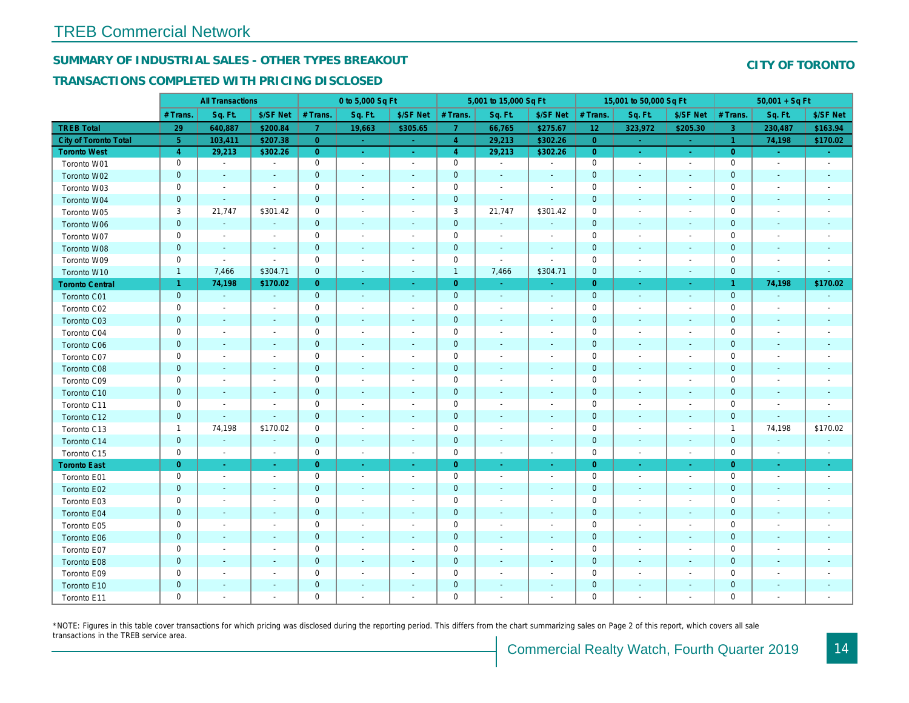# SUMMARY OF INDUSTRIAL SALES - OTHER TYPES BREAKOUT

## TRANSACTIONS COMPLETED WITH PRICING DISCLOSED

|                        |                     | <b>All Transactions</b>  |                          |                | 0 to 5,000 Sq Ft         |                          |                | 5,001 to 15,000 Sq Ft    |                          |                 | 15,001 to 50,000 Sq Ft   |                  |
|------------------------|---------------------|--------------------------|--------------------------|----------------|--------------------------|--------------------------|----------------|--------------------------|--------------------------|-----------------|--------------------------|------------------|
|                        | # Trans             | Sq. Ft.                  | \$/SF Net                | # Trans.       | Sq. Ft.                  | \$/SF Net                | # Trans.       | Sq. Ft.                  | \$/SF Net                | # Trans.        | Sq. Ft.                  | \$/SF Ne         |
| <b>TREB Total</b>      | 29                  | 640,887                  | \$200.84                 | $\mathbf{7}$   | 19,663                   | \$305.65                 | $\overline{7}$ | 66,765                   | \$275.67                 | 12 <sub>2</sub> | 323,972                  | \$205.30         |
| City of Toronto Total  | $\sqrt{5}$          | 103,411                  | \$207.38                 | $\overline{0}$ | $\sim$                   | $\sim$                   | $\overline{4}$ | 29,213                   | \$302.26                 | $\overline{0}$  | $\sim$                   | $\sim$           |
| <b>Toronto West</b>    | $\overline{4}$      | 29,213                   | \$302.26                 | $\overline{0}$ | $\sim$                   | $\sim$                   | $\overline{4}$ | 29,213                   | \$302.26                 | $\overline{0}$  | $\sim$                   | $\sim$           |
| Toronto W01            | $\mathbf 0$         | $\blacksquare$           | $\blacksquare$           | 0              | $\sim$                   | $\sim$                   | $\mathbf 0$    | $\blacksquare$           | $\blacksquare$           | $\mathbf 0$     | $\blacksquare$           | $\sim$           |
| Toronto W02            | $\mathbf{0}$        | $\sim$                   | $\blacksquare$           | $\mathbf{0}$   | $\sim$                   | $\blacksquare$           | $\mathbf 0$    | $\sim$                   | $\blacksquare$           | $\mathbf 0$     | $\blacksquare$           | $\blacksquare$   |
| Toronto W03            | $\mathbf 0$         | $\blacksquare$           | $\blacksquare$           | $\mathbf 0$    | $\blacksquare$           | $\overline{\phantom{a}}$ | $\mathbf 0$    | $\blacksquare$           | $\blacksquare$           | $\mathbf 0$     | $\blacksquare$           | $\blacksquare$   |
| Toronto W04            | $\mathbf 0$         | $\blacksquare$           | $\sim$                   | $\mathbf{0}$   | $\sim$                   | $\sim$                   | $\mathbf 0$    | $\blacksquare$           | $\blacksquare$           | $\mathbf 0$     | $\blacksquare$           | $\blacksquare$   |
| Toronto W05            | 3                   | 21,747                   | \$301.42                 | 0              | $\blacksquare$           | $\blacksquare$           | 3              | 21,747                   | \$301.42                 | $\mathbf 0$     | $\blacksquare$           | $\blacksquare$   |
| Toronto W06            | $\mathbf{0}$        | $\sim$                   | $\sim$                   | $\mathbf{0}$   |                          |                          | $\pmb{0}$      | $\blacksquare$           | $\blacksquare$           | $\mathbf 0$     | $\blacksquare$           |                  |
| Toronto W07            | $\mathbf 0$         | $\blacksquare$           | $\blacksquare$           | $\mathbf 0$    | $\blacksquare$           | $\sim$                   | $\pmb{0}$      | $\blacksquare$           | $\blacksquare$           | $\mathbf 0$     | $\blacksquare$           | $\blacksquare$   |
| Toronto W08            | $\mathbf 0$         | $\sim$                   | $\sim$                   | $\pmb{0}$      | $\sim$                   | $\blacksquare$           | $\pmb{0}$      | $\blacksquare$           | $\blacksquare$           | $\mathbf 0$     | $\blacksquare$           | $\blacksquare$   |
| Toronto W09            | $\mathbf 0$         | $\blacksquare$           | $\blacksquare$           | 0              | $\blacksquare$           | $\blacksquare$           | $\mathbf 0$    | $\blacksquare$           | $\blacksquare$           | $\mathbf 0$     | $\blacksquare$           | $\blacksquare$   |
| Toronto W10            | $\mathbf{1}$        | 7,466                    | \$304.71                 | $\mathbf{0}$   | $\sim$                   | $\sim$                   | $\mathbf{1}$   | 7,466                    | \$304.71                 | $\mathbf{0}$    | $\blacksquare$           | $\sim$           |
| <b>Toronto Central</b> | $\mathbf{1}$        | 74,198                   | \$170.02                 | $\overline{0}$ | $\sim$                   | $\sim$                   | $\overline{0}$ | $\omega_{\rm c}$         | $\sim$                   | $\overline{0}$  | $\bullet$                | $\sim$           |
| Toronto C01            | $\overline{0}$      | $\blacksquare$           | $\omega$                 | $\mathbf{0}$   | $\omega$                 | $\blacksquare$           | $\mathbf{0}$   | $\bullet$                | $\blacksquare$           | $\mathbf 0$     | $\blacksquare$           | $\sim$           |
| Toronto C02            | 0                   | $\blacksquare$           | $\sim$                   | $\mathbf 0$    | $\sim$                   | $\sim$                   | $\mathbf 0$    | $\blacksquare$           | $\blacksquare$           | $\mathbf 0$     | L.                       | $\blacksquare$   |
| Toronto C03            | $\mathbf{0}$        | $\blacksquare$           | $\blacksquare$           | $\mathbf{0}$   | $\sim$                   | $\sim$                   | $\pmb{0}$      | $\blacksquare$           | $\blacksquare$           | $\mathbf 0$     | $\blacksquare$           | $\sim$           |
| Toronto C04            | $\mathbf 0$         | $\overline{\phantom{a}}$ | $\blacksquare$           | $\mathbf 0$    | $\overline{\phantom{a}}$ | $\sim$                   | $\pmb{0}$      | $\overline{\phantom{a}}$ | $\blacksquare$           | $\mathbf 0$     | $\blacksquare$           | $\blacksquare$   |
| Toronto C06            | $\mathbf 0$         | $\blacksquare$           | $\blacksquare$           | $\mathbf{0}$   | $\sim$                   | $\blacksquare$           | $\pmb{0}$      | $\blacksquare$           | $\blacksquare$           | $\mathbf 0$     | $\blacksquare$           | ٠                |
| Toronto C07            | $\mathsf 0$         | $\blacksquare$           | $\blacksquare$           | $\mathbf 0$    | $\blacksquare$           |                          | $\mathbf 0$    | $\blacksquare$           | $\blacksquare$           | $\mathbf 0$     | L.                       | $\blacksquare$   |
| Toronto C08            | 0                   | $\blacksquare$           | $\blacksquare$           | $\mathbf{0}$   | $\blacksquare$           | $\blacksquare$           | $\pmb{0}$      | $\blacksquare$           | $\blacksquare$           | $\mathbf 0$     | $\blacksquare$           |                  |
| Toronto C09            | $\mathbf 0$         | $\blacksquare$           | $\blacksquare$           | 0              | $\sim$                   |                          | $\pmb{0}$      | $\blacksquare$           | $\blacksquare$           | $\mathbf 0$     | $\overline{a}$           | $\blacksquare$   |
| Toronto C10            | $\mathbf{0}$        | $\sim$                   | $\sim$                   | $\mathbf{0}$   | $\sim$                   | $\sim$                   | $\pmb{0}$      | $\blacksquare$           | $\sim$                   | $\mathbf{0}$    | $\blacksquare$           | $\blacksquare$   |
| Toronto C11            | $\mathsf{O}\xspace$ | $\blacksquare$           | $\blacksquare$           | $\mathbf 0$    |                          |                          | $\pmb{0}$      | $\blacksquare$           | $\blacksquare$           | $\mathbf 0$     | $\overline{a}$           | $\overline{a}$   |
| Toronto C12            | 0                   | $\blacksquare$           | $\blacksquare$           | $\mathbf{0}$   | $\blacksquare$           | $\blacksquare$           | $\pmb{0}$      | $\blacksquare$           | $\blacksquare$           | $\mathbf{0}$    | $\blacksquare$           | ٠                |
| Toronto C13            | $\mathbf{1}$        | 74,198                   | \$170.02                 | 0              | $\blacksquare$           | $\overline{\phantom{a}}$ | $\pmb{0}$      | $\blacksquare$           | $\overline{\phantom{a}}$ | $\mathbf 0$     | $\blacksquare$           | $\blacksquare$   |
| Toronto C14            | $\mathbf{0}$        | $\sim$                   | $\sim$                   | $\mathbf 0$    | $\sim$                   | $\sim$                   | $\pmb{0}$      | $\blacksquare$           | $\sim$                   | $\mathbf 0$     | $\mathbf{r}$             | $\sim$           |
| Toronto C15            | $\mathbf 0$         | $\blacksquare$           | $\blacksquare$           | $\mathbf 0$    | $\blacksquare$           | $\blacksquare$           | $\pmb{0}$      | $\blacksquare$           | $\sim$                   | $\mathbf 0$     | $\overline{a}$           | $\sim$           |
| <b>Toronto East</b>    | $\overline{0}$      | $\omega$                 | $\omega_{\rm c}$         | $\overline{0}$ | $\omega$                 | $\sim$                   | $\overline{0}$ | $\bullet$                | ÷                        | $\overline{0}$  | $\bullet$                | $\sigma_{\rm c}$ |
| Toronto E01            | 0                   | $\sim$                   | $\blacksquare$           | 0              | $\blacksquare$           | $\sim$                   | $\mathbf 0$    | $\sim$                   | $\blacksquare$           | $\mathbf 0$     | $\blacksquare$           | $\sim$           |
| Toronto E02            | $\mathbf 0$         | $\sim$                   | $\sim$                   | $\mathbf{0}$   | $\sim$                   | $\sim$                   | $\mathbf 0$    | $\sim$                   | $\overline{\phantom{a}}$ | $\mathbf 0$     | $\sim$                   | $\sim$           |
| Toronto E03            | $\mathbf 0$         | $\overline{\phantom{a}}$ | $\overline{\phantom{a}}$ | 0              | $\sim$                   | $\overline{\phantom{a}}$ | $\mathbf 0$    | $\overline{\phantom{a}}$ | $\overline{\phantom{a}}$ | $\mathbf 0$     | $\blacksquare$           | $\blacksquare$   |
| Toronto E04            | 0                   | $\sim$                   | $\sim$                   | $\mathbf{0}$   | $\sim$                   | $\blacksquare$           | $\pmb{0}$      | $\blacksquare$           | $\blacksquare$           | $\mathbf 0$     | $\blacksquare$           | $\blacksquare$   |
| Toronto E05            | $\mathbf 0$         | $\blacksquare$           | $\blacksquare$           | $\mathbf 0$    | $\blacksquare$           | $\blacksquare$           | $\pmb{0}$      | $\blacksquare$           | $\blacksquare$           | $\mathbf 0$     | $\blacksquare$           | $\blacksquare$   |
| Toronto E06            | $\mathbf 0$         | $\blacksquare$           | $\sim$                   | $\mathbf{0}$   | $\sim$                   |                          | $\pmb{0}$      | $\blacksquare$           | $\blacksquare$           | $\mathbf{0}$    | $\blacksquare$           |                  |
| Toronto E07            | $\mathbf 0$         | $\blacksquare$           | $\blacksquare$           | 0              | $\blacksquare$           | $\overline{\phantom{a}}$ | $\pmb{0}$      | $\overline{\phantom{a}}$ | $\blacksquare$           | $\mathbf 0$     | $\overline{\phantom{a}}$ | $\blacksquare$   |
| Toronto E08            | $\mathbf 0$         | $\sim$                   | $\sim$                   | $\mathbf{0}$   | $\sim$                   | $\sim$                   | $\pmb{0}$      | $\blacksquare$           | $\overline{\phantom{a}}$ | $\mathbf{0}$    | $\blacksquare$           |                  |
| Toronto E09            | $\mathbf 0$         | $\blacksquare$           | $\blacksquare$           | $\mathbf 0$    | $\sim$                   | $\sim$                   | $\pmb{0}$      | $\blacksquare$           | $\blacksquare$           | $\mathbf 0$     | $\blacksquare$           | $\blacksquare$   |
| Toronto E10            | 0                   | $\overline{\phantom{a}}$ | $\blacksquare$           | $\pmb{0}$      |                          |                          | $\pmb{0}$      | $\blacksquare$           | $\blacksquare$           | $\mathbf 0$     | $\blacksquare$           |                  |
| Toronto E11            | 0                   | $\blacksquare$           | $\blacksquare$           | $\mathbf 0$    | $\blacksquare$           | $\blacksquare$           | $\mathbf 0$    | $\blacksquare$           | $\blacksquare$           | $\mathbf 0$     | $\blacksquare$           | $\blacksquare$   |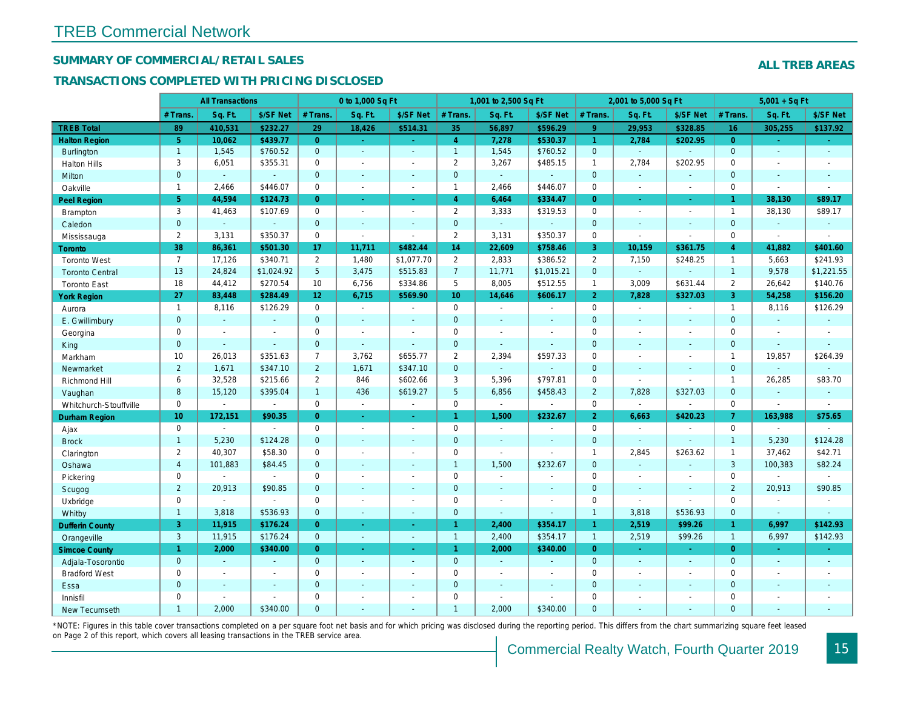## SUMMARY OF COMMERCIAL/RETAIL SALES

## TRANSACTIONS COMPLETED WITH PRICING DISCLOSED

|                        |                 | <b>All Transactions</b> |                |                 | 0 to 1,000 Sq Ft    |                  |                | 1,001 to 2,500 Sq Ft |                |                | 2,001 to 5,000 Sq Ft     |                          |
|------------------------|-----------------|-------------------------|----------------|-----------------|---------------------|------------------|----------------|----------------------|----------------|----------------|--------------------------|--------------------------|
|                        | # Trans.        | Sq. Ft.                 | \$/SF Net      | # Trans.        | Sq. Ft.             | \$/SF Net        | # Trans.       | Sq. Ft.              | \$/SF Net      | # Trans.       | Sq. Ft.                  | \$/SF Ne                 |
| <b>TREB Total</b>      | 89              | 410,531                 | \$232.27       | 29              | 18,426              | \$514.31         | 35             | 56,897               | \$596.29       | 9 <sup>°</sup> | 29,953                   | \$328.85                 |
| <b>Halton Region</b>   | 5 <sup>5</sup>  | 10,062                  | \$439.77       | $\overline{0}$  | $\omega_{\rm{eff}}$ | $\omega_{\rm c}$ | $\overline{4}$ | 7,278                | \$530.37       | $\mathbf{1}$   | 2,784                    | \$202.95                 |
| <b>Burlington</b>      | $\overline{1}$  | 1,545                   | \$760.52       | $\mathbf{0}$    | $\blacksquare$      | $\blacksquare$   | $\mathbf{1}$   | 1,545                | \$760.52       | $\mathbf{0}$   | $\omega$                 | $\omega$                 |
| <b>Halton Hills</b>    | 3               | 6,051                   | \$355.31       | $\Omega$        | ÷                   | $\blacksquare$   | $\overline{2}$ | 3,267                | \$485.15       | 1              | 2,784                    | \$202.95                 |
| Milton                 | $\mathbf{0}$    | $\omega$                | $\omega$       | $\mathbf 0$     | $\blacksquare$      | $\blacksquare$   | $\mathbf 0$    | $\omega$             | $\blacksquare$ | $\mathbf{0}$   | $\sim$                   | $\blacksquare$           |
| Oakville               | $\mathbf{1}$    | 2,466                   | \$446.07       | $\mathbf{0}$    | $\blacksquare$      | $\blacksquare$   | $\mathbf{1}$   | 2,466                | \$446.07       | $\mathbf 0$    | $\blacksquare$           | $\blacksquare$           |
| Peel Region            | 5 <sup>5</sup>  | 44,594                  | \$124.73       | $\overline{0}$  | $\omega$ .          | $\sim$           | $\overline{4}$ | 6,464                | \$334.47       | $\Omega$       | $\sim$                   | $\sim$                   |
| Brampton               | $\mathbf{3}$    | 41,463                  | \$107.69       | $\mathsf{O}$    | $\blacksquare$      | $\blacksquare$   | $\overline{2}$ | 3,333                | \$319.53       | $\mathbf 0$    | $\sim$                   | $\blacksquare$           |
| Caledon                | $\mathbf{0}$    | $\blacksquare$          | $\blacksquare$ | $\mathbf 0$     | $\omega$            | $\blacksquare$   | $\mathbf{0}$   | $\sim$               | $\blacksquare$ | $\mathbf{0}$   | $\sim$                   | $\sim$                   |
| Mississauga            | $\overline{2}$  | 3,131                   | \$350.37       | $\mathbf 0$     | $\blacksquare$      | $\blacksquare$   | $\mathbf{2}$   | 3,131                | \$350.37       | $\mathbf 0$    | $\sim$                   | $\sim$                   |
| <b>Toronto</b>         | 38              | 86,361                  | \$501.30       | 17              | 11,711              | \$482.44         | 14             | 22,609               | \$758.46       | 3              | 10,159                   | \$361.75                 |
| <b>Toronto West</b>    | $\overline{7}$  | 17,126                  | \$340.71       | $\overline{2}$  | 1,480               | \$1,077.70       | $\mathbf{2}$   | 2,833                | \$386.52       | $\overline{2}$ | 7,150                    | \$248.25                 |
| <b>Toronto Central</b> | 13              | 24,824                  | \$1,024.92     | 5 <sup>5</sup>  | 3,475               | \$515.83         | $\overline{7}$ | 11,771               | \$1,015.21     | $\mathbf{0}$   | $\omega$                 | $\blacksquare$           |
| <b>Toronto East</b>    | 18              | 44,412                  | \$270.54       | 10              | 6,756               | \$334.86         | 5              | 8,005                | \$512.55       | $\mathbf{1}$   | 3,009                    | \$631.44                 |
| <b>York Region</b>     | 27              | 83,448                  | \$284.49       | 12 <sup>°</sup> | 6,715               | \$569.90         | 10             | 14,646               | \$606.17       | 2 <sup>1</sup> | 7,828                    | \$327.03                 |
| Aurora                 | $\overline{1}$  | 8,116                   | \$126.29       | $\mathbf 0$     | $\sim$              | $\blacksquare$   | $\mathbf{0}$   | $\sim$               | $\blacksquare$ | $\mathbf 0$    | $\sim$                   | $\blacksquare$           |
| E. Gwillimbury         | $\mathbf{0}$    | $\omega$                | $\blacksquare$ | $\overline{0}$  | $\omega$            | ÷.               | $\mathbf{0}$   | $\sim$               | $\sim$         | $\mathbf{0}$   | $\sim$                   | $\sim$                   |
| Georgina               | 0               | $\blacksquare$          | $\blacksquare$ | $\mathbf 0$     | $\blacksquare$      | $\blacksquare$   | 0              | $\blacksquare$       | $\blacksquare$ | $\mathbf 0$    | $\blacksquare$           | $\blacksquare$           |
| King                   | $\mathbf{0}$    | $\blacksquare$          | $\sim$         | $\overline{0}$  | $\sim$              | $\blacksquare$   | $\mathbf{0}$   | $\sim$               | $\sim$         | $\mathbf{0}$   | $\sim$                   | $\blacksquare$           |
| Markham                | 10              | 26,013                  | \$351.63       | $\overline{7}$  | 3,762               | \$655.77         | $\overline{2}$ | 2,394                | \$597.33       | $\mathbf 0$    | $\overline{\phantom{a}}$ | $\blacksquare$           |
| Newmarket              | $\overline{2}$  | 1,671                   | \$347.10       | $\overline{2}$  | 1,671               | \$347.10         | $\mathbf{0}$   | $\blacksquare$       | $\blacksquare$ | $\Omega$       | $\sim$                   | $\sim$                   |
| Richmond Hill          | 6               | 32,528                  | \$215.66       | $\overline{2}$  | 846                 | \$602.66         | 3              | 5,396                | \$797.81       | 0              | $\sim$                   |                          |
| Vaughan                | 8               | 15,120                  | \$395.04       | $\mathbf{1}$    | 436                 | \$619.27         | 5 <sup>5</sup> | 6,856                | \$458.43       | $\overline{2}$ | 7,828                    | \$327.03                 |
| Whitchurch-Stouffville | $\mathbf 0$     | $\mathbf{r}$            | $\sim$         | $\mathbf 0$     | $\blacksquare$      | $\sim$           | 0              | $\blacksquare$       | $\blacksquare$ | $\mathbf 0$    | $\sim$                   |                          |
| Durham Region          | 10 <sup>°</sup> | 172,151                 | \$90.35        | $\overline{0}$  | $\sim$              | $\omega$         | $\mathbf{1}$   | 1,500                | \$232.67       | 2 <sup>1</sup> | 6,663                    | \$420.23                 |
| Ajax                   | $\mathbf 0$     | $\blacksquare$          | $\sim$         | $\mathbf 0$     | $\blacksquare$      | $\blacksquare$   | 0              | $\blacksquare$       | $\blacksquare$ | $\mathbf 0$    | $\sim$                   | $\blacksquare$           |
| <b>Brock</b>           | $\overline{1}$  | 5,230                   | \$124.28       | $\overline{0}$  | $\blacksquare$      | $\blacksquare$   | $\mathbf 0$    | $\blacksquare$       | $\blacksquare$ | $\mathbf{0}$   | $\omega$                 | $\omega$                 |
| Clarington             | $\overline{2}$  | 40,307                  | \$58.30        | $\mathbf 0$     | $\overline{a}$      | $\overline{a}$   | 0              | $\omega$             | $\blacksquare$ | $\mathbf{1}$   | 2,845                    | \$263.62                 |
| Oshawa                 | $\overline{4}$  | 101,883                 | \$84.45        | $\overline{0}$  | $\blacksquare$      | $\blacksquare$   | $\mathbf{1}$   | 1,500                | \$232.67       | $\mathbf{0}$   | $\omega$                 | $\blacksquare$           |
| Pickering              | $\mathbf 0$     | $\blacksquare$          | $\Delta$       | $\Omega$        | $\blacksquare$      | $\blacksquare$   | 0              | $\blacksquare$       | $\blacksquare$ | $\mathbf 0$    | $\blacksquare$           | $\sim$                   |
| Scugog                 | $\overline{2}$  | 20,913                  | \$90.85        | $\overline{0}$  | $\omega$            | $\blacksquare$   | $\mathbf 0$    | $\sim$               | $\sim$         | $\mathbf{0}$   | $\omega$                 | $\blacksquare$           |
| Uxbridge               | $\mathbf 0$     | $\omega$                | $\blacksquare$ | $\mathbf 0$     | $\sim$              | $\blacksquare$   | 0              | $\blacksquare$       | $\sim$         | $\mathbf 0$    | $\blacksquare$           | $\sim$                   |
| Whitby                 | $\mathbf{1}$    | 3,818                   | \$536.93       | $\overline{0}$  | $\sim$              | $\blacksquare$   | $\mathbf{0}$   | $\blacksquare$       | $\blacksquare$ | $\mathbf{1}$   | 3,818                    | \$536.93                 |
| <b>Dufferin County</b> | 3               | 11,915                  | \$176.24       | $\overline{0}$  | ÷.                  | $\sim$           | $\mathbf{1}$   | 2,400                | \$354.17       | $\mathbf{1}$   | 2,519                    | \$99.26                  |
| Orangeville            | $\mathbf{3}$    | 11,915                  | \$176.24       | $\mathbf{0}$    | $\omega_{\rm c}$    | ä,               | $\overline{1}$ | 2,400                | \$354.17       | $\mathbf{1}$   | 2,519                    | \$99.26                  |
| <b>Simcoe County</b>   | 1               | 2,000                   | \$340.00       | $\overline{0}$  | $\sim$              | $\omega$         | $\mathbf{1}$   | 2,000                | \$340.00       | $\overline{0}$ | $\sim$                   | $\sim$                   |
| Adjala-Tosorontio      | $\mathbf{0}$    | $\Delta$                | $\Delta$       | $\overline{0}$  | $\sim$              | $\blacksquare$   | $\mathbf{0}$   | $\Delta$             | $\Delta$       | $\mathbf{0}$   | $\omega$                 | $\omega$                 |
| <b>Bradford West</b>   | 0               | $\blacksquare$          | $\omega$       | $\mathbf 0$     | $\blacksquare$      | $\blacksquare$   | 0              | $\sim$               | $\omega$       | $\mathbf 0$    | $\blacksquare$           | $\sim$                   |
| Essa                   | $\mathbf{0}$    | $\blacksquare$          | $\omega$       | $\overline{0}$  | $\blacksquare$      | $\blacksquare$   | $\mathbf 0$    | $\blacksquare$       | $\blacksquare$ | $\mathbf{0}$   |                          |                          |
| Innisfil               | $\Omega$        | $\blacksquare$          | $\blacksquare$ | $\mathbf 0$     | $\blacksquare$      | $\blacksquare$   | 0              | $\blacksquare$       | $\sim$         | $\mathbf 0$    | $\sim$                   | $\overline{\phantom{a}}$ |
| <b>New Tecumseth</b>   | 1               | 2.000                   | \$340.00       | $\Omega$        |                     |                  | $\overline{1}$ | 2.000                | \$340.00       | $\Omega$       |                          |                          |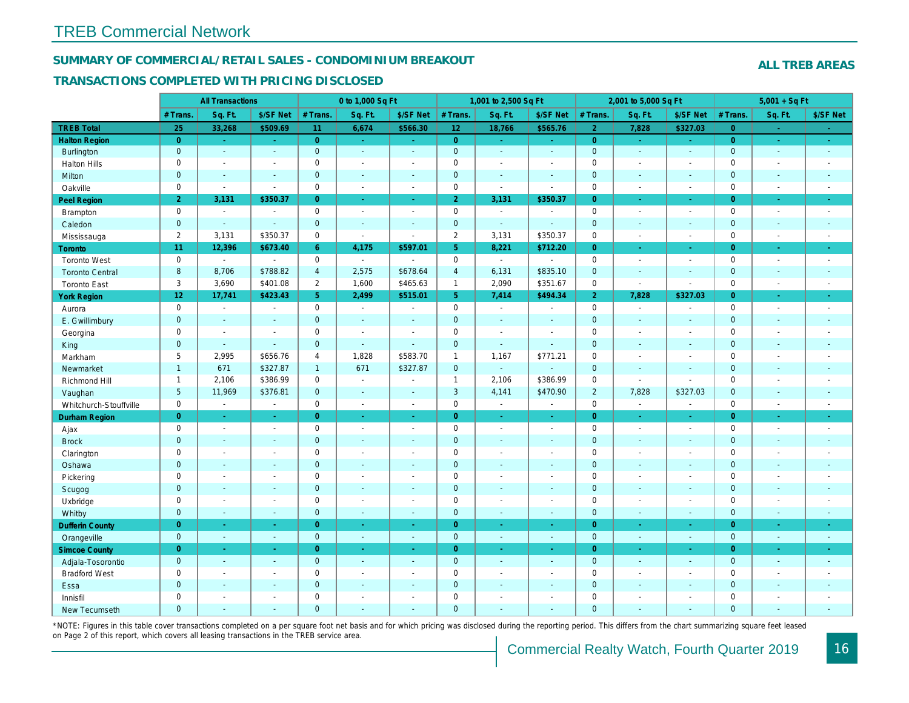## SUMMARY OF COMMERCIAL/RETAIL SALES - CONDOMINIUM BREAKOUT

#### TRANSACTIONS COMPLETED WITH PRICING DISCLOSED

|                        |                 | <b>All Transactions</b> |                          |                | 0 to 1,000 Sq Ft      |                          |                | 1,001 to 2,500 Sq Ft     |                  |                | 2,001 to 5,000 Sq Ft     |                          |
|------------------------|-----------------|-------------------------|--------------------------|----------------|-----------------------|--------------------------|----------------|--------------------------|------------------|----------------|--------------------------|--------------------------|
|                        | # Trans.        | Sq. Ft.                 | \$/SF Net                | # Trans.       | Sq. Ft.               | \$/SF Net                | # Trans.       | Sq. Ft.                  | \$/SF Net        | # Trans.       | Sq. Ft.                  | \$/SF Ne                 |
| <b>TREB Total</b>      | 25              | 33,268                  | \$509.69                 | 11             | 6,674                 | \$566.30                 | $12$           | 18,766                   | \$565.76         | $\overline{2}$ | 7,828                    | \$327.03                 |
| <b>Halton Region</b>   | $\overline{0}$  | $\omega_{\rm c}$        | $\omega$                 | $\overline{0}$ | $\sim$                | $\omega_{\rm c}$         | $\overline{0}$ | $\sim$                   | $\sim$ .         | $\overline{0}$ | $\bullet$                | $\omega_{\rm c}$         |
| <b>Burlington</b>      | $\mathbf{0}$    | $\omega$                | $\omega$                 | $\mathbf{0}$   | $\blacksquare$        | $\sim$                   | $\mathbf{0}$   | $\omega$                 | $\omega$         | $\mathbf 0$    | $\omega$                 | $\omega$                 |
| <b>Halton Hills</b>    | $\mathbf 0$     | $\blacksquare$          | $\blacksquare$           | $\mathbf 0$    | $\sim$                |                          | $\mathsf 0$    | $\blacksquare$           | $\blacksquare$   | $\mathbf 0$    | ÷,                       | $\sim$                   |
| Milton                 | $\mathbf{0}$    | $\blacksquare$          | $\blacksquare$           | $\mathbf{0}$   | $\sim$                | $\blacksquare$           | $\pmb{0}$      | $\blacksquare$           | $\blacksquare$   | $\mathbf 0$    | $\blacksquare$           | $\blacksquare$           |
| Oakville               | $\mathbf 0$     | $\blacksquare$          | $\blacksquare$           | $\mathbf 0$    | $\blacksquare$        | $\blacksquare$           | 0              | $\overline{\phantom{a}}$ | $\sim$           | $\mathbf 0$    | $\blacksquare$           | $\sim$                   |
| Peel Region            | $\overline{2}$  | 3,131                   | \$350.37                 | $\overline{0}$ | $\omega$              | $\omega$                 | $\overline{2}$ | 3,131                    | \$350.37         | $\overline{0}$ | $\omega$                 | $\bullet$                |
| Brampton               | $\mathbf 0$     | $\sim$                  | $\overline{\phantom{a}}$ | $\mathbf 0$    | $\sim$                | $\sim$                   | $\mathbf 0$    | $\sim$                   | $\blacksquare$   | $\mathbf 0$    | $\sim$                   | $\sim$                   |
| Caledon                | $\mathbf{0}$    | $\sim$                  | $\omega$                 | $\mathbf{0}$   | $\sim$                | $\sim$                   | $\mathbf{0}$   | $\omega$                 | $\blacksquare$   | $\mathbf 0$    | $\omega$                 | $\sim$                   |
| Mississauga            | $\overline{2}$  | 3,131                   | \$350.37                 | $\mathbf 0$    | $\mathbf{r}$          | $\sim$                   | $\overline{2}$ | 3,131                    | \$350.37         | $\mathbf 0$    | $\sim$                   | $\blacksquare$           |
| Toronto                | 11              | 12,396                  | \$673.40                 | 6              | 4,175                 | \$597.01                 | 5 <sup>5</sup> | 8,221                    | \$712.20         | $\overline{0}$ | $\omega$                 | $\sim$                   |
| <b>Toronto West</b>    | $\mathbf 0$     | $\Delta$                | $\sim$                   | $\mathbf 0$    | $\mathbf{r}$          | ÷.                       | $\mathbf 0$    | $\blacksquare$           | $\blacksquare$   | $\mathbf 0$    | $\blacksquare$           | $\sim$                   |
| <b>Toronto Central</b> | 8               | 8,706                   | \$788.82                 | $\overline{4}$ | 2,575                 | \$678.64                 | $\overline{4}$ | 6,131                    | \$835.10         | $\mathbf 0$    | $\mathbf{r}$             | $\sim$                   |
| <b>Toronto East</b>    | 3               | 3,690                   | \$401.08                 | $\overline{2}$ | 1,600                 | \$465.63                 | $\mathbf{1}$   | 2,090                    | \$351.67         | $\mathbf 0$    | $\sim$                   | $\blacksquare$           |
| <b>York Region</b>     | $12\,$          | 17,741                  | \$423.43                 | 5 <sup>1</sup> | 2,499                 | \$515.01                 | 5 <sup>1</sup> | 7,414                    | \$494.34         | $\overline{2}$ | 7,828                    | \$327.03                 |
| Aurora                 | $\mathbf 0$     | $\sim$                  | $\sim$                   | $\mathbf 0$    | $\sim$                | $\sim$                   | $\mathbf 0$    | $\blacksquare$           | $\sim$           | $\mathbf 0$    | $\blacksquare$           | $\sim$                   |
| E. Gwillimbury         | $\mathbf 0$     | $\blacksquare$          | $\blacksquare$           | $\mathbf 0$    | $\sim$                |                          | $\mathbf 0$    | $\blacksquare$           | $\blacksquare$   | $\mathbf 0$    | $\blacksquare$           | $\blacksquare$           |
| Georgina               | $\mathbf 0$     | $\blacksquare$          | $\blacksquare$           | $\mathbf 0$    | $\blacksquare$        | $\blacksquare$           | $\pmb{0}$      | $\blacksquare$           | $\blacksquare$   | $\mathbf 0$    | $\sim$                   | $\blacksquare$           |
| King                   | $\overline{0}$  | $\sim$                  | $\sim$                   | $\mathbf{0}$   | $\sim$                | ÷.                       | $\mathbf 0$    | $\blacksquare$           | $\sim$           | $\overline{0}$ | $\blacksquare$           | $\omega$                 |
| Markham                | 5               | 2,995                   | \$656.76                 | $\overline{4}$ | 1,828                 | \$583.70                 | $\mathbf{1}$   | 1,167                    | \$771.21         | $\mathbf 0$    | $\blacksquare$           | $\blacksquare$           |
| Newmarket              | $\mathbf{1}$    | 671                     | \$327.87                 | $\mathbf{1}$   | 671                   | \$327.87                 | $\mathbf{0}$   | $\blacksquare$           | $\blacksquare$   | $\mathbf{0}$   | $\blacksquare$           | $\blacksquare$           |
| Richmond Hill          | $\mathbf{1}$    | 2,106                   | \$386.99                 | $\mathbf 0$    | $\blacksquare$        | $\overline{\phantom{a}}$ | $\mathbf{1}$   | 2,106                    | \$386.99         | $\mathbf 0$    | $\sim$                   | $\blacksquare$           |
| Vaughan                | $5\phantom{.0}$ | 11,969                  | \$376.81                 | $\mathbf{0}$   | $\omega$              | $\sim$                   | $\mathbf{3}$   | 4,141                    | \$470.90         | $\overline{2}$ | 7,828                    | \$327.03                 |
| Whitchurch-Stouffville | $\mathbf 0$     | $\blacksquare$          | $\blacksquare$           | $\mathbf 0$    | $\blacksquare$        | $\blacksquare$           | $\mathbf 0$    | $\omega$                 | $\sim$           | $\mathbf 0$    | $\sim$                   | $\blacksquare$           |
| <b>Durham Region</b>   | $\overline{0}$  | $\omega$                | $\omega$                 | $\overline{0}$ | $\omega$              | $\omega$                 | $\overline{0}$ | $\omega$                 | $\omega_{\rm c}$ | $\overline{0}$ | $\omega$                 | $\omega$                 |
| Ajax                   | $\mathsf 0$     | $\blacksquare$          | $\omega$                 | $\mathsf 0$    | $\blacksquare$        | $\blacksquare$           | $\pmb{0}$      | $\blacksquare$           | $\blacksquare$   | $\mathbf 0$    | $\sim$                   | $\sim$                   |
| <b>Brock</b>           | $\mathbf{0}$    | $\sim$                  | $\blacksquare$           | $\mathbf{0}$   | $\sim$                | $\sim$                   | $\pmb{0}$      | $\omega$                 | $\blacksquare$   | $\mathbf 0$    | $\blacksquare$           | $\sim$                   |
| Clarington             | $\mathbf 0$     | $\blacksquare$          | $\blacksquare$           | $\mathbf 0$    | $\blacksquare$        |                          | $\pmb{0}$      | $\tilde{\phantom{a}}$    | $\blacksquare$   | $\mathbf 0$    | L.                       | $\blacksquare$           |
| Oshawa                 | $\mathbf{0}$    | $\blacksquare$          | $\blacksquare$           | $\mathbf 0$    | $\blacksquare$        | $\blacksquare$           | $\pmb{0}$      | $\blacksquare$           | $\blacksquare$   | $\mathbf{0}$   | $\blacksquare$           | $\blacksquare$           |
| Pickering              | $\mathbf 0$     | $\blacksquare$          | $\blacksquare$           | $\mathbf 0$    | $\sim$                | $\blacksquare$           | $\pmb{0}$      | $\blacksquare$           | $\blacksquare$   | $\mathbf 0$    | $\overline{\phantom{a}}$ | $\blacksquare$           |
| Scugog                 | $\mathbf{0}$    | $\blacksquare$          | $\blacksquare$           | $\mathbf{0}$   | $\Delta$              | $\sim$                   | $\mathbf 0$    | $\omega$                 | $\blacksquare$   | $\mathbf 0$    | $\blacksquare$           | $\blacksquare$           |
| Uxbridge               | $\mathbf 0$     | $\blacksquare$          | $\blacksquare$           | $\mathbf 0$    | $\tilde{\phantom{a}}$ | $\sim$                   | $\mathsf 0$    | $\blacksquare$           | $\blacksquare$   | $\mathbf 0$    | $\overline{a}$           | $\overline{\phantom{a}}$ |
| Whitby                 | $\mathbf{0}$    | $\blacksquare$          | $\sim$                   | $\mathbf{0}$   | $\sim$                | $\sim$                   | $\mathbf 0$    | $\blacksquare$           | $\blacksquare$   | $\mathbf{0}$   | $\blacksquare$           | $\sim$                   |
| <b>Dufferin County</b> | $\overline{0}$  | ÷.                      | $\sim$                   | $\overline{0}$ | a.                    | $\sim$                   | $\overline{0}$ | $\blacksquare$           | $\blacksquare$   | $\overline{0}$ | ×.                       | $\sim$                   |
| Orangeville            | $\mathbf{0}$    | $\omega$                | $\omega$                 | $\mathbf 0$    | $\omega$              | $\omega$                 | $\mathbf{0}$   | $\omega$                 | $\omega$         | $\mathbf 0$    | $\omega$                 | $\sim$                   |
| <b>Simcoe County</b>   | $\overline{0}$  | $\sim$                  | $\omega$                 | $\overline{0}$ | $\omega$              | $\omega$                 | $\overline{0}$ | Ξ                        | $\omega$         | $\overline{0}$ | $\blacksquare$           | $\sigma_{\rm c}$         |
| Adjala-Tosorontio      | $\mathbf{0}$    | $\sim$                  | $\Delta$                 | $\mathbf 0$    | $\sim$                | $\sim$                   | $\mathbf 0$    | $\blacksquare$           | $\blacksquare$   | $\mathbf 0$    | $\omega$                 | $\sim$                   |
| <b>Bradford West</b>   | $\mathbf 0$     | $\sim$                  | $\blacksquare$           | $\mathbf 0$    | $\sim$                | $\sim$                   | $\pmb{0}$      | $\blacksquare$           | $\blacksquare$   | $\mathbf 0$    | $\blacksquare$           | $\sim$                   |
| Essa                   | $\mathbf{0}$    | $\sim$                  | $\blacksquare$           | $\mathbf{0}$   |                       | $\sim$                   | $\pmb{0}$      | $\blacksquare$           | $\blacksquare$   | $\mathbf 0$    | $\blacksquare$           |                          |
| Innisfil               | $\mathbf 0$     | $\blacksquare$          | $\blacksquare$           | $\mathbf 0$    | $\sim$                | $\blacksquare$           | $\mathbf 0$    | $\blacksquare$           | $\blacksquare$   | $\mathbf 0$    | $\blacksquare$           | $\blacksquare$           |
| <b>New Tecumseth</b>   | $\Omega$        |                         |                          | $\Omega$       |                       |                          | $\overline{0}$ |                          |                  | $\overline{0}$ |                          |                          |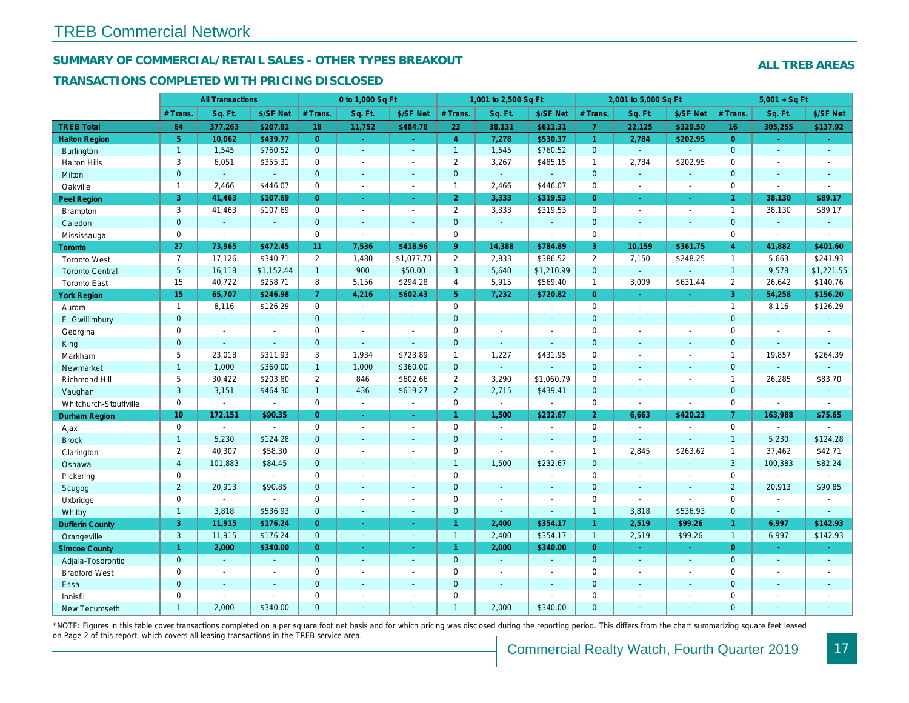## SUMMARY OF COMMERCIAL/RETAIL SALES - OTHER TYPES BREAKOUT

#### TRANSACTIONS COMPLETED WITH PRICING DISCLOSED

|                        |                 | <b>All Transactions</b>  |                       |                | 0 to 1,000 Sq Ft |                |                       | 1,001 to 2,500 Sq Ft     |                |                | 2,001 to 5,000 Sq Ft     |                          |
|------------------------|-----------------|--------------------------|-----------------------|----------------|------------------|----------------|-----------------------|--------------------------|----------------|----------------|--------------------------|--------------------------|
|                        | # Trans         | Sq. Ft.                  | \$/SF Net             | # Trans.       | Sq. Ft.          | \$/SF Net      | # Trans.              | Sq. Ft.                  | \$/SF Net      | # Trans.       | Sq. Ft.                  | \$/SF Ne                 |
| <b>TREB Total</b>      | 64              | 377,263                  | \$207.81              | 18             | 11,752           | \$484.78       | 23                    | 38,131                   | \$611.31       | $\overline{7}$ | 22,125                   | \$329.50                 |
| <b>Halton Region</b>   | 5 <sup>5</sup>  | 10,062                   | \$439.77              | $\overline{0}$ | $\omega$         | $\sim$         | $\overline{4}$        | 7,278                    | \$530.37       | 1              | 2,784                    | \$202.95                 |
| <b>Burlington</b>      | $\overline{1}$  | 1,545                    | \$760.52              | $\overline{0}$ | $\Delta$         | $\sim$         | $\mathbf{1}$          | 1,545                    | \$760.52       | $\mathbf{0}$   | $\omega$                 | $\omega$                 |
| <b>Halton Hills</b>    | 3               | 6,051                    | \$355.31              | $\mathbf{0}$   | $\blacksquare$   | $\blacksquare$ | $\mathbf{2}$          | 3,267                    | \$485.15       | $\mathbf{1}$   | 2,784                    | \$202.95                 |
| Milton                 | $\overline{0}$  | $\omega$                 | $\blacksquare$        | $\overline{0}$ | $\blacksquare$   | $\blacksquare$ | $\overline{0}$        | $\omega$                 | $\blacksquare$ | $\mathbf{0}$   | $\omega$                 | $\omega$                 |
| Oakville               | $\mathbf{1}$    | 2,466                    | \$446.07              | 0              | $\blacksquare$   | $\blacksquare$ | $\mathbf{1}$          | 2,466                    | \$446.07       | $\mathbf 0$    | $\blacksquare$           | $\blacksquare$           |
| Peel Region            | 3               | 41,463                   | \$107.69              | $\overline{0}$ | $\omega$         | $\blacksquare$ | $\overline{2}$        | 3,333                    | \$319.53       | $\overline{0}$ | $\bullet$                | $\bullet$                |
| <b>Brampton</b>        | 3               | 41,463                   | \$107.69              | $\mathbf 0$    | $\sim$           | $\sim$         | $\mathbf{2}$          | 3,333                    | \$319.53       | $\Omega$       | $\sim$                   | $\blacksquare$           |
| Caledon                | $\mathbf 0$     | $\blacksquare$           | $\blacksquare$        | $\mathbf{0}$   | $\blacksquare$   | $\blacksquare$ | $\mathbf 0$           | $\omega$                 | $\blacksquare$ | $\mathbf{0}$   | $\omega$                 | $\blacksquare$           |
| Mississauga            | $\mathbf 0$     | $\blacksquare$           | $\blacksquare$        | $\mathbf{0}$   | $\bullet$        | $\blacksquare$ | 0                     | $\blacksquare$           | $\bullet$      | $\mathbf 0$    | $\blacksquare$           | $\sim$                   |
| Toronto                | 27              | 73,965                   | \$472.45              | 11             | 7,536            | \$418.96       | 9                     | 14,388                   | \$784.89       | 3              | 10,159                   | \$361.75                 |
| <b>Toronto West</b>    | $\overline{7}$  | 17,126                   | \$340.71              | $\mathbf{2}$   | 1,480            | \$1,077.70     | $\mathbf{2}^{\prime}$ | 2,833                    | \$386.52       | $\overline{2}$ | 7,150                    | \$248.25                 |
| <b>Toronto Central</b> | $5\phantom{.0}$ | 16,118                   | \$1,152.44            | $\mathbf{1}$   | 900              | \$50.00        | 3                     | 5,640                    | \$1,210.99     | $\mathbf{0}$   | $\omega$                 | $\sim$                   |
| <b>Toronto East</b>    | 15              | 40,722                   | \$258.71              | 8              | 5,156            | \$294.28       | $\overline{4}$        | 5,915                    | \$569.40       | $\mathbf{1}$   | 3,009                    | \$631.44                 |
| <b>York Region</b>     | 15              | 65,707                   | \$246.98              | $\overline{7}$ | 4,216            | \$602.43       | 5 <sup>5</sup>        | 7,232                    | \$720.82       | $\overline{0}$ | $\sim$                   | $\sim$                   |
| Aurora                 | $\overline{1}$  | 8,116                    | \$126.29              | $\mathbf 0$    | $\sim$           | $\blacksquare$ | $\mathbf 0$           | $\sim$                   | $\blacksquare$ | $\Omega$       | $\sim$                   | $\sim$                   |
| E. Gwillimbury         | $\mathbf 0$     | $\omega$                 | $\omega$              | $\mathbf{0}$   | $\blacksquare$   | $\blacksquare$ | $\mathbf 0$           | $\blacksquare$           | $\blacksquare$ | $\mathbf{0}$   | $\omega$                 | $\sim$                   |
| Georgina               | $\mathbf 0$     | $\blacksquare$           | $\blacksquare$        | $\mathbf 0$    | $\blacksquare$   | $\blacksquare$ | 0                     | $\blacksquare$           | $\blacksquare$ | $\mathbf 0$    | $\sim$                   | $\blacksquare$           |
| King                   | $\overline{0}$  | $\blacksquare$           | $\omega$              | $\overline{0}$ | $\sim$           | $\sim$         | $\overline{0}$        | $\sim$                   | $\sim$         | $\mathbf{0}$   | $\sim$                   | $\sim$                   |
| Markham                | 5               | 23,018                   | \$311.93              | 3              | 1,934            | \$723.89       | $\mathbf{1}$          | 1,227                    | \$431.95       | $\mathbf 0$    | $\overline{\phantom{a}}$ | $\overline{\phantom{a}}$ |
| Newmarket              | $\mathbf{1}$    | 1,000                    | \$360.00              | $\mathbf{1}$   | 1,000            | \$360.00       | $\mathbf 0$           | $\blacksquare$           |                | $\mathbf{0}$   | $\sim$                   | $\sim$                   |
| Richmond Hill          | 5               | 30,422                   | \$203.80              | $\overline{2}$ | 846              | \$602.66       | $\overline{2}$        | 3,290                    | \$1,060.79     | $\mathbf 0$    | $\sim$                   | $\overline{\phantom{a}}$ |
| Vaughan                | 3               | 3,151                    | \$464.30              | $\mathbf{1}$   | 436              | \$619.27       | $\overline{2}$        | 2,715                    | \$439.41       | $\mathbf{0}$   | $\sim$                   | $\sim$                   |
| Whitchurch-Stouffville | $\mathsf{O}$    | $\blacksquare$           | $\mathbf{a}^{\prime}$ | $\mathbf 0$    | $\bullet$        | $\omega$       | 0                     | $\blacksquare$           | $\blacksquare$ | $\mathbf 0$    | $\sim$                   | $\blacksquare$           |
| <b>Durham Region</b>   | 10 <sub>1</sub> | 172,151                  | \$90.35               | $\overline{0}$ | $\omega$         | $\omega$       | $\mathbf{1}$          | 1,500                    | \$232.67       | 2 <sup>1</sup> | 6,663                    | \$420.23                 |
| Ajax                   | $\mathsf{O}$    | $\blacksquare$           | $\sim$                | $\mathbf 0$    | $\blacksquare$   | $\blacksquare$ | 0                     | $\blacksquare$           | $\blacksquare$ | $\mathbf 0$    | $\sim$                   | $\blacksquare$           |
| <b>Brock</b>           | $\mathbf{1}$    | 5,230                    | \$124.28              | $\mathbf{0}$   | $\sim$           | $\omega$       | $\overline{0}$        | $\sim$                   | $\sim$         | $\mathbf{0}$   | $\omega$                 | $\omega$                 |
| Clarington             | $\overline{2}$  | 40,307                   | \$58.30               | 0              | $\blacksquare$   | $\blacksquare$ | 0                     | $\blacksquare$           | $\blacksquare$ | $\mathbf{1}$   | 2,845                    | \$263.62                 |
| Oshawa                 | $\overline{4}$  | 101,883                  | \$84.45               | $\mathbf{0}$   | $\blacksquare$   | $\blacksquare$ | $\mathbf{1}$          | 1,500                    | \$232.67       | $\mathbf{0}$   | $\omega$                 | $\blacksquare$           |
| Pickering              | $\mathbf 0$     | $\blacksquare$           | $\blacksquare$        | $\Omega$       | $\blacksquare$   | $\sim$         | $\mathbf 0$           | $\blacksquare$           | $\blacksquare$ | $\Omega$       | $\sim$                   | $\overline{\phantom{a}}$ |
| Scugog                 | $\overline{2}$  | 20,913                   | \$90.85               | $\mathbf 0$    | $\blacksquare$   | $\blacksquare$ | $\mathbf 0$           | $\blacksquare$           | $\blacksquare$ | $\mathbf{0}$   | $\sim$                   | $\blacksquare$           |
| Uxbridge               | $\mathbf 0$     | $\blacksquare$           | $\tilde{\phantom{a}}$ | $\mathbf 0$    | $\sim$           | $\blacksquare$ | 0                     | $\overline{\phantom{a}}$ | $\sim$         | $\mathbf 0$    | $\sim$                   | $\sim$                   |
| Whitby                 | $\mathbf{1}$    | 3,818                    | \$536.93              | $\overline{0}$ | $\sim$           | $\blacksquare$ | $\overline{0}$        | $\sim$                   | $\sim$         | $\mathbf{1}$   | 3,818                    | \$536.93                 |
| <b>Dufferin County</b> | 3               | 11,915                   | \$176.24              | $\overline{0}$ | $\sim$           | $\blacksquare$ | $\mathbf{1}$          | 2,400                    | \$354.17       | $\mathbf{1}$   | 2,519                    | \$99.26                  |
| Orangeville            | $\mathbf{3}$    | 11,915                   | \$176.24              | $\overline{0}$ | $\omega$         | $\omega$       | $\overline{1}$        | 2,400                    | \$354.17       | $\mathbf{1}$   | 2,519                    | \$99.26                  |
| <b>Simcoe County</b>   | $\mathbf{1}$    | 2,000                    | \$340.00              | $\overline{0}$ | $\omega$         | $\blacksquare$ | $\mathbf{1}$          | 2,000                    | \$340.00       | $\overline{0}$ | $\sim$                   | $\omega$                 |
| Adjala-Tosorontio      | $\mathbf{0}$    | $\omega$                 |                       | $\overline{0}$ | $\sim$           | $\omega$       | $\mathbf 0$           | $\sim$                   |                | $\mathbf{0}$   | $\sim$                   | $\sim$                   |
| <b>Bradford West</b>   | $\mathbf 0$     | $\blacksquare$           | $\blacksquare$        | 0              | $\blacksquare$   | $\blacksquare$ | $\mathbf 0$           | $\blacksquare$           | $\blacksquare$ | $\mathbf 0$    | $\sim$                   | $\blacksquare$           |
| Essa                   | $\mathbf 0$     | $\overline{\phantom{a}}$ | $\blacksquare$        | $\mathbf 0$    | $\blacksquare$   | $\blacksquare$ | $\mathbf 0$           | $\blacksquare$           | $\blacksquare$ | $\mathbf{0}$   | $\sim$                   |                          |
| Innisfil               | $\mathbf 0$     | $\blacksquare$           | $\blacksquare$        | $\mathbf 0$    | $\blacksquare$   | $\blacksquare$ | 0                     | $\blacksquare$           | $\blacksquare$ | $\mathbf 0$    | $\blacksquare$           | $\overline{\phantom{a}}$ |
| <b>New Tecumseth</b>   | $\mathbf{1}$    | 2.000                    | \$340.00              | $\Omega$       | ÷.               | $\sim$         | $\mathbf{1}$          | 2.000                    | \$340.00       | $\Omega$       | $\sim$                   |                          |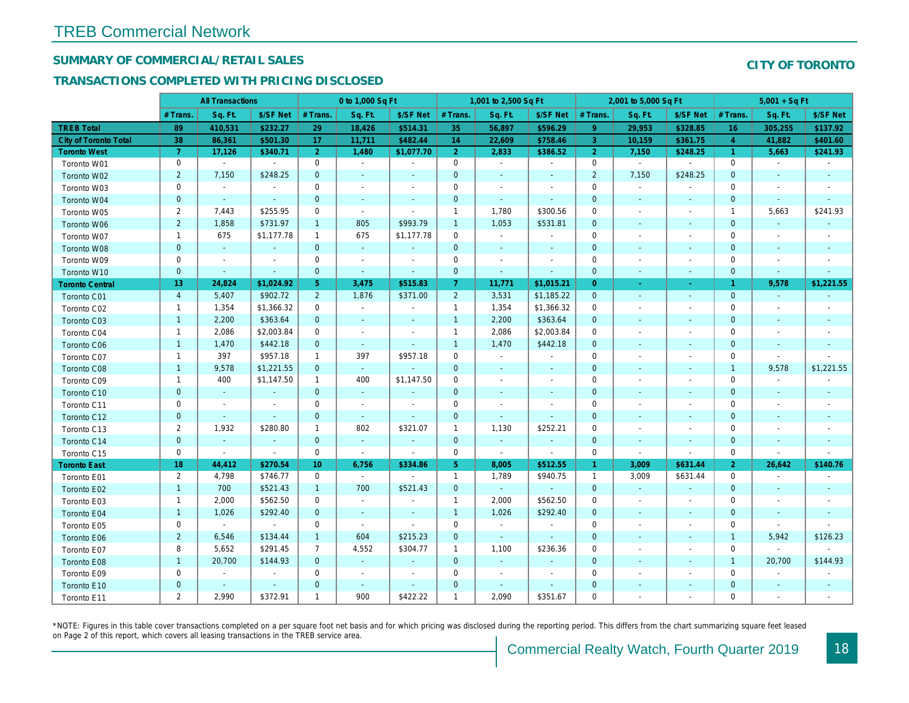## SUMMARY OF COMMERCIAL/RETAIL SALES

## TRANSACTIONS COMPLETED WITH PRICING DISCLOSED

|                              |                | <b>All Transactions</b> |                |                 | 0 to 1,000 Sq Ft |                |                | 1,001 to 2,500 Sq Ft     |                          |                | 2,001 to 5,000 Sq Ft     |                          |
|------------------------------|----------------|-------------------------|----------------|-----------------|------------------|----------------|----------------|--------------------------|--------------------------|----------------|--------------------------|--------------------------|
|                              | # Trans        | Sq. Ft.                 | \$/SF Net      | # Trans.        | Sq. Ft.          | \$/SF Net      | # Trans.       | Sq. Ft.                  | \$/SF Net                | # Trans.       | Sq. Ft.                  | \$/SF Ne                 |
| <b>TREB Total</b>            | 89             | 410,531                 | \$232.27       | 29              | 18,426           | \$514.31       | 35             | 56,897                   | \$596.29                 | 9 <sup>°</sup> | 29,953                   | \$328.85                 |
| <b>City of Toronto Total</b> | 38             | 86,361                  | \$501.30       | 17              | 11,711           | \$482.44       | 14             | 22,609                   | \$758.46                 | 3              | 10,159                   | \$361.75                 |
| <b>Toronto West</b>          | $\overline{7}$ | 17,126                  | \$340.71       | $\overline{2}$  | 1,480            | \$1,077.70     | 2 <sup>1</sup> | 2,833                    | \$386.52                 | $\overline{2}$ | 7,150                    | \$248.25                 |
| Toronto W01                  | 0              | $\blacksquare$          | $\blacksquare$ | 0               | $\blacksquare$   | $\blacksquare$ | 0              | $\blacksquare$           | $\blacksquare$           | $\mathbf 0$    | $\bullet$                | $\blacksquare$           |
| Toronto W02                  | $\overline{2}$ | 7,150                   | \$248.25       | $\mathbf 0$     |                  | $\blacksquare$ | $\mathbf{0}$   | $\blacksquare$           |                          | $\overline{2}$ | 7,150                    | \$248.25                 |
| Toronto W03                  | 0              | $\sim$                  | $\blacksquare$ | 0               | $\sim$           | $\sim$         | 0              | $\blacksquare$           | $\sim$                   | $\mathbf 0$    | $\sim$                   | $\sim$                   |
| Toronto W04                  | $\mathbf 0$    | $\blacksquare$          | $\omega$       | $\mathbf 0$     | $\sim$           | $\blacksquare$ | $\mathbf{0}$   | $\sim$                   | $\sim$                   | $\mathbf 0$    | $\sim$                   | $\blacksquare$           |
| Toronto W05                  | $\overline{2}$ | 7,443                   | \$255.95       | 0               | $\blacksquare$   | $\blacksquare$ | $\mathbf{1}$   | 1,780                    | \$300.56                 | 0              | $\blacksquare$           |                          |
| Toronto W06                  | $\overline{2}$ | 1,858                   | \$731.97       | $\mathbf{1}$    | 805              | \$993.79       | $\mathbf{1}$   | 1,053                    | \$531.81                 | $\mathbf 0$    | $\sim$                   |                          |
| Toronto W07                  | $\mathbf{1}$   | 675                     | \$1,177.78     | $\mathbf{1}$    | 675              | \$1,177.78     | $\mathbf 0$    | $\sim$                   | $\blacksquare$           | 0              | $\sim$                   |                          |
| Toronto W08                  | $\mathbf{0}$   | $\blacksquare$          | $\blacksquare$ | $\mathbf 0$     | $\omega$         | $\blacksquare$ | $\mathbf{0}$   | $\sim$                   | $\sim$                   | $\mathbf 0$    | $\sim$                   |                          |
| Toronto W09                  | 0              | $\blacksquare$          | $\blacksquare$ | 0               | $\blacksquare$   | $\blacksquare$ | 0              | $\overline{\phantom{a}}$ | $\overline{\phantom{a}}$ | 0              | $\sim$                   | $\overline{\phantom{a}}$ |
| Toronto W10                  | $\mathbf 0$    | $\blacksquare$          | $\blacksquare$ | $\mathbf 0$     | $\blacksquare$   | $\blacksquare$ | $\mathbf 0$    | $\sim$                   | $\blacksquare$           | $\mathbf 0$    | $\sim$                   | $\sim$                   |
| <b>Toronto Central</b>       | 13             | 24,824                  | \$1,024.92     | 5 <sup>5</sup>  | 3,475            | \$515.83       | 7 <sup>1</sup> | 11,771                   | \$1,015.21               | $\overline{0}$ | a.                       | $\sim$                   |
| Toronto C01                  | $\overline{4}$ | 5,407                   | \$902.72       | $2^{\circ}$     | 1,876            | \$371.00       | $\overline{2}$ | 3,531                    | \$1,185.22               | $\mathbf{0}$   | $\sim$                   | $\blacksquare$           |
| Toronto C02                  | $\mathbf{1}$   | 1,354                   | \$1,366.32     | 0               | $\blacksquare$   | $\blacksquare$ | $\mathbf{1}$   | 1,354                    | \$1,366.32               | 0              | $\overline{a}$           |                          |
| Toronto C03                  | $\mathbf{1}$   | 2,200                   | \$363.64       | $\mathbf 0$     | $\sim$           | $\blacksquare$ | $\mathbf{1}$   | 2,200                    | \$363.64                 | $\mathbf 0$    | $\sim$                   | $\sim$                   |
| Toronto C04                  | $\overline{1}$ | 2,086                   | \$2,003.84     | $\mathbf 0$     | $\sim$           | $\blacksquare$ | $\mathbf{1}$   | 2,086                    | \$2,003.84               | $\mathbf 0$    | $\sim$                   |                          |
| Toronto C06                  | $\mathbf{1}$   | 1,470                   | \$442.18       | $\mathbf{0}$    | $\omega$         | $\blacksquare$ | $\mathbf{1}$   | 1,470                    | \$442.18                 | $\mathbf 0$    | $\blacksquare$           | $\sim$                   |
| Toronto C07                  | $\mathbf{1}$   | 397                     | \$957.18       | $\mathbf{1}$    | 397              | \$957.18       | 0              | $\blacksquare$           |                          | 0              |                          |                          |
| Toronto C08                  | $\mathbf{1}$   | 9,578                   | \$1,221.55     | $\mathbf{0}$    | $\omega$         |                | $\mathbf{0}$   | $\blacksquare$           |                          | $\mathbf{0}$   |                          | $\blacksquare$           |
| Toronto C09                  | $\overline{1}$ | 400                     | \$1,147.50     | $\mathbf{1}$    | 400              | \$1,147.50     | 0              | $\blacksquare$           | $\overline{\phantom{a}}$ | $\mathbf 0$    |                          |                          |
| Toronto C10                  | $\pmb{0}$      | $\sim$                  | $\sim$         | $\mathbf 0$     | $\sim$           | $\blacksquare$ | $\mathbf{0}$   | $\sim$                   | $\sim$                   | $\mathbf 0$    | $\sim$                   | $\sim$                   |
| Toronto C11                  | 0              | $\blacksquare$          | $\blacksquare$ | 0               | $\blacksquare$   | $\blacksquare$ | 0              | $\overline{\phantom{a}}$ | $\overline{\phantom{a}}$ | $\mathbf 0$    | $\blacksquare$           |                          |
| Toronto C12                  | $\mathbf 0$    | $\blacksquare$          | $\sim$         | $\overline{0}$  | $\sim$           | $\sim$         | $\overline{0}$ | $\sim$                   | $\sim$                   | $\mathbf{0}$   | ÷.                       | $\sim$                   |
| Toronto C13                  | $\overline{2}$ | 1,932                   | \$280.80       | $\mathbf{1}$    | 802              | \$321.07       | $\mathbf{1}$   | 1,130                    | \$252.21                 | 0              | $\sim$                   |                          |
| Toronto C14                  | $\mathbf 0$    | $\blacksquare$          | $\sim$         | $\mathbf 0$     | $\omega$         | $\sim$         | $\mathbf{0}$   | $\sim$                   | $\sim$                   | $\mathbf 0$    | $\sim$                   | $\sim$                   |
| Toronto C15                  | 0              | $\blacksquare$          | $\sim$         | 0               | $\blacksquare$   | $\blacksquare$ | 0              | $\blacksquare$           | $\blacksquare$           | $\mathbf 0$    | $\blacksquare$           | $\blacksquare$           |
| <b>Toronto East</b>          | 18             | 44,412                  | \$270.54       | 10 <sup>°</sup> | 6,756            | \$334.86       | 5 <sup>5</sup> | 8,005                    | \$512.55                 | $\mathbf{1}$   | 3,009                    | \$631.44                 |
| Toronto E01                  | $\mathbf{2}$   | 4,798                   | \$746.77       | $\mathbf 0$     | $\blacksquare$   | $\blacksquare$ | $\mathbf{1}$   | 1,789                    | \$940.75                 | $\mathbf{1}$   | 3,009                    | \$631.44                 |
| Toronto E02                  | $\mathbf{1}$   | 700                     | \$521.43       | $\mathbf{1}$    | 700              | \$521.43       | $\mathbf 0$    | $\sim$                   | $\sim$                   | $\mathbf{0}$   | $\sim$                   | $\sim$                   |
| Toronto E03                  | $\mathbf{1}$   | 2,000                   | \$562.50       | 0               | $\blacksquare$   | $\blacksquare$ | $\mathbf{1}$   | 2,000                    | \$562.50                 | 0              | $\blacksquare$           |                          |
| Toronto E04                  | $\mathbf{1}$   | 1,026                   | \$292.40       | $\mathbf{0}$    | $\sim$           | $\sim$         | $\mathbf{1}$   | 1,026                    | \$292.40                 | $\mathbf{0}$   | $\sim$                   | $\blacksquare$           |
| Toronto E05                  | 0              | $\blacksquare$          | $\blacksquare$ | $\mathbf 0$     | $\blacksquare$   | $\blacksquare$ | 0              | $\blacksquare$           | $\sim$                   | $\mathbf 0$    | $\blacksquare$           | $\overline{\phantom{a}}$ |
| Toronto E06                  | $\overline{2}$ | 6,546                   | \$134.44       | $\mathbf{1}$    | 604              | \$215.23       | $\mathbf{0}$   | $\sim$                   | $\sim$                   | $\mathbf 0$    | $\sim$                   |                          |
| Toronto E07                  | 8              | 5,652                   | \$291.45       | $\overline{7}$  | 4,552            | \$304.77       | $\mathbf{1}$   | 1,100                    | \$236.36                 | 0              | $\overline{\phantom{a}}$ |                          |
| Toronto E08                  | $\mathbf{1}$   | 20,700                  | \$144.93       | $\mathbf{0}$    | $\omega$         | $\blacksquare$ | $\mathbf{0}$   | $\omega$                 |                          | $\mathbf 0$    | $\sim$                   |                          |
| Toronto E09                  | 0              | $\blacksquare$          | $\blacksquare$ | $\mathbf 0$     | $\blacksquare$   | $\blacksquare$ | 0              | $\blacksquare$           | $\sim$                   | $\mathbf 0$    | $\sim$                   |                          |
| Toronto E10                  | $\mathbf 0$    | $\blacksquare$          | $\blacksquare$ | $\mathbf{0}$    | $\sim$           | $\blacksquare$ | $\mathbf 0$    |                          | $\sim$                   | $\mathbf 0$    |                          |                          |
| Toronto E11                  | $\overline{2}$ | 2,990                   | \$372.91       | $\mathbf{1}$    | 900              | \$422.22       | $\mathbf{1}$   | 2,090                    | \$351.67                 | $\mathbf 0$    | $\blacksquare$           | $\overline{\phantom{a}}$ |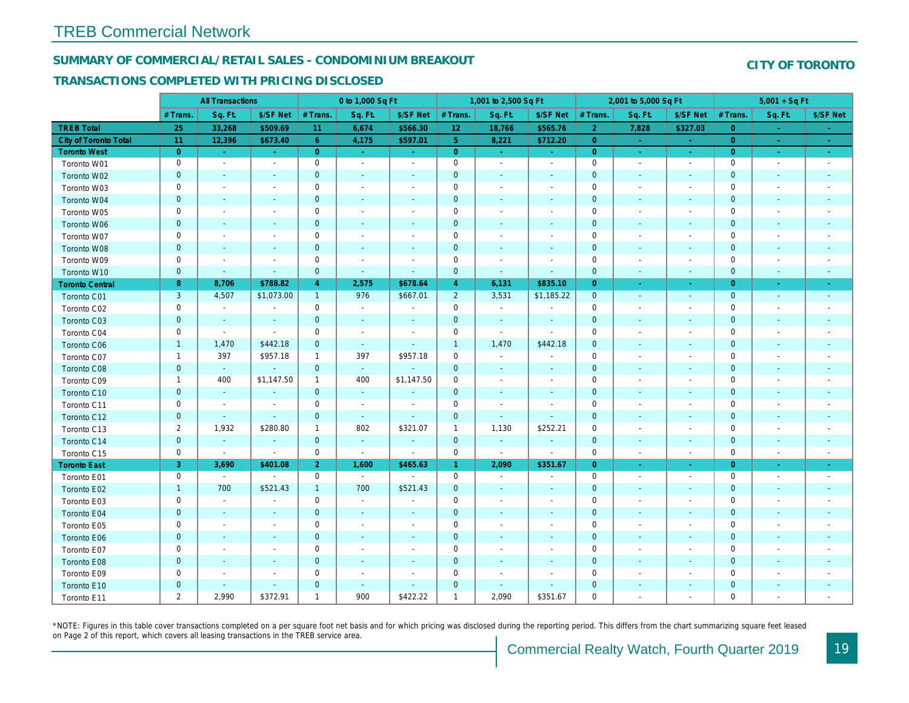## SUMMARY OF COMMERCIAL/RETAIL SALES - CONDOMINIUM BREAKOUT

#### TRANSACTIONS COMPLETED WITH PRICING DISCLOSED

|                              |                | <b>All Transactions</b>  |                          |                | 0 to 1,000 Sq Ft         |                          |                     | 1,001 to 2,500 Sq Ft     |                          |                | 2,001 to 5,000 Sq Ft     |                          |
|------------------------------|----------------|--------------------------|--------------------------|----------------|--------------------------|--------------------------|---------------------|--------------------------|--------------------------|----------------|--------------------------|--------------------------|
|                              | # Trans.       | Sq. Ft.                  | \$/SF Net                | # Trans.       | Sq. Ft.                  | \$/SF Net                | # Trans.            | Sq. Ft.                  | \$/SF Net                | # Trans.       | Sq. Ft.                  | \$/SF Ne                 |
| <b>TREB Total</b>            | 25             | 33,268                   | \$509.69                 | 11             | 6,674                    | \$566.30                 | 12 <sub>2</sub>     | 18,766                   | \$565.76                 | $\overline{2}$ | 7,828                    | \$327.03                 |
| <b>City of Toronto Total</b> | 11             | 12,396                   | \$673.40                 | 6              | 4,175                    | \$597.01                 | 5 <sup>1</sup>      | 8,221                    | \$712.20                 | $\overline{0}$ | $\sim$                   | $\sim$                   |
| <b>Toronto West</b>          | $\overline{0}$ | $\sim$                   | $\sim$                   | $\overline{0}$ | $\sim$                   | $\sim$                   | $\overline{0}$      | $\sim$                   | $\sim$                   | $\overline{0}$ | $\omega$                 | $\omega_{\rm c}$         |
| Toronto W01                  | 0              | $\blacksquare$           | $\overline{\phantom{a}}$ | $\mathbf 0$    | $\blacksquare$           | $\blacksquare$           | $\mathbf 0$         | $\blacksquare$           | $\blacksquare$           | $\mathbf 0$    | $\blacksquare$           | $\sim$                   |
| Toronto W02                  | $\mathbf 0$    | $\sim$                   | $\sim$                   | $\mathbf 0$    | $\blacksquare$           | $\blacksquare$           | $\mathbf 0$         | $\blacksquare$           | $\blacksquare$           | $\mathbf 0$    | $\blacksquare$           | ٠.                       |
| Toronto W03                  | 0              | $\blacksquare$           | $\overline{\phantom{a}}$ | 0              | $\sim$                   | $\blacksquare$           | 0                   | $\blacksquare$           | $\blacksquare$           | 0              | $\blacksquare$           | $\overline{\phantom{a}}$ |
| Toronto W04                  | $\mathbf{0}$   | $\sim$                   | $\sim$                   | $\mathbf 0$    | $\sim$                   | $\sim$                   | $\pmb{0}$           | $\blacksquare$           | $\omega$                 | $\mathbf 0$    | $\blacksquare$           | $\blacksquare$           |
| Toronto W05                  | 0              | $\overline{\phantom{a}}$ |                          | $\mathbf 0$    | $\blacksquare$           | $\blacksquare$           | $\mathbf 0$         | $\blacksquare$           | $\blacksquare$           | $\mathbf 0$    | $\blacksquare$           | $\blacksquare$           |
| Toronto W06                  | $\mathbf 0$    | $\overline{\phantom{a}}$ |                          | $\mathbf 0$    | $\blacksquare$           | $\blacksquare$           | $\mathbf 0$         | $\blacksquare$           | $\blacksquare$           | $\mathbf 0$    | $\blacksquare$           | $\blacksquare$           |
| Toronto W07                  | 0              | $\overline{\phantom{a}}$ |                          | $\mathbf 0$    | $\overline{\phantom{a}}$ |                          | $\pmb{0}$           | $\overline{a}$           | $\frac{1}{2}$            | 0              | $\overline{\phantom{a}}$ | $\blacksquare$           |
| Toronto W08                  | $\mathbf 0$    | $\blacksquare$           | $\sim$                   | $\mathbf 0$    | $\blacksquare$           | $\blacksquare$           | $\mathbf 0$         | $\blacksquare$           | $\blacksquare$           | $\mathbf 0$    | $\blacksquare$           | $\blacksquare$           |
| Toronto W09                  | 0              | $\overline{\phantom{a}}$ | $\overline{\phantom{a}}$ | $\mathbf 0$    | $\blacksquare$           | $\blacksquare$           | $\mathsf{O}\xspace$ | $\overline{a}$           | $\overline{a}$           | $\mathbf 0$    | ÷,                       | $\blacksquare$           |
| Toronto W10                  | $\mathbf 0$    | $\blacksquare$           | $\blacksquare$           | $\mathbf 0$    | $\blacksquare$           | $\blacksquare$           | $\mathbf 0$         | $\blacksquare$           | $\blacksquare$           | $\mathbf 0$    | $\blacksquare$           | $\blacksquare$           |
| <b>Toronto Central</b>       | 8              | 8,706                    | \$788.82                 | $\overline{4}$ | 2,575                    | \$678.64                 | $\overline{4}$      | 6,131                    | \$835.10                 | $\overline{0}$ | $\blacksquare$           | $\blacksquare$           |
| Toronto C01                  | 3              | 4,507                    | \$1,073.00               | $\mathbf{1}$   | 976                      | \$667.01                 | $\overline{2}$      | 3,531                    | \$1,185.22               | $\mathbf 0$    | $\blacksquare$           | $\sim$                   |
| Toronto C02                  | 0              | $\blacksquare$           | $\blacksquare$           | $\mathbf 0$    | $\blacksquare$           |                          | $\mathsf{O}\xspace$ | $\blacksquare$           | $\overline{a}$           | $\mathbf 0$    | ÷,                       | $\blacksquare$           |
| Toronto C03                  | $\pmb{0}$      | $\sim$                   | $\blacksquare$           | $\mathbf 0$    | $\blacksquare$           | $\blacksquare$           | $\mathbf 0$         | $\blacksquare$           | $\blacksquare$           | $\mathbf{0}$   | $\blacksquare$           | $\blacksquare$           |
| Toronto C04                  | 0              | $\blacksquare$           | $\sim$                   | $\mathbf 0$    | $\blacksquare$           | $\overline{\phantom{a}}$ | $\mathbf 0$         | $\sim$                   | $\blacksquare$           | 0              | $\blacksquare$           | $\blacksquare$           |
| Toronto C06                  | $\mathbf{1}$   | 1,470                    | \$442.18                 | $\mathbf 0$    | $\omega$                 | $\blacksquare$           | $\mathbf{1}$        | 1,470                    | \$442.18                 | $\mathbf 0$    | $\blacksquare$           | $\sim$                   |
| Toronto C07                  | $\overline{1}$ | 397                      | \$957.18                 | $\mathbf{1}$   | 397                      | \$957.18                 | $\mathsf 0$         | $\blacksquare$           | $\overline{a}$           | $\mathbf 0$    | $\blacksquare$           | $\blacksquare$           |
| Toronto C08                  | $\mathbf{0}$   | $\bullet$                | $\blacksquare$           | $\mathbf 0$    | $\omega$                 | $\blacksquare$           | $\mathbf 0$         | $\blacksquare$           | $\sim$                   | $\mathbf 0$    | $\sim$                   | $\blacksquare$           |
| Toronto C09                  | 1              | 400                      | \$1,147.50               | $\mathbf{1}$   | 400                      | \$1,147.50               | $\mathbf 0$         | $\blacksquare$           | $\blacksquare$           | 0              | $\blacksquare$           | $\blacksquare$           |
| Toronto C10                  | $\mathbf 0$    | $\sim$                   | $\sim$                   | $\mathbf 0$    | $\sim$                   | $\sim$                   | $\mathbf 0$         | $\blacksquare$           | $\overline{\phantom{a}}$ | $\mathbf 0$    | $\blacksquare$           | $\sim$                   |
| Toronto C11                  | 0              | $\overline{\phantom{a}}$ | $\overline{\phantom{a}}$ | $\mathbf 0$    | $\sim$                   | $\blacksquare$           | $\mathbf 0$         | $\blacksquare$           | $\blacksquare$           | $\mathbf 0$    | $\blacksquare$           | $\blacksquare$           |
| Toronto C12                  | $\mathbf{0}$   | $\blacksquare$           | $\sim$                   | $\mathbf 0$    | $\blacksquare$           | $\blacksquare$           | $\mathbf 0$         | $\blacksquare$           | $\blacksquare$           | $\mathbf 0$    | $\sim$                   | $\overline{\phantom{a}}$ |
| Toronto C13                  | $\overline{2}$ | 1,932                    | \$280.80                 | $\mathbf{1}$   | 802                      | \$321.07                 | $\mathbf{1}$        | 1,130                    | \$252.21                 | 0              | $\overline{\phantom{a}}$ | $\overline{\phantom{a}}$ |
| Toronto C14                  | $\mathbf 0$    | $\blacksquare$           | $\sim$                   | $\mathbf 0$    | $\blacksquare$           | $\blacksquare$           | $\mathbf{0}$        | $\blacksquare$           | $\overline{\phantom{a}}$ | $\mathbf 0$    | $\blacksquare$           | $\blacksquare$           |
| Toronto C15                  | 0              | $\sim$                   | $\blacksquare$           | $\mathbf 0$    | $\sim$                   | $\blacksquare$           | $\mathbf 0$         | $\blacksquare$           | $\blacksquare$           | 0              | $\blacksquare$           | $\sim$                   |
| <b>Toronto East</b>          | 3              | 3,690                    | \$401.08                 | $\overline{2}$ | 1,600                    | \$465.63                 | $\mathbf{1}$        | 2,090                    | \$351.67                 | $\overline{0}$ | $\omega$                 | $\sim$                   |
| Toronto E01                  | 0              | $\sim$                   | $\sim$                   | $\mathbf 0$    | $\sim$                   | $\blacksquare$           | $\mathbf 0$         | $\blacksquare$           | $\blacksquare$           | $\mathbf 0$    | $\blacksquare$           | $\blacksquare$           |
| Toronto E02                  | $\mathbf{1}$   | 700                      | \$521.43                 | $\mathbf{1}$   | 700                      | \$521.43                 | $\mathbf 0$         | $\overline{\phantom{a}}$ | ä,                       | $\mathbf 0$    | $\blacksquare$           | $\blacksquare$           |
| Toronto E03                  | 0              | $\sim$                   | $\overline{\phantom{a}}$ | $\mathbf 0$    | $\blacksquare$           | $\overline{\phantom{a}}$ | $\mathbf 0$         | $\sim$                   | $\blacksquare$           | 0              | $\blacksquare$           | $\blacksquare$           |
| Toronto E04                  | $\mathbf 0$    | $\sim$                   | $\sim$                   | $\mathbf 0$    | $\omega$                 | $\blacksquare$           | $\mathbf 0$         | $\blacksquare$           | $\blacksquare$           | $\mathbf 0$    | $\blacksquare$           | $\blacksquare$           |
| Toronto E05                  | 0              | $\blacksquare$           | $\overline{\phantom{a}}$ | $\mathbf 0$    | $\blacksquare$           | $\blacksquare$           | $\mathbf 0$         | $\blacksquare$           | $\blacksquare$           | $\mathbf 0$    | $\blacksquare$           | $\blacksquare$           |
| Toronto E06                  | $\mathbf 0$    | $\sim$                   |                          | $\mathbf 0$    | $\blacksquare$           | $\overline{\phantom{a}}$ | $\mathbf 0$         | $\overline{\phantom{a}}$ | ٠                        | $\mathbf 0$    | $\sim$                   |                          |
| Toronto E07                  | 0              | $\sim$                   | $\overline{\phantom{a}}$ | $\mathbf 0$    | $\blacksquare$           | $\overline{\phantom{a}}$ | $\mathbf 0$         | $\blacksquare$           | $\blacksquare$           | 0              | $\blacksquare$           | $\blacksquare$           |
| Toronto E08                  | $\mathbf 0$    | $\sim$                   | $\sim$                   | $\mathbf 0$    | $\sim$                   | $\sim$                   | $\pmb{0}$           | $\blacksquare$           | $\blacksquare$           | $\mathbf 0$    | $\blacksquare$           | $\blacksquare$           |
| Toronto E09                  | 0              | $\overline{\phantom{a}}$ | $\overline{\phantom{a}}$ | $\mathbf 0$    | $\blacksquare$           | $\blacksquare$           | $\mathbf 0$         | $\blacksquare$           | $\blacksquare$           | 0              | $\sim$                   | $\overline{\phantom{a}}$ |
| Toronto E10                  | $\mathbf 0$    | $\sim$                   | $\sim$                   | $\mathbf 0$    | $\sim$                   | $\overline{\phantom{a}}$ | $\mathbf 0$         | ٠                        | $\blacksquare$           | $\mathbf 0$    | $\sim$                   | $\overline{\phantom{a}}$ |
| Toronto E11                  | $\overline{2}$ | 2,990                    | \$372.91                 | $\mathbf{1}$   | 900                      | \$422.22                 | $\mathbf{1}$        | 2,090                    | \$351.67                 | 0              | $\overline{a}$           | $\blacksquare$           |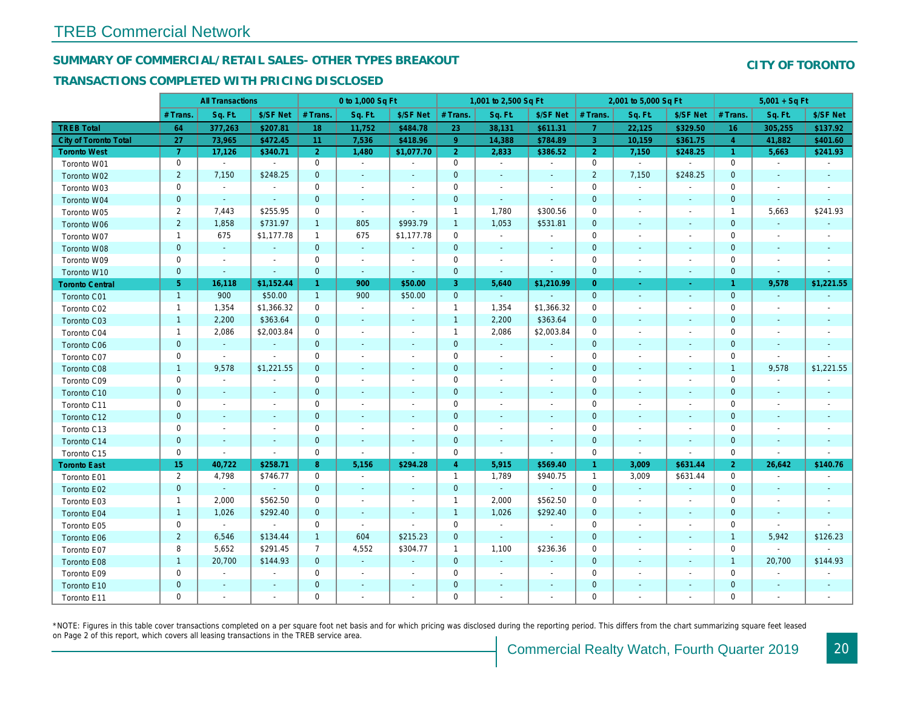## SUMMARY OF COMMERCIAL/RETAIL SALES- OTHER TYPES BREAKOUT

#### TRANSACTIONS COMPLETED WITH PRICING DISCLOSED

|                              |                       | <b>All Transactions</b> |                |                | 0 to 1,000 Sq Ft         |                          |                | 1,001 to 2,500 Sq Ft     |                          |                | 2,001 to 5,000 Sq Ft     |                          |
|------------------------------|-----------------------|-------------------------|----------------|----------------|--------------------------|--------------------------|----------------|--------------------------|--------------------------|----------------|--------------------------|--------------------------|
|                              | # Trans               | Sq. Ft.                 | \$/SF Net      | # Trans.       | Sq. Ft.                  | \$/SF Net                | # Trans.       | Sq. Ft.                  | \$/SF Net                | # Trans.       | Sq. Ft.                  | \$/SF Ne                 |
| <b>TREB Total</b>            | 64                    | 377,263                 | \$207.81       | 18             | 11,752                   | \$484.78                 | 23             | 38,131                   | \$611.31                 | $\overline{7}$ | 22,125                   | \$329.50                 |
| <b>City of Toronto Total</b> | 27                    | 73,965                  | \$472.45       | 11             | 7,536                    | \$418.96                 | $9^{\circ}$    | 14,388                   | \$784.89                 | 3              | 10,159                   | \$361.75                 |
| <b>Toronto West</b>          | $\overline{7}$        | 17,126                  | \$340.71       | $\overline{2}$ | 1,480                    | \$1,077.70               | 2 <sup>1</sup> | 2,833                    | \$386.52                 | 2 <sup>1</sup> | 7,150                    | \$248.25                 |
| Toronto W01                  | $\mathbf 0$           | $\sim$                  | $\blacksquare$ | 0              | $\sim$                   | $\blacksquare$           | 0              | $\sim$                   | $\blacksquare$           | $\mathbf 0$    | $\blacksquare$           | $\blacksquare$           |
| Toronto W02                  | $\overline{c}$        | 7,150                   | \$248.25       | $\mathbf{0}$   | $\sim$                   | $\blacksquare$           | $\pmb{0}$      | $\sim$                   | $\overline{\phantom{a}}$ | $\overline{2}$ | 7,150                    | \$248.25                 |
| Toronto W03                  | $\mathbf 0$           | $\blacksquare$          | $\blacksquare$ | 0              | $\sim$                   | $\blacksquare$           | 0              | $\sim$                   | $\blacksquare$           | $\mathbf 0$    | $\blacksquare$           | $\overline{\phantom{a}}$ |
| Toronto W04                  | $\mathbf 0$           | $\omega$                | $\omega$       | $\mathbf{0}$   | $\sim$                   | $\sim$                   | $\mathbf 0$    | $\sim$                   | $\omega$                 | $\mathbf{0}$   | $\sim$                   | $\sim$                   |
| Toronto W05                  | $\overline{c}$        | 7,443                   | \$255.95       | 0              | $\sim$                   | $\blacksquare$           | $\mathbf{1}$   | 1,780                    | \$300.56                 | $\mathbf 0$    | $\sim$                   | $\overline{\phantom{a}}$ |
| Toronto W06                  | $\overline{c}$        | 1,858                   | \$731.97       | $\mathbf{1}$   | 805                      | \$993.79                 | $\mathbf{1}$   | 1,053                    | \$531.81                 | $\mathbf 0$    | $\sim$                   | $\sim$                   |
| Toronto W07                  | $\mathbf{1}$          | 675                     | \$1,177.78     | $\mathbf{1}$   | 675                      | \$1,177.78               | 0              | $\blacksquare$           | $\blacksquare$           | 0              | $\sim$                   |                          |
| Toronto W08                  | $\mathbf 0$           | $\omega$                | $\omega$       | $\overline{0}$ | $\sim$                   | $\blacksquare$           | $\mathbf 0$    | $\sim$                   | $\sim$                   | $\mathbf{0}$   | $\sim$                   | $\sim$                   |
| Toronto W09                  | 0                     | $\blacksquare$          | $\blacksquare$ | $\mathbf{0}$   | $\blacksquare$           | $\sim$                   | 0              | $\overline{\phantom{a}}$ | $\sim$                   | $\mathbf 0$    | $\sim$                   |                          |
| Toronto W10                  | $\mathbf{0}$          | $\blacksquare$          | $\blacksquare$ | $\mathbf{0}$   | $\sim$                   | $\blacksquare$           | $\mathbf 0$    | $\blacksquare$           | $\blacksquare$           | $\mathbf{0}$   | $\sim$                   | $\sim$                   |
| <b>Toronto Central</b>       | 5 <sup>1</sup>        | 16,118                  | \$1,152.44     | $\mathbf{1}$   | 900                      | \$50.00                  | 3              | 5,640                    | \$1,210.99               | $\overline{0}$ | $\sim$                   | $\sim$                   |
| Toronto C01                  | $\overline{1}$        | 900                     | \$50.00        | $\overline{1}$ | 900                      | \$50.00                  | $\mathbf 0$    | $\sim$                   |                          | $\mathbf{0}$   | $\sim$                   | $\blacksquare$           |
| Toronto C02                  | $\mathbf{1}$          | 1,354                   | \$1,366.32     | $\mathbf{0}$   | $\blacksquare$           | $\blacksquare$           | $\mathbf{1}$   | 1,354                    | \$1,366.32               | $\mathbf 0$    | $\sim$                   |                          |
| Toronto C03                  | $\mathbf{1}$          | 2,200                   | \$363.64       | $\mathbf{0}$   | $\blacksquare$           | $\blacksquare$           | $\mathbf{1}$   | 2,200                    | \$363.64                 | $\mathbf{0}$   | $\sim$                   | $\sim$                   |
| Toronto C04                  | $\mathbf{1}$          | 2,086                   | \$2,003.84     | $\mathbf{0}$   | $\blacksquare$           | $\blacksquare$           | $\mathbf{1}$   | 2,086                    | \$2,003.84               | 0              | $\sim$                   |                          |
| Toronto C06                  | $\mathbf 0$           | $\blacksquare$          | $\blacksquare$ | $\mathbf 0$    | $\blacksquare$           | $\blacksquare$           | $\pmb{0}$      | $\blacksquare$           | $\blacksquare$           | $\mathbf{0}$   | $\blacksquare$           | $\sim$                   |
| Toronto C07                  | $\mathbf 0$           | $\sim$                  | $\blacksquare$ | 0              | $\blacksquare$           | $\blacksquare$           | 0              | $\blacksquare$           | $\blacksquare$           | $\mathbf 0$    |                          |                          |
| Toronto C08                  | $\mathbf{1}$          | 9,578                   | \$1,221.55     | $\mathbf{0}$   | $\blacksquare$           | $\blacksquare$           | $\mathbf 0$    | $\sim$                   | $\sim$                   | $\mathbf{0}$   |                          | $\sim$                   |
| Toronto C09                  | $\mathbf 0$           | $\blacksquare$          |                | 0              | $\blacksquare$           | $\blacksquare$           | 0              | $\overline{\phantom{a}}$ | $\blacksquare$           | 0              |                          | $\overline{\phantom{a}}$ |
| Toronto C10                  | $\mathbf 0$           | $\sim$                  | $\blacksquare$ | $\mathbf 0$    | $\sim$                   | $\blacksquare$           | $\pmb{0}$      | $\sim$                   | $\blacksquare$           | $\mathbf{0}$   | $\sim$                   | $\sim$                   |
| Toronto C11                  | $\mathbf 0$           | $\blacksquare$          | $\blacksquare$ | $\mathbf{0}$   | $\sim$                   | $\blacksquare$           | 0              | $\overline{\phantom{a}}$ | $\blacksquare$           | $\mathbf 0$    | $\sim$                   |                          |
| Toronto C12                  | $\mathbf 0$           | $\sim$                  | $\blacksquare$ | $\mathbf{0}$   | $\sim$                   | $\sim$                   | $\mathbf 0$    | $\sim$                   | $\sim$                   | $\mathbf{0}$   | $\sim$                   | $\sim$                   |
| Toronto C13                  | 0                     | $\blacksquare$          | $\blacksquare$ | 0              | $\sim$                   | $\blacksquare$           | 0              | $\overline{\phantom{a}}$ | $\blacksquare$           | 0              | $\sim$                   | $\overline{\phantom{a}}$ |
| Toronto C14                  | $\mathbf 0$           | $\sim$                  | $\blacksquare$ | $\mathbf{0}$   | $\sim$                   | $\sim$                   | $\pmb{0}$      | $\sim$                   | $\sim$                   | $\mathbf{0}$   | $\sim$                   | $\sim$                   |
| Toronto C15                  | $\mathbf 0$           | $\blacksquare$          | $\blacksquare$ | $\mathbf{0}$   | $\blacksquare$           | $\blacksquare$           | 0              | $\blacksquare$           | $\blacksquare$           | $\mathbf 0$    | $\blacksquare$           | $\blacksquare$           |
| <b>Toronto East</b>          | 15 <sub>15</sub>      | 40,722                  | \$258.71       | 8              | 5,156                    | \$294.28                 | $\overline{4}$ | 5,915                    | \$569.40                 | $\mathbf{1}$   | 3,009                    | \$631.4                  |
| Toronto E01                  | $\mathbf{2}^{\prime}$ | 4,798                   | \$746.77       | 0              | $\sim$                   | $\overline{\phantom{a}}$ | $\mathbf{1}$   | 1,789                    | \$940.75                 | $\mathbf{1}$   | 3,009                    | \$631.44                 |
| Toronto E02                  | $\mathbf{0}$          | $\blacksquare$          | $\sim$         | $\mathbf{0}$   | $\blacksquare$           | $\blacksquare$           | $\mathbf 0$    | $\sim$                   | $\sim$                   | $\mathbf{0}$   | $\sim$                   | $\blacksquare$           |
| Toronto E03                  | $\mathbf{1}$          | 2,000                   | \$562.50       | 0              | $\blacksquare$           | $\blacksquare$           | $\mathbf{1}$   | 2,000                    | \$562.50                 | 0              | $\sim$                   |                          |
| Toronto E04                  | $\mathbf{1}$          | 1,026                   | \$292.40       | $\overline{0}$ | $\sim$                   | $\sim$                   | $\mathbf{1}$   | 1,026                    | \$292.40                 | $\mathbf{0}$   | $\sim$                   | $\sim$                   |
| Toronto E05                  | $\mathbf 0$           | $\blacksquare$          | $\bullet$      | $\mathbf{0}$   | $\blacksquare$           | $\blacksquare$           | 0              | $\blacksquare$           | $\blacksquare$           | $\mathbf 0$    | $\blacksquare$           | $\overline{\phantom{a}}$ |
| Toronto E06                  | $\overline{2}$        | 6,546                   | \$134.44       | $\mathbf{1}$   | 604                      | \$215.23                 | $\mathbf 0$    | $\blacksquare$           | $\blacksquare$           | $\mathbf{0}$   | $\sim$                   |                          |
| Toronto E07                  | 8                     | 5,652                   | \$291.45       | $\overline{7}$ | 4,552                    | \$304.77                 | $\mathbf{1}$   | 1,100                    | \$236.36                 | 0              | $\overline{\phantom{a}}$ |                          |
| Toronto E08                  | $\mathbf{1}$          | 20,700                  | \$144.93       | $\overline{0}$ | $\Delta$                 | $\blacksquare$           | $\mathbf 0$    | $\omega$                 | $\sim$                   | $\mathbf{0}$   |                          |                          |
| Toronto E09                  | $\mathbf 0$           | $\sim$                  | $\blacksquare$ | $\mathbf 0$    | $\blacksquare$           | $\blacksquare$           | 0              | $\blacksquare$           | $\blacksquare$           | $\mathbf 0$    | $\blacksquare$           |                          |
| Toronto E10                  | 0                     |                         |                | $\mathbf 0$    | $\overline{\phantom{a}}$ | $\overline{\phantom{a}}$ | $\mathbf 0$    | $\overline{\phantom{a}}$ |                          | $\mathbf{0}$   |                          |                          |
| Toronto E11                  | 0                     | $\blacksquare$          | $\blacksquare$ | $\mathbf 0$    | $\blacksquare$           | $\blacksquare$           | $\mathbf 0$    | $\blacksquare$           | $\blacksquare$           | $\mathbf 0$    | $\blacksquare$           | $\overline{\phantom{a}}$ |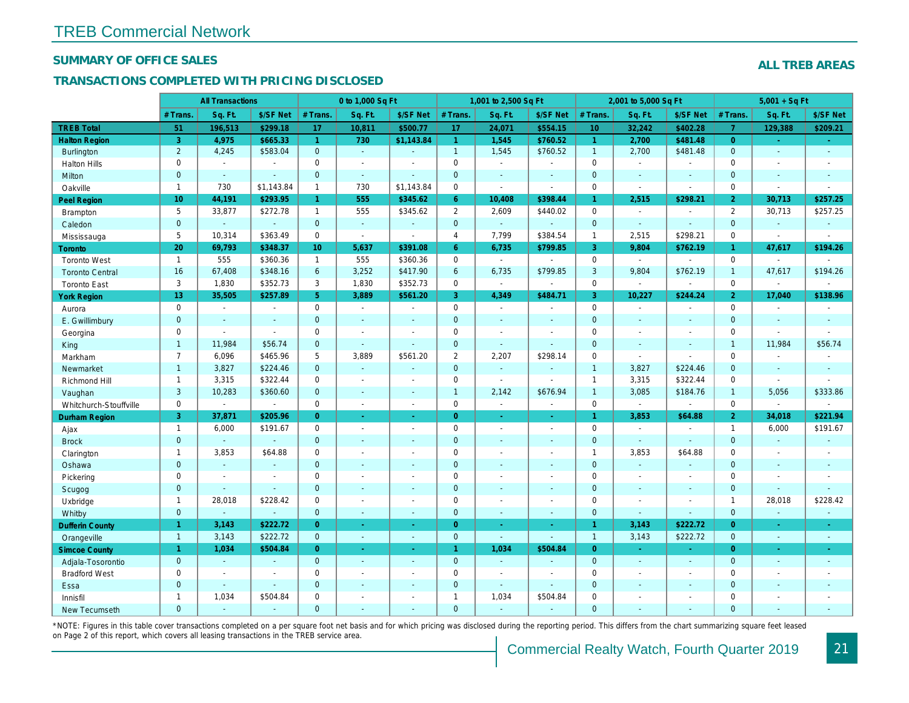#### SUMMARY OF OFFICE SALES

## TRANSACTIONS COMPLETED WITH PRICING DISCLOSED

|                        | <b>All Transactions</b> |                          | 0 to 1,000 Sq Ft |                      |                | 1,001 to 2,500 Sq Ft |                     |                  | 2,001 to 5,000 Sq Ft     |                      |                          |                          |
|------------------------|-------------------------|--------------------------|------------------|----------------------|----------------|----------------------|---------------------|------------------|--------------------------|----------------------|--------------------------|--------------------------|
|                        | # Trans.                | Sq. Ft.                  | \$/SF Net        | # Trans.             | Sq. Ft.        | \$/SF Net            | # Trans.            | Sq. Ft.          | \$/SF Net                | # Trans.             | Sq. Ft.                  | \$/SF Ne                 |
| <b>TREB Total</b>      | 51                      | 196,513                  | \$299.18         | 17                   | 10,811         | \$500.77             | 17                  | 24,071           | \$554.15                 | 10 <sup>°</sup>      | 32,242                   | \$402.28                 |
| <b>Halton Region</b>   | 3                       | 4,975                    | \$665.33         | $\mathbf{1}$         | 730            | \$1,143.84           | $\mathbf{1}$        | 1,545            | \$760.52                 | $\blacktriangleleft$ | 2,700                    | \$481.48                 |
| <b>Burlington</b>      | $\overline{2}$          | 4,245                    | \$583.04         | $\mathbf{0}$         | $\omega$       | ä,                   | $\mathbf{1}$        | 1,545            | \$760.52                 | $\overline{1}$       | 2,700                    | \$481.48                 |
| <b>Halton Hills</b>    | 0                       | $\blacksquare$           | $\sim$           | $\Omega$             | $\blacksquare$ |                      | $\mathsf{O}$        | $\blacksquare$   | $\overline{a}$           | $\Omega$             | $\sim$                   | $\blacksquare$           |
| Milton                 | $\mathbf{0}$            | $\omega$                 | $\sim$           | $\mathbf{0}$         | $\omega$       | $\blacksquare$       | $\mathbf{0}$        | $\blacksquare$   | $\blacksquare$           | $\mathbf{0}$         | $\blacksquare$           | $\blacksquare$           |
| Oakville               | $\mathbf{1}$            | 730                      | \$1,143.84       | $\mathbf{1}$         | 730            | \$1,143.84           | $\mathsf{O}$        | $\blacksquare$   | $\sim$                   | $\mathbf 0$          | $\sim$                   | $\blacksquare$           |
| Peel Region            | 10 <sup>10</sup>        | 44,191                   | \$293.95         | $\blacktriangleleft$ | 555            | \$345.62             | $6^{\circ}$         | 10,408           | \$398.44                 | $\mathbf{1}$         | 2,515                    | \$298.2                  |
| <b>Brampton</b>        | 5                       | 33,877                   | \$272.78         | $\mathbf{1}$         | 555            | \$345.62             | $\overline{2}$      | 2,609            | \$440.02                 | $\mathbf 0$          | $\overline{\phantom{a}}$ | $\overline{\phantom{a}}$ |
| Caledon                | $\mathbf{0}$            | $\omega$                 | $\sim$           | $\mathbf 0$          | $\omega$       | $\blacksquare$       | $\mathbf{0}$        | $\omega_{\rm c}$ | $\omega$                 | $\mathbf{0}$         | $\omega$                 | $\omega$                 |
| Mississauga            | 5                       | 10,314                   | \$363.49         | $\mathbf 0$          | $\mathbf{r}$   | $\blacksquare$       | $\overline{4}$      | 7,799            | \$384.54                 | $\mathbf{1}$         | 2,515                    | \$298.2                  |
| Toronto                | 20                      | 69,793                   | \$348.37         | 10 <sup>1</sup>      | 5,637          | \$391.08             | $6^{\circ}$         | 6,735            | \$799.85                 | $\mathbf{3}$         | 9,804                    | \$762.19                 |
| <b>Toronto West</b>    | $\overline{1}$          | 555                      | \$360.36         | $\mathbf{1}$         | 555            | \$360.36             | $\mathsf{O}$        | $\blacksquare$   | $\blacksquare$           | $\mathbf 0$          | $\blacksquare$           | $\blacksquare$           |
| <b>Toronto Central</b> | 16                      | 67,408                   | \$348.16         | 6                    | 3,252          | \$417.90             | 6                   | 6,735            | \$799.85                 | 3                    | 9,804                    | \$762.19                 |
| <b>Toronto East</b>    | 3                       | 1,830                    | \$352.73         | 3                    | 1,830          | \$352.73             | $\mathbf 0$         | $\sim$           | $\blacksquare$           | $\mathbf 0$          | $\blacksquare$           | $\blacksquare$           |
| <b>York Region</b>     | 13                      | 35,505                   | \$257.89         | 5 <sup>1</sup>       | 3,889          | \$561.20             | 3 <sup>°</sup>      | 4,349            | \$484.71                 | $\mathbf{3}$         | 10,227                   | \$244.24                 |
| Aurora                 | 0                       | $\sim$                   | $\blacksquare$   | $\Omega$             | $\sim$         | $\blacksquare$       | $\mathsf{O}$        | $\blacksquare$   | $\blacksquare$           | $\Omega$             | $\blacksquare$           | $\sim$                   |
| E. Gwillimbury         | $\mathbf{0}$            | $\sim$                   | $\blacksquare$   | $\mathbf 0$          | $\blacksquare$ | $\blacksquare$       | $\pmb{0}$           | $\blacksquare$   | $\overline{\phantom{a}}$ | $\mathbf{0}$         | $\blacksquare$           | $\blacksquare$           |
| Georgina               | $\mathbf 0$             | $\overline{\phantom{a}}$ | $\blacksquare$   | $\mathbf 0$          | $\blacksquare$ | $\blacksquare$       | $\mathbf 0$         | $\blacksquare$   | $\blacksquare$           | $\mathbf 0$          | $\blacksquare$           | $\blacksquare$           |
| King                   | $\mathbf{1}$            | 11,984                   | \$56.74          | $\mathbf{0}$         | $\sim$         | $\blacksquare$       | $\mathbf{0}$        | $\blacksquare$   | ä,                       | $\mathbf{0}$         | $\omega$                 | $\omega$                 |
| Markham                | $\overline{7}$          | 6,096                    | \$465.96         | 5                    | 3,889          | \$561.20             | $\overline{2}$      | 2,207            | \$298.14                 | $\mathbf 0$          | $\omega$                 | $\blacksquare$           |
| Newmarket              | $\mathbf{1}$            | 3,827                    | \$224.46         | $\overline{0}$       | $\omega$       | $\sim$               | $\mathbf 0$         | $\sim$           | $\sim$                   | $\overline{1}$       | 3,827                    | \$224.46                 |
| <b>Richmond Hill</b>   | $\mathbf{1}$            | 3,315                    | \$322.44         | $\mathbf 0$          | $\sim$         | $\sim$               | $\mathsf 0$         | $\blacksquare$   | $\overline{\phantom{a}}$ | $\mathbf{1}$         | 3,315                    | \$322.44                 |
| Vaughan                | 3                       | 10,283                   | \$360.60         | $\mathbf 0$          | $\mathbf{r}$   | $\sim$               | $\overline{1}$      | 2,142            | \$676.94                 | $\overline{1}$       | 3,085                    | \$184.76                 |
| Whitchurch-Stouffville | 0                       | $\blacksquare$           | $\blacksquare$   | 0                    | $\blacksquare$ | $\sim$               | $\mathsf 0$         | $\blacksquare$   | $\blacksquare$           | $\mathbf 0$          | $\blacksquare$           | $\blacksquare$           |
| <b>Durham Region</b>   | 3                       | 37,871                   | \$205.96         | $\Omega$             | $\omega$       | $\omega$             | $\overline{0}$      | $\omega$         | ÷.                       | $\mathbf{1}$         | 3,853                    | \$64.88                  |
| Ajax                   | $\mathbf{1}$            | 6,000                    | \$191.67         | 0                    | $\sim$         | $\blacksquare$       | $\mathsf{O}\xspace$ | $\blacksquare$   | $\blacksquare$           | $\mathbf 0$          | $\sim$                   | $\blacksquare$           |
| <b>Brock</b>           | $\mathbf{0}$            | $\omega$                 | $\sim$           | $\mathbf{0}$         | $\blacksquare$ | $\blacksquare$       | $\mathbf{0}$        | $\blacksquare$   | $\blacksquare$           | $\mathbf{0}$         | $\omega$                 | $\blacksquare$           |
| Clarington             | $\mathbf{1}$            | 3,853                    | \$64.88          | 0                    | $\blacksquare$ |                      | $\mathbf 0$         | $\blacksquare$   | $\blacksquare$           | $\overline{1}$       | 3,853                    | \$64.88                  |
| Oshawa                 | $\mathbf 0$             | $\blacksquare$           |                  | $\overline{0}$       | $\blacksquare$ | ä,                   | $\pmb{0}$           | ÷,               | ÷,                       | $\mathbf{0}$         | $\blacksquare$           | $\blacksquare$           |
| Pickering              | 0                       | $\overline{\phantom{a}}$ | $\blacksquare$   | $\mathbf 0$          | $\sim$         | $\blacksquare$       | $\mathbf 0$         | $\overline{a}$   | $\overline{a}$           | $\mathbf 0$          | $\blacksquare$           | $\blacksquare$           |
| Scugog                 | $\mathbf{0}$            | $\sim$                   | $\omega$         | $\mathbf{0}$         | $\blacksquare$ | $\blacksquare$       | $\mathbf{0}$        | $\omega$         | $\omega$                 | $\mathbf{0}$         | $\omega$                 | $\blacksquare$           |
| Uxbridge               | $\mathbf{1}$            | 28,018                   | \$228.42         | 0                    | $\sim$         | ÷                    | $\mathsf{O}\xspace$ | ÷,               | $\overline{a}$           | $\mathbf 0$          | $\overline{a}$           | $\blacksquare$           |
| Whitby                 | $\mathbf{0}$            | $\blacksquare$           | $\blacksquare$   | $\mathbf 0$          | $\sim$         | $\sim$               | $\mathbf{0}$        | $\blacksquare$   | $\sim$                   | $\mathbf{0}$         | $\blacksquare$           | $\blacksquare$           |
| <b>Dufferin County</b> | $\mathbf{1}$            | 3,143                    | \$222.72         | $\overline{0}$       | ÷.             | $\sim$               | $\overline{0}$      | $\blacksquare$   | ×.                       | 1                    | 3,143                    | \$222.72                 |
| Orangeville            | $\overline{1}$          | 3,143                    | \$222.72         | $\mathbf 0$          | ◆              | $\omega$             | $\pmb{0}$           | $\omega$         | ÷.                       | $\overline{1}$       | 3,143                    | \$222.72                 |
| <b>Simcoe County</b>   | $\mathbf{1}$            | 1,034                    | \$504.84         | $\overline{0}$       | $\omega$       | $\omega$             | $\mathbf{1}$        | 1,034            | \$504.84                 | $\overline{0}$       | $\omega$                 | $\omega_{\rm c}$         |
| Adjala-Tosorontio      | $\mathbf{0}$            | $\omega$                 | $\sim$           | $\overline{0}$       | $\mathbf{r}$   | $\blacksquare$       | $\mathbf{0}$        | $\blacksquare$   | ÷.                       | $\mathbf{0}$         | $\Delta$                 | $\sim$                   |
| <b>Bradford West</b>   | 0                       | $\blacksquare$           | $\sim$           | 0                    | $\blacksquare$ | $\blacksquare$       | $\mathbf 0$         | $\blacksquare$   | $\blacksquare$           | $\mathbf 0$          | $\blacksquare$           | $\blacksquare$           |
| Essa                   | $\mathbf{0}$            | $\sim$                   | $\sim$           | $\mathbf 0$          | $\blacksquare$ | $\blacksquare$       | $\mathbf 0$         | $\blacksquare$   | $\blacksquare$           | $\mathbf{0}$         | $\sim$                   |                          |
| Innisfil               | $\mathbf{1}$            | 1,034                    | \$504.84         | $\mathbf 0$          | $\blacksquare$ | $\blacksquare$       | $\mathbf{1}$        | 1,034            | \$504.84                 | $\mathbf 0$          | $\sim$                   | $\blacksquare$           |
| <b>New Tecumseth</b>   | $\Omega$                |                          |                  | $\Omega$             |                |                      | $\mathbf{0}$        |                  |                          | $\Omega$             |                          |                          |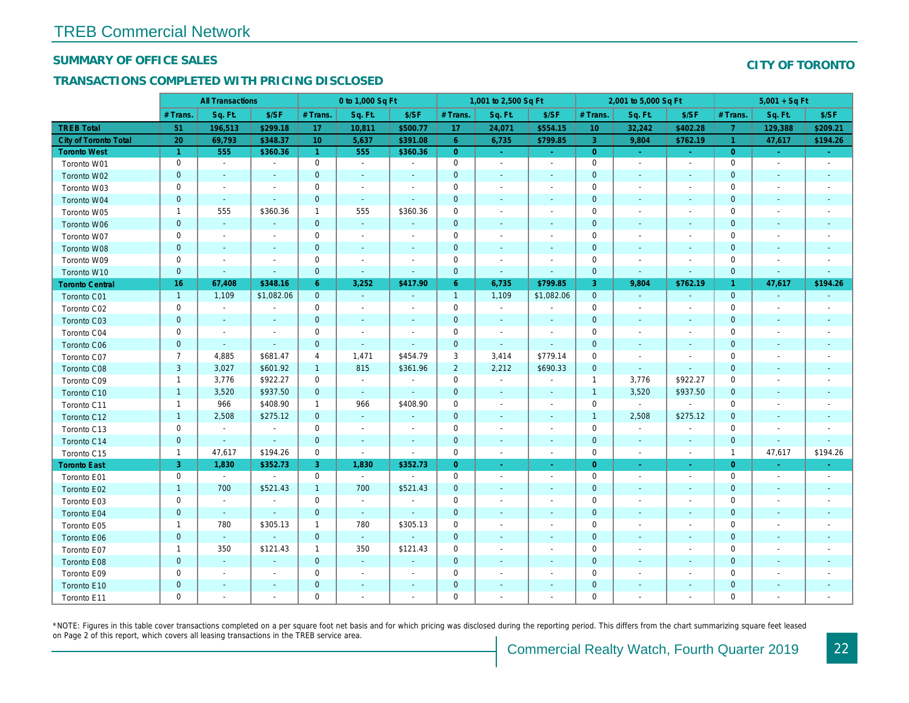#### SUMMARY OF OFFICE SALES

## TRANSACTIONS COMPLETED WITH PRICING DISCLOSED

|                              |                      | <b>All Transactions</b>  |                          |                 | 0 to 1,000 Sq Ft |                          |                | 1,001 to 2,500 Sq Ft     |                          |                | 2,001 to 5,000 Sq Ft     |                          |
|------------------------------|----------------------|--------------------------|--------------------------|-----------------|------------------|--------------------------|----------------|--------------------------|--------------------------|----------------|--------------------------|--------------------------|
|                              | # Trans.             | Sq. Ft.                  | \$/SF                    | # Trans.        | Sq. Ft.          | \$/SF                    | # Trans.       | Sq. Ft.                  | \$/SF                    | # Trans.       | Sq. Ft.                  | \$/SF                    |
| <b>TREB Total</b>            | 51                   | 196,513                  | \$299.18                 | 17              | 10,811           | \$500.77                 | 17             | 24,071                   | \$554.15                 | 10             | 32,242                   | \$402.28                 |
| <b>City of Toronto Total</b> | 20                   | 69,793                   | \$348.37                 | 10 <sup>°</sup> | 5,637            | \$391.08                 | 6              | 6,735                    | \$799.85                 | 3              | 9,804                    | \$762.1                  |
| <b>Toronto West</b>          | $\blacktriangleleft$ | 555                      | \$360.36                 | $\overline{1}$  | 555              | \$360.36                 | $\overline{0}$ | $\omega$                 | $\omega$                 | $\overline{0}$ | $\sim$                   | $\sim$                   |
| Toronto W01                  | $\mathbf 0$          | $\blacksquare$           | $\omega$                 | $\mathbf 0$     | $\blacksquare$   | $\blacksquare$           | $\mathbf 0$    | $\blacksquare$           | $\blacksquare$           | $\mathbf 0$    | $\sim$                   | $\sim$                   |
| Toronto W02                  | $\mathbf 0$          | $\sim$                   | $\blacksquare$           | $\mathbf 0$     | $\blacksquare$   | $\blacksquare$           | $\mathbf 0$    | $\overline{\phantom{a}}$ | $\sim$                   | $\mathbf 0$    | $\overline{\phantom{a}}$ | $\sim$                   |
| Toronto W03                  | 0                    | $\overline{\phantom{a}}$ | $\overline{\phantom{a}}$ | 0               | $\sim$           | $\blacksquare$           | 0              | $\blacksquare$           | $\overline{\phantom{a}}$ | 0              | $\overline{\phantom{a}}$ | $\overline{\phantom{a}}$ |
| Toronto W04                  | $\mathbf 0$          | $\sim$                   | $\omega$                 | $\mathbf 0$     | $\Delta$         | $\blacksquare$           | $\mathbf 0$    | $\blacksquare$           | $\sim$                   | $\mathbf 0$    | $\sim$                   | $\sim$                   |
| Toronto W05                  | $\mathbf{1}$         | 555                      | \$360.36                 | $\mathbf{1}$    | 555              | \$360.36                 | 0              | $\blacksquare$           | $\overline{\phantom{a}}$ | $\mathbf 0$    | $\blacksquare$           | $\overline{\phantom{a}}$ |
| Toronto W06                  | $\pmb{0}$            | $\blacksquare$           | $\blacksquare$           | $\mathbf{0}$    | $\blacksquare$   | $\overline{\phantom{a}}$ | 0              | $\blacksquare$           |                          | $\mathbf 0$    | $\blacksquare$           | $\blacksquare$           |
| Toronto W07                  | $\pmb{0}$            | $\overline{\phantom{a}}$ | $\blacksquare$           | 0               | $\blacksquare$   | $\overline{\phantom{a}}$ | 0              | $\overline{\phantom{a}}$ |                          | $\mathbf 0$    |                          | $\overline{\phantom{a}}$ |
| Toronto W08                  | $\pmb{0}$            | $\sim$                   | $\sim$                   | $\mathbf 0$     | $\omega$         | $\blacksquare$           | 0              | $\blacksquare$           | $\sim$                   | $\mathbf 0$    | $\blacksquare$           | $\blacksquare$           |
| Toronto W09                  | $\mathbf 0$          | $\blacksquare$           | $\blacksquare$           | $\mathbf 0$     | $\blacksquare$   | $\blacksquare$           | 0              | $\blacksquare$           | $\blacksquare$           | $\mathbf 0$    |                          | $\blacksquare$           |
| Toronto W10                  | $\pmb{0}$            | $\blacksquare$           | $\blacksquare$           | $\mathbf 0$     | $\blacksquare$   | $\blacksquare$           | $\pmb{0}$      | $\blacksquare$           | $\blacksquare$           | $\mathbf 0$    | $\blacksquare$           | $\blacksquare$           |
| <b>Toronto Central</b>       | 16                   | 67,408                   | \$348.16                 | $6^{\circ}$     | 3,252            | \$417.90                 | $6^{\circ}$    | 6,735                    | \$799.85                 | 3              | 9,804                    | \$762.1                  |
| Toronto C01                  | $\mathbf{1}$         | 1,109                    | \$1,082.06               | $\mathbf{0}$    | $\blacksquare$   | $\sim$                   | $\overline{1}$ | 1,109                    | \$1,082.06               | $\mathbf{0}$   | $\blacksquare$           | $\sim$                   |
| Toronto C02                  | $\mathbf 0$          | $\blacksquare$           | $\blacksquare$           | $\mathbf 0$     | ÷,               | $\blacksquare$           | $\pmb{0}$      | $\blacksquare$           |                          | $\mathbf 0$    | $\sim$                   | $\blacksquare$           |
| Toronto C03                  | $\pmb{0}$            | $\blacksquare$           | $\blacksquare$           | $\mathbf{0}$    | $\blacksquare$   | $\blacksquare$           | $\pmb{0}$      | $\sim$                   | $\sim$                   | $\mathbf 0$    | $\blacksquare$           | $\blacksquare$           |
| Toronto C04                  | 0                    | $\blacksquare$           | $\blacksquare$           | $\mathbf 0$     | $\blacksquare$   | $\blacksquare$           | 0              | $\blacksquare$           | $\blacksquare$           | 0              | $\overline{\phantom{a}}$ | $\blacksquare$           |
| Toronto C06                  | $\mathbf 0$          | $\sim$                   | $\sim$                   | $\mathbf{0}$    | $\omega$         | $\blacksquare$           | $\mathbf 0$    | $\blacksquare$           | $\blacksquare$           | $\mathbf 0$    | $\blacksquare$           | $\blacksquare$           |
| Toronto C07                  | $\overline{7}$       | 4,885                    | \$681.47                 | 4               | 1,471            | \$454.79                 | 3              | 3,414                    | \$779.14                 | $\mathbf 0$    | $\overline{\phantom{a}}$ | $\blacksquare$           |
| <b>Toronto C08</b>           | $\mathbf{3}$         | 3,027                    | \$601.92                 | $\overline{1}$  | 815              | \$361.96                 | $\overline{2}$ | 2,212                    | \$690.33                 | $\mathbf 0$    | $\blacksquare$           | $\blacksquare$           |
| Toronto C09                  | $\mathbf{1}$         | 3,776                    | \$922.27                 | 0               | $\blacksquare$   | $\overline{\phantom{a}}$ | 0              | $\blacksquare$           | $\overline{\phantom{a}}$ | $\mathbf{1}$   | 3,776                    | \$922.27                 |
| Toronto C10                  | $\mathbf{1}$         | 3,520                    | \$937.50                 | $\mathbf{0}$    | $\omega$         | $\sim$                   | $\mathbf 0$    | $\sim$                   | $\sim$                   | $\mathbf{1}$   | 3,520                    | \$937.50                 |
| Toronto C11                  | $\mathbf{1}$         | 966                      | \$408.90                 | $\mathbf{1}$    | 966              | \$408.90                 | $\mathbf 0$    | $\blacksquare$           | $\blacksquare$           | $\mathbf 0$    | $\blacksquare$           | $\blacksquare$           |
| Toronto C12                  | $\mathbf{1}$         | 2,508                    | \$275.12                 | $\mathbf{0}$    | $\sim$           | $\blacksquare$           | $\mathbf{0}$   | $\blacksquare$           | $\blacksquare$           | $\mathbf{1}$   | 2,508                    | \$275.12                 |
| Toronto C13                  | $\pmb{0}$            | $\sim$                   | $\blacksquare$           | $\mathbf 0$     | $\blacksquare$   | $\blacksquare$           | 0              | $\overline{\phantom{a}}$ | $\overline{\phantom{a}}$ | $\mathbf 0$    | $\blacksquare$           | $\blacksquare$           |
| Toronto C14                  | $\mathbf 0$          | $\sim$                   | $\sim$                   | $\mathbf 0$     | $\blacksquare$   | $\overline{\phantom{a}}$ | $\mathbf 0$    | $\blacksquare$           | $\overline{\phantom{a}}$ | $\pmb{0}$      | $\sim$                   | $\sim$                   |
| Toronto C15                  | $\mathbf{1}$         | 47,617                   | \$194.26                 | 0               | $\sim$           | $\blacksquare$           | 0              | $\blacksquare$           | $\blacksquare$           | $\mathbf 0$    | $\blacksquare$           | $\sim$                   |
| <b>Toronto East</b>          | 3                    | 1,830                    | \$352.73                 | 3 <sup>°</sup>  | 1,830            | \$352.73                 | $\overline{0}$ | $\omega$                 | $\omega$                 | $\overline{0}$ | ٠                        | $\bullet$                |
| Toronto E01                  | $\mathbf 0$          | $\omega$                 | $\sim$                   | $\mathbf 0$     | $\sim$           | $\overline{a}$           | $\pmb{0}$      | $\blacksquare$           | $\blacksquare$           | $\mathbf 0$    | $\blacksquare$           | $\sim$                   |
| Toronto E02                  | $\mathbf{1}$         | 700                      | \$521.43                 | $\mathbf{1}$    | 700              | \$521.43                 | $\mathbf 0$    | $\blacksquare$           |                          | $\mathbf 0$    |                          |                          |
| Toronto E03                  | $\mathbf 0$          | $\sim$                   | $\sim$                   | $\mathbf 0$     | $\blacksquare$   | $\blacksquare$           | 0              | $\blacksquare$           | $\overline{\phantom{a}}$ | $\mathbf 0$    | $\blacksquare$           | $\overline{\phantom{a}}$ |
| Toronto E04                  | $\mathbf 0$          | $\sim$                   | $\mathbf{r}$             | $\mathbf{0}$    | $\blacksquare$   | $\sim$                   | $\pmb{0}$      | $\blacksquare$           | $\sim$                   | $\mathbf 0$    | $\blacksquare$           |                          |
| Toronto E05                  | $\mathbf{1}$         | 780                      | \$305.13                 | $\mathbf{1}$    | 780              | \$305.13                 | 0              | $\blacksquare$           | $\blacksquare$           | $\mathbf 0$    | $\blacksquare$           | $\blacksquare$           |
| Toronto E06                  | $\pmb{0}$            | $\sim$                   | $\omega$                 | $\mathbf 0$     | $\blacksquare$   |                          | 0              | $\blacksquare$           |                          | $\mathbf 0$    |                          | $\overline{\phantom{a}}$ |
| Toronto E07                  | $\mathbf{1}$         | 350                      | \$121.43                 | $\mathbf{1}$    | 350              | \$121.43                 | 0              | $\blacksquare$           | $\overline{\phantom{a}}$ | $\mathbf 0$    | $\blacksquare$           | $\overline{\phantom{a}}$ |
| Toronto E08                  | $\pmb{0}$            | $\sim$                   | $\omega$                 | $\mathbf 0$     | $\Delta$         | $\blacksquare$           | $\pmb{0}$      | $\blacksquare$           | $\sim$                   | $\mathbf 0$    | $\overline{\phantom{a}}$ | $\overline{\phantom{a}}$ |
| Toronto E09                  | $\mathbf 0$          | $\sim$                   | $\sim$                   | $\mathbf 0$     | $\blacksquare$   | $\blacksquare$           | 0              | $\blacksquare$           | $\overline{\phantom{a}}$ | $\mathbf 0$    | $\blacksquare$           | $\sim$                   |
| Toronto E10                  | $\pmb{0}$            | $\blacksquare$           | $\sim$                   | $\mathbf 0$     | $\blacksquare$   | $\blacksquare$           | 0              | $\overline{\phantom{a}}$ |                          | $\mathbf 0$    | $\blacksquare$           | $\overline{\phantom{a}}$ |
| Toronto E11                  | $\mathbf 0$          | $\blacksquare$           | $\blacksquare$           | $\mathbf 0$     | $\overline{a}$   | $\blacksquare$           | 0              |                          |                          | 0              | $\blacksquare$           | $\sim$                   |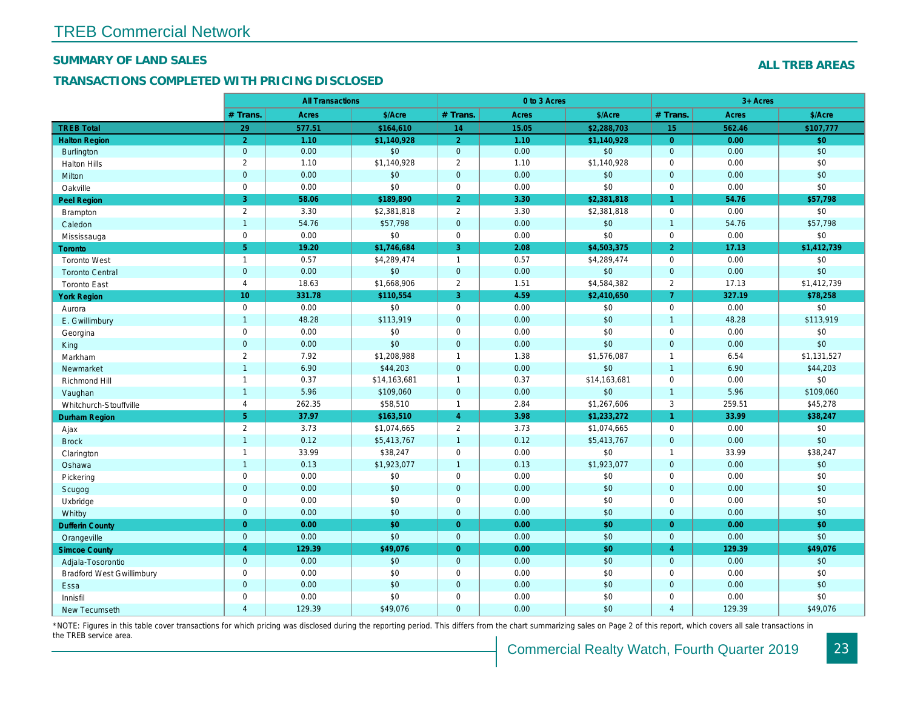## SUMMARY OF LAND SALES

## TRANSACTIONS COMPLETED WITH PRICING DISCLOSED

|                                  |                | <b>All Transactions</b> |              |                | 0 to 3 Acres |              |                      |
|----------------------------------|----------------|-------------------------|--------------|----------------|--------------|--------------|----------------------|
|                                  | # Trans.       | Acres                   | \$/Acre      | # Trans.       | <b>Acres</b> | \$/Acre      | # Trans.             |
| <b>TREB Total</b>                | 29             | 577.51                  | \$164,610    | 14             | 15.05        | \$2,288,703  | 15                   |
| <b>Halton Region</b>             | 2 <sup>1</sup> | 1.10                    | \$1,140,928  | $\overline{2}$ | 1.10         | \$1,140,928  | $\overline{0}$       |
| <b>Burlington</b>                | $\mathbf{0}$   | 0.00                    | \$0          | $\mathbf 0$    | 0.00         | \$0          | $\mathbf{0}$         |
| <b>Halton Hills</b>              | $\overline{2}$ | 1.10                    | \$1,140,928  | $\overline{2}$ | 1.10         | \$1,140,928  | $\mathbf 0$          |
| Milton                           | $\mathbf 0$    | 0.00                    | \$0          | $\mathbf 0$    | 0.00         | \$0          | $\overline{0}$       |
| Oakville                         | $\mathbf 0$    | 0.00                    | \$0          | $\mathbf 0$    | 0.00         | \$0          | $\Omega$             |
| <b>Peel Region</b>               | 3              | 58.06                   | \$189,890    | $\overline{2}$ | 3.30         | \$2,381,818  | $\blacktriangleleft$ |
| Brampton                         | $\overline{2}$ | 3.30                    | \$2,381,818  | $\overline{2}$ | 3.30         | \$2,381,818  | $\mathbf 0$          |
| Caledon                          | $\mathbf{1}$   | 54.76                   | \$57,798     | $\pmb{0}$      | 0.00         | \$0          | $\overline{1}$       |
| Mississauga                      | $\mathbf 0$    | 0.00                    | \$0          | $\mathbf 0$    | 0.00         | \$0          | $\mathbf 0$          |
| <b>Toronto</b>                   | 5 <sup>5</sup> | 19.20                   | \$1,746,684  | 3              | 2.08         | \$4,503,375  | $\overline{2}$       |
| <b>Toronto West</b>              | $\mathbf{1}$   | 0.57                    | \$4,289,474  | $\mathbf{1}$   | 0.57         | \$4,289,474  | $\mathbf 0$          |
| <b>Toronto Central</b>           | $\mathbf{0}$   | 0.00                    | \$0          | $\mathbf 0$    | 0.00         | \$0          | $\mathbf{0}$         |
| <b>Toronto East</b>              | $\overline{4}$ | 18.63                   | \$1,668,906  | $\overline{2}$ | 1.51         | \$4,584,382  | $\overline{2}$       |
| <b>York Region</b>               | 10             | 331.78                  | \$110,554    | 3              | 4.59         | \$2,410,650  | $\overline{7}$       |
| Aurora                           | $\mathbf 0$    | 0.00                    | \$0          | $\mathbf 0$    | 0.00         | \$0          | $\mathbf 0$          |
| E. Gwillimbury                   | $\mathbf{1}$   | 48.28                   | \$113,919    | $\mathbf 0$    | 0.00         | \$0          | $\overline{1}$       |
| Georgina                         | $\mathbf 0$    | 0.00                    | \$0          | $\pmb{0}$      | 0.00         | \$0          | $\mathbf 0$          |
| King                             | $\mathbf{0}$   | 0.00                    | \$0          | $\mathbf{0}$   | 0.00         | \$0          | $\overline{0}$       |
| Markham                          | $\overline{2}$ | 7.92                    | \$1,208,988  | $\mathbf{1}$   | 1.38         | \$1,576,087  | $\overline{1}$       |
| Newmarket                        | $\mathbf{1}$   | 6.90                    | \$44,203     | $\mathbf{0}$   | 0.00         | \$0          | $\overline{1}$       |
| Richmond Hill                    | $\mathbf{1}$   | 0.37                    | \$14,163,681 | $\mathbf{1}$   | 0.37         | \$14,163,681 | $\mathbf 0$          |
| Vaughan                          | $\mathbf{1}$   | 5.96                    | \$109,060    | $\mathbf 0$    | 0.00         | \$0          | $\overline{1}$       |
| Whitchurch-Stouffville           | $\overline{4}$ | 262.35                  | \$58,510     | $\mathbf{1}$   | 2.84         | \$1,267,606  | 3                    |
| <b>Durham Region</b>             | 5 <sub>5</sub> | 37.97                   | \$163,510    | $\overline{4}$ | 3.98         | \$1,233,272  | $\mathbf{1}$         |
| Ajax                             | $\overline{2}$ | 3.73                    | \$1,074,665  | $\overline{2}$ | 3.73         | \$1,074,665  | $\mathbf 0$          |
| <b>Brock</b>                     | $\overline{1}$ | 0.12                    | \$5,413,767  | $\mathbf{1}$   | 0.12         | \$5,413,767  | $\mathbf{0}$         |
| Clarington                       | $\mathbf{1}$   | 33.99                   | \$38,247     | $\pmb{0}$      | 0.00         | \$0          | $\overline{1}$       |
| Oshawa                           | $\mathbf{1}$   | 0.13                    | \$1,923,077  | $\mathbf{1}$   | 0.13         | \$1,923,077  | $\mathbf{0}$         |
| Pickering                        | $\mathbf 0$    | 0.00                    | \$0          | $\pmb{0}$      | 0.00         | \$0          | $\mathbf 0$          |
| Scugog                           | $\mathbf 0$    | 0.00                    | \$0          | $\mathbf 0$    | 0.00         | \$0          | $\overline{0}$       |
| Uxbridge                         | $\mathbf 0$    | 0.00                    | \$0          | $\mathbf 0$    | 0.00         | \$0          | $\mathbf 0$          |
| Whitby                           | $\mathbf{0}$   | 0.00                    | \$0          | $\mathbf{0}$   | 0.00         | \$0          | $\Omega$             |
| <b>Dufferin County</b>           | $\overline{0}$ | 0.00                    | \$0          | $\mathbf{0}$   | 0.00         | \$0          | $\overline{0}$       |
| Orangeville                      | $\mathbf{0}$   | 0.00                    | \$0          | $\mathbf{0}$   | 0.00         | \$0          | $\mathbf{0}$         |
| <b>Simcoe County</b>             | $\overline{4}$ | 129.39                  | \$49,076     | $\mathbf{0}$   | 0.00         | \$0          | $\overline{4}$       |
| Adjala-Tosorontio                | $\mathbf{0}$   | 0.00                    | \$0          | $\mathbf 0$    | 0.00         | \$0          | $\mathbf 0$          |
| <b>Bradford West Gwillimbury</b> | $\mathbf 0$    | 0.00                    | \$0          | $\pmb{0}$      | 0.00         | \$0          | $\mathbf 0$          |
| Essa                             | $\mathbf 0$    | 0.00                    | $$0$$        | $\mathbf 0$    | 0.00         | \$0          | $\mathbf{0}$         |
| Innisfil                         | $\mathbf 0$    | 0.00                    | \$0          | $\pmb{0}$      | 0.00         | \$0          | $\mathbf 0$          |
| <b>New Tecumseth</b>             | $\overline{4}$ | 129.39                  | \$49,076     | $\Omega$       | 0.00         | \$0          | $\overline{4}$       |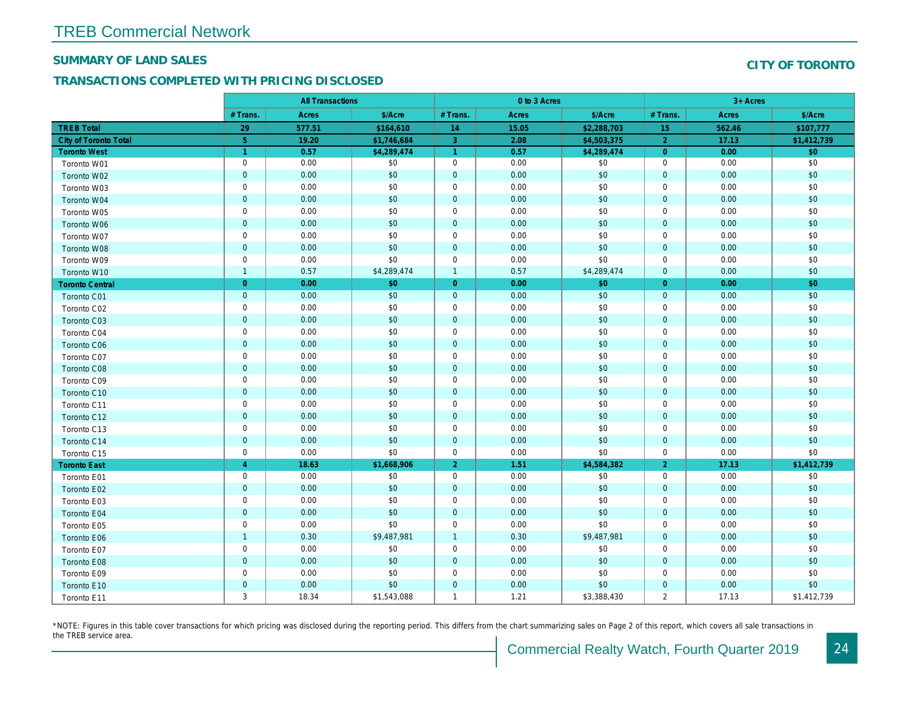#### SUMMARY OF LAND SALES

## TRANSACTIONS COMPLETED WITH PRICING DISCLOSED

|                              |                      | <b>All Transactions</b> |             |                | 0 to 3 Acres |             |                |  |
|------------------------------|----------------------|-------------------------|-------------|----------------|--------------|-------------|----------------|--|
|                              | # Trans.             | Acres                   | \$/Acre     | # Trans.       | Acres        | \$/Acre     | # Trans.       |  |
| <b>TREB Total</b>            | 29                   | 577.51                  | \$164,610   | 14             | 15.05        | \$2,288,703 | 15             |  |
| <b>City of Toronto Total</b> | $\overline{5}$       | 19.20                   | \$1,746,684 | $\overline{3}$ | 2.08         | \$4,503,375 | $\overline{2}$ |  |
| <b>Toronto West</b>          | $\blacktriangleleft$ | 0.57                    | \$4,289,474 | $\overline{1}$ | 0.57         | \$4,289,474 | $\overline{0}$ |  |
| Toronto W01                  | $\mathbf 0$          | 0.00                    | \$0         | $\mathbf 0$    | 0.00         | \$0         | 0              |  |
| Toronto W02                  | $\mathbf 0$          | 0.00                    | \$0         | $\mathbf 0$    | 0.00         | \$0         | $\mathbf{0}$   |  |
| Toronto W03                  | $\pmb{0}$            | 0.00                    | \$0         | $\mathbf 0$    | 0.00         | \$0         | $\mathbf 0$    |  |
| Toronto W04                  | $\mathbf 0$          | 0.00                    | \$0         | $\pmb{0}$      | 0.00         | \$0         | $\mathbf 0$    |  |
| Toronto W05                  | $\mathbf 0$          | 0.00                    | \$0         | $\mathbf 0$    | 0.00         | \$0         | $\mathbf 0$    |  |
| Toronto W06                  | $\mathbf 0$          | 0.00                    | \$0         | $\mathbf 0$    | 0.00         | \$0         | $\mathbf{0}$   |  |
| Toronto W07                  | $\pmb{0}$            | 0.00                    | \$0         | $\mathbf 0$    | 0.00         | \$0         | $\mathbf 0$    |  |
| Toronto W08                  | $\pmb{0}$            | 0.00                    | \$0         | $\pmb{0}$      | 0.00         | \$0         | $\mathbf{0}$   |  |
| Toronto W09                  | $\mathbf 0$          | 0.00                    | \$0         | $\mathbf 0$    | 0.00         | \$0         | $\mathbf 0$    |  |
| Toronto W10                  | $\mathbf{1}$         | 0.57                    | \$4,289,474 | $\overline{1}$ | 0.57         | \$4,289,474 | $\mathbf{0}$   |  |
| <b>Toronto Central</b>       | $\mathbf{0}$         | 0.00                    | \$0         | $\overline{0}$ | 0.00         | \$0         | $\overline{0}$ |  |
| Toronto C01                  | $\mathbf 0$          | 0.00                    | \$0         | $\pmb{0}$      | 0.00         | \$0         | $\mathbf{0}$   |  |
| Toronto C02                  | $\mathbf 0$          | 0.00                    | \$0         | $\mathbf 0$    | 0.00         | \$0         | $\mathbf 0$    |  |
| <b>Toronto C03</b>           | $\mathbf 0$          | 0.00                    | \$0         | $\overline{0}$ | 0.00         | \$0         | $\mathbf 0$    |  |
| Toronto C04                  | $\pmb{0}$            | 0.00                    | \$0         | $\mathbf 0$    | 0.00         | \$0         | $\mathbf 0$    |  |
| Toronto C06                  | $\pmb{0}$            | 0.00                    | \$0         | $\mathbf 0$    | 0.00         | \$0         | $\mathbf 0$    |  |
| Toronto C07                  | $\pmb{0}$            | 0.00                    | \$0         | $\mathbf 0$    | 0.00         | \$0         | $\mathbf 0$    |  |
| Toronto C08                  | $\mathbf 0$          | 0.00                    | \$0         | $\mathbf 0$    | 0.00         | \$0         | $\mathbf 0$    |  |
| Toronto C09                  | $\pmb{0}$            | 0.00                    | \$0         | $\mathbf 0$    | 0.00         | \$0         | $\mathbf 0$    |  |
| Toronto C10                  | $\mathbf{0}$         | 0.00                    | \$0         | $\mathbf 0$    | 0.00         | \$0         | $\mathbf{0}$   |  |
| Toronto C11                  | $\pmb{0}$            | 0.00                    | \$0         | $\mathbf 0$    | 0.00         | \$0         | $\mathbf 0$    |  |
| Toronto C12                  | $\mathbf 0$          | 0.00                    | \$0         | $\mathbf 0$    | 0.00         | \$0         | $\mathbf{0}$   |  |
| Toronto C13                  | $\pmb{0}$            | 0.00                    | \$0         | $\mathbf 0$    | 0.00         | \$0         | $\mathbf 0$    |  |
| Toronto C14                  | $\mathbf 0$          | 0.00                    | \$0         | $\mathbf 0$    | 0.00         | \$0         | $\mathbf 0$    |  |
| Toronto C15                  | $\pmb{0}$            | 0.00                    | \$0         | $\mathbf 0$    | 0.00         | \$0         | $\mathbf 0$    |  |
| <b>Toronto East</b>          | $\overline{4}$       | 18.63                   | \$1,668,906 | $\overline{2}$ | 1.51         | \$4,584,382 | $\overline{2}$ |  |
| Toronto E01                  | $\mathbf 0$          | 0.00                    | \$0         | $\mathbf 0$    | 0.00         | \$0         | $\mathbf 0$    |  |
| Toronto E02                  | $\mathbf 0$          | 0.00                    | \$0         | $\mathbf 0$    | 0.00         | \$0         | $\mathbf 0$    |  |
| Toronto E03                  | $\pmb{0}$            | 0.00                    | \$0         | $\mathbf 0$    | 0.00         | \$0         | $\mathbf 0$    |  |
| Toronto E04                  | $\pmb{0}$            | 0.00                    | \$0         | $\mathbf 0$    | 0.00         | \$0         | $\mathbf 0$    |  |
| Toronto E05                  | $\mathbf 0$          | 0.00                    | \$0         | $\mathbf 0$    | 0.00         | \$0         | $\mathbf 0$    |  |
| Toronto E06                  | $\mathbf{1}$         | 0.30                    | \$9,487,981 | $\overline{1}$ | 0.30         | \$9,487,981 | $\mathbf{0}$   |  |
| Toronto E07                  | $\mathbf 0$          | 0.00                    | \$0         | $\mathbf 0$    | 0.00         | \$0         | $\mathbf 0$    |  |
| Toronto E08                  | $\mathbf 0$          | 0.00                    | \$0         | $\mathbf 0$    | 0.00         | \$0         | $\mathbf{0}$   |  |
| Toronto E09                  | $\mathbf 0$          | 0.00                    | \$0         | $\mathbf 0$    | 0.00         | \$0         | $\mathbf 0$    |  |
| Toronto E10                  | $\mathbf 0$          | 0.00                    | \$0         | $\mathbf 0$    | 0.00         | \$0         | $\mathbf 0$    |  |
| Toronto E11                  | 3                    | 18.34                   | \$1,543,088 | $\mathbf{1}$   | 1.21         | \$3,388,430 | $\overline{2}$ |  |